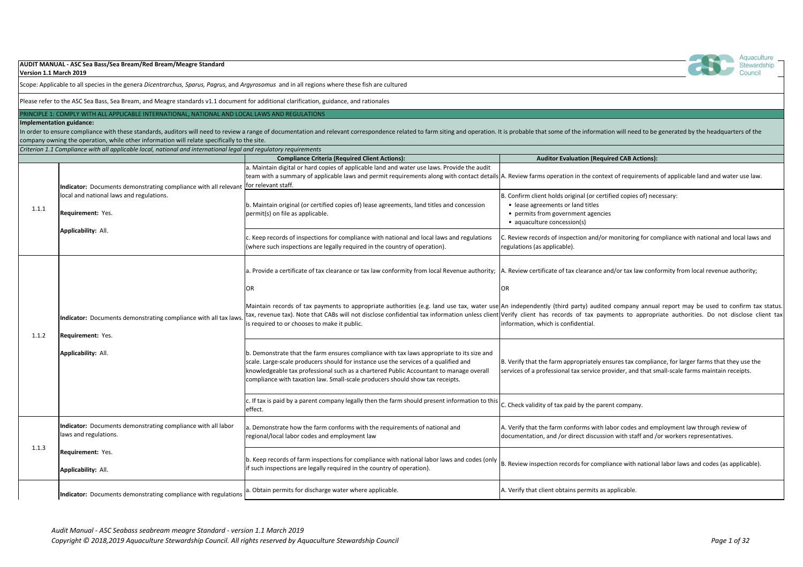| Version 1.1 March 2019   | AUDIT MANUAL - ASC Sea Bass/Sea Bream/Red Bream/Meagre Standard                                                                                |                                                                                                                                                                                                                                                                                                                                                              |                                                                               |
|--------------------------|------------------------------------------------------------------------------------------------------------------------------------------------|--------------------------------------------------------------------------------------------------------------------------------------------------------------------------------------------------------------------------------------------------------------------------------------------------------------------------------------------------------------|-------------------------------------------------------------------------------|
|                          | Scope: Applicable to all species in the genera Dicentrarchus, Sparus, Pagrus, and Argyrosomus and in all regions where these fish are cultured |                                                                                                                                                                                                                                                                                                                                                              |                                                                               |
|                          | Please refer to the ASC Sea Bass, Sea Bream, and Meagre standards v1.1 document for additional clarification, guidance, and rationales         |                                                                                                                                                                                                                                                                                                                                                              |                                                                               |
|                          | PRINCIPLE 1: COMPLY WITH ALL APPLICABLE INTERNATIONAL, NATIONAL AND LOCAL LAWS AND REGULATIONS                                                 |                                                                                                                                                                                                                                                                                                                                                              |                                                                               |
| Implementation guidance: | company owning the operation, while other information will relate specifically to the site.                                                    | In order to ensure compliance with these standards, auditors will need to review a range of documentation and relevant correspondence related to farm siting and operation. It is probable that so                                                                                                                                                           |                                                                               |
|                          | Criterion 1.1 Compliance with all applicable local, national and international legal and regulatory requirements                               |                                                                                                                                                                                                                                                                                                                                                              |                                                                               |
|                          |                                                                                                                                                | <b>Compliance Criteria (Required Client Actions):</b>                                                                                                                                                                                                                                                                                                        | <b>Audit</b>                                                                  |
|                          | Indicator: Documents demonstrating compliance with all relevant                                                                                | a. Maintain digital or hard copies of applicable land and water use laws. Provide the audit<br>team with a summary of applicable laws and permit requirements along with contact details A. Review farms op<br>for relevant staff.                                                                                                                           |                                                                               |
| 1.1.1                    | local and national laws and regulations.<br><b>Requirement: Yes.</b>                                                                           | b. Maintain original (or certified copies of) lease agreements, land titles and concession<br>permit(s) on file as applicable.                                                                                                                                                                                                                               | B. Confirm client ho<br>• lease agreeme<br>• permits from<br>· aquaculture co |
|                          | <b>Applicability: All.</b>                                                                                                                     | c. Keep records of inspections for compliance with national and local laws and regulations<br>(where such inspections are legally required in the country of operation).                                                                                                                                                                                     | C. Review records o<br>regulations (as app                                    |
|                          |                                                                                                                                                | a. Provide a certificate of tax clearance or tax law conformity from local Revenue authority;  A. Review certificat<br>OR                                                                                                                                                                                                                                    | <b>OR</b>                                                                     |
| 1.1.2                    | Indicator: Documents demonstrating compliance with all tax laws.<br><b>Requirement: Yes.</b>                                                   | Maintain records of tax payments to appropriate authorities (e.g. land use tax, water use An independently<br>tax, revenue tax). Note that CABs will not disclose confidential tax information unless client Verify client has<br>is required to or chooses to make it public.                                                                               | information, which                                                            |
|                          | Applicability: All.                                                                                                                            | b. Demonstrate that the farm ensures compliance with tax laws appropriate to its size and<br>scale. Large-scale producers should for instance use the services of a qualified and<br>knowledgeable tax professional such as a chartered Public Accountant to manage overall<br>compliance with taxation law. Small-scale producers should show tax receipts. | B. Verify that the fa<br>services of a profes                                 |
|                          |                                                                                                                                                | $ c$ . If tax is paid by a parent company legally then the farm should present information to this<br>effect.                                                                                                                                                                                                                                                | C. Check validity of                                                          |
| 1.1.3                    | Indicator: Documents demonstrating compliance with all labor<br>laws and regulations.                                                          | a. Demonstrate how the farm conforms with the requirements of national and<br>regional/local labor codes and employment law                                                                                                                                                                                                                                  | A. Verify that the fa<br>documentation, an                                    |
|                          | Requirement: Yes.<br><b>Applicability: All.</b>                                                                                                | b. Keep records of farm inspections for compliance with national labor laws and codes (only<br>if such inspections are legally required in the country of operation).                                                                                                                                                                                        | B. Review inspectic                                                           |
|                          | Indicator: Documents demonstrating compliance with regulations                                                                                 | a. Obtain permits for discharge water where applicable.                                                                                                                                                                                                                                                                                                      | A. Verify that client                                                         |



# ome of the information will need to be generated by the headquarters of the

### **Complianation (Required CAB Actions):**

beration in the context of requirements of applicable land and water use law.

olds original (or certified copies of) necessary: ents or land titles government agencies concession(s)

of inspection and/or monitoring for compliance with national and local laws and plicable).

te of tax clearance and/or tax law conformity from local revenue authority;

(third party) audited company annual report may be used to confirm tax status. records of tax payments to appropriate authorities. Do not disclose client tax  $i$  is confidential.

farm appropriately ensures tax compliance, for larger farms that they use the ssional tax service provider, and that small-scale farms maintain receipts.

tax paid by the parent company.

farm conforms with labor codes and employment law through review of nd /or direct discussion with staff and /or workers representatives.

on records for compliance with national labor laws and codes (as applicable).

t obtains permits as applicable.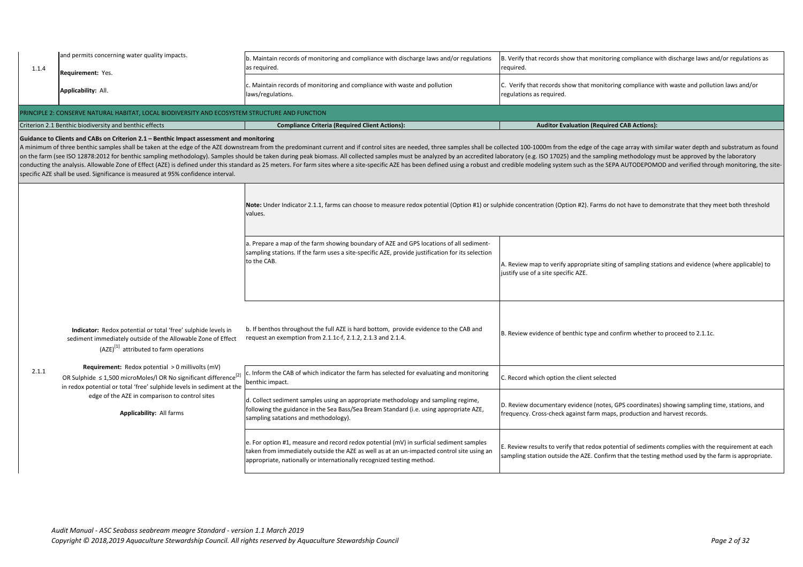| and permits concerning water quality impacts.<br>b. Maintain records of monitoring and compliance with discharge laws and/or regulations<br>as required.<br>1.1.4<br>Requirement: Yes.<br>c. Maintain records of monitoring and compliance with waste and pollution<br>Applicability: All.<br>laws/regulations.<br>PRINCIPLE 2: CONSERVE NATURAL HABITAT, LOCAL BIODIVERSITY AND ECOSYSTEM STRUCTURE AND FUNCTION<br>Criterion 2.1 Benthic biodiversity and benthic effects<br><b>Compliance Criteria (Required Client Actions):</b>                                                                                                                                                                                                                                               | B. Verify that reco<br>required.<br>C. Verify that rec<br>regulations as red<br>Aud |
|------------------------------------------------------------------------------------------------------------------------------------------------------------------------------------------------------------------------------------------------------------------------------------------------------------------------------------------------------------------------------------------------------------------------------------------------------------------------------------------------------------------------------------------------------------------------------------------------------------------------------------------------------------------------------------------------------------------------------------------------------------------------------------|-------------------------------------------------------------------------------------|
|                                                                                                                                                                                                                                                                                                                                                                                                                                                                                                                                                                                                                                                                                                                                                                                    |                                                                                     |
|                                                                                                                                                                                                                                                                                                                                                                                                                                                                                                                                                                                                                                                                                                                                                                                    |                                                                                     |
|                                                                                                                                                                                                                                                                                                                                                                                                                                                                                                                                                                                                                                                                                                                                                                                    |                                                                                     |
|                                                                                                                                                                                                                                                                                                                                                                                                                                                                                                                                                                                                                                                                                                                                                                                    |                                                                                     |
| Guidance to Clients and CABs on Criterion 2.1 - Benthic Impact assessment and monitoring<br>A minimum of three benthic samples shall be taken at the edge of the AZE downstream from the predominant current and if control sites are needed, three samples shall be collected 100-1000r<br>on the farm (see ISO 12878:2012 for benthic sampling methodology). Samples should be taken during peak biomass. All collected samples must be analyzed by an accredited laboratory (e.g. ISO<br>conducting the analysis. Allowable Zone of Effect (AZE) is defined under this standard as 25 meters. For farm sites where a site-specific AZE has been defined using a robust and credible modelin<br>specific AZE shall be used. Significance is measured at 95% confidence interval. |                                                                                     |
| Note: Under Indicator 2.1.1, farms can choose to measure redox potential (Option #1) or sulphide concentration<br>values.                                                                                                                                                                                                                                                                                                                                                                                                                                                                                                                                                                                                                                                          |                                                                                     |
| a. Prepare a map of the farm showing boundary of AZE and GPS locations of all sediment-<br>sampling stations. If the farm uses a site-specific AZE, provide justification for its selection<br>to the CAB.                                                                                                                                                                                                                                                                                                                                                                                                                                                                                                                                                                         | A. Review map to<br>justify use of a sit                                            |
| b. If benthos throughout the full AZE is hard bottom, provide evidence to the CAB and<br>Indicator: Redox potential or total 'free' sulphide levels in<br>request an exemption from 2.1.1c-f, 2.1.2, 2.1.3 and 2.1.4.<br>sediment immediately outside of the Allowable Zone of Effect<br>$(AZE)^{[1]}$ attributed to farm operations                                                                                                                                                                                                                                                                                                                                                                                                                                               | B. Review eviden                                                                    |
| <b>Requirement:</b> Redox potential $> 0$ millivolts (mV)<br>2.1.1<br>c. Inform the CAB of which indicator the farm has selected for evaluating and monitoring<br>OR Sulphide $\leq 1,500$ microMoles/I OR No significant difference <sup>[2]</sup><br>benthic impact.<br>in redox potential or total 'free' sulphide levels in sediment at the                                                                                                                                                                                                                                                                                                                                                                                                                                    | C. Record which o                                                                   |
| edge of the AZE in comparison to control sites<br>d. Collect sediment samples using an appropriate methodology and sampling regime,<br>following the guidance in the Sea Bass/Sea Bream Standard (i.e. using appropriate AZE,<br><b>Applicability: All farms</b><br>sampling satations and methodology).                                                                                                                                                                                                                                                                                                                                                                                                                                                                           | D. Review docum<br>frequency. Cross-                                                |
| e. For option #1, measure and record redox potential (mV) in surficial sediment samples<br>taken from immediately outside the AZE as well as at an un-impacted control site using an<br>appropriate, nationally or internationally recognized testing method.                                                                                                                                                                                                                                                                                                                                                                                                                                                                                                                      | E. Review results<br>sampling station                                               |

cords show that monitoring compliance with discharge laws and/or regulations as

cords show that monitoring compliance with waste and pollution laws and/or quired.

## **Combilition (Required CAB Actions):**

m from the edge of the cage array with similar water depth and substratum as found 17025) and the sampling methodology must be approved by the laboratory g system such as the SEPA AUTODEPOMOD and verified through monitoring, the site-

on (Option #2). Farms do not have to demonstrate that they meet both threshold

o verify appropriate siting of sampling stations and evidence (where applicable) to te specific AZE.

nce of benthic type and confirm whether to proceed to 2.1.1c.

option the client selected

entary evidence (notes, GPS coordinates) showing sampling time, stations, and -check against farm maps, production and harvest records.

to verify that redox potential of sediments complies with the requirement at each outside the AZE. Confirm that the testing method used by the farm is appropriate.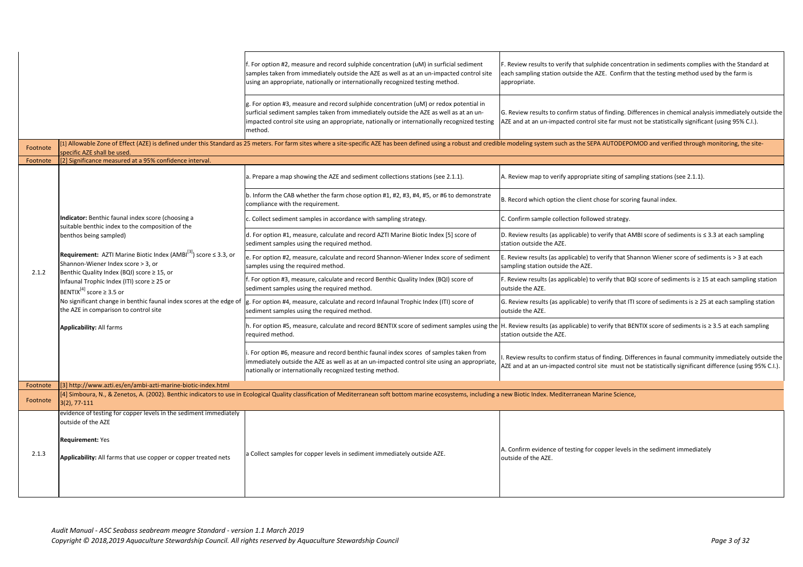|          |                                                                                                                                                                                                                                                                                                                                                      | f. For option #2, measure and record sulphide concentration (uM) in surficial sediment<br>samples taken from immediately outside the AZE as well as at an un-impacted control site<br>using an appropriate, nationally or internationally recognized testing method.                                | F. Review results<br>each sampling sta<br>appropriate. |
|----------|------------------------------------------------------------------------------------------------------------------------------------------------------------------------------------------------------------------------------------------------------------------------------------------------------------------------------------------------------|-----------------------------------------------------------------------------------------------------------------------------------------------------------------------------------------------------------------------------------------------------------------------------------------------------|--------------------------------------------------------|
|          |                                                                                                                                                                                                                                                                                                                                                      | $\vert$ g. For option #3, measure and record sulphide concentration (uM) or redox potential in<br>surficial sediment samples taken from immediately outside the AZE as well as at an un-<br>impacted control site using an appropriate, nationally or internationally recognized testing<br>method. | G. Review results<br>AZE and at an un-                 |
| Footnote | specific AZE shall be used.                                                                                                                                                                                                                                                                                                                          | [1] Allowable Zone of Effect (AZE) is defined under this Standard as 25 meters. For farm sites where a site-specific AZE has been defined using a robust and credible modeling syste                                                                                                                |                                                        |
| Footnote | [2] Significance measured at a 95% confidence interval.                                                                                                                                                                                                                                                                                              |                                                                                                                                                                                                                                                                                                     |                                                        |
|          |                                                                                                                                                                                                                                                                                                                                                      | a. Prepare a map showing the AZE and sediment collections stations (see 2.1.1).                                                                                                                                                                                                                     | A. Review map to                                       |
|          |                                                                                                                                                                                                                                                                                                                                                      | b. Inform the CAB whether the farm chose option #1, #2, #3, #4, #5, or #6 to demonstrate<br>compliance with the requirement.                                                                                                                                                                        | B. Record which o                                      |
|          | Indicator: Benthic faunal index score (choosing a                                                                                                                                                                                                                                                                                                    | c. Collect sediment samples in accordance with sampling strategy.                                                                                                                                                                                                                                   | C. Confirm sample                                      |
|          | suitable benthic index to the composition of the<br>benthos being sampled)<br><b>Requirement:</b> AZTI Marine Biotic Index (AMBI $^{[3]}$ ) score $\leq$ 3.3, or<br>Shannon-Wiener Index score > 3, or<br>Benthic Quality Index (BQI) score $\geq$ 15, or<br>Infaunal Trophic Index (ITI) score ≥ 25 or<br>BENTIX <sup>[4]</sup> score $\geq$ 3.5 or | d. For option #1, measure, calculate and record AZTI Marine Biotic Index [5] score of<br>sediment samples using the required method.                                                                                                                                                                | D. Review results<br>station outside th                |
| 2.1.2    |                                                                                                                                                                                                                                                                                                                                                      | e. For option #2, measure, calculate and record Shannon-Wiener Index score of sediment<br>samples using the required method.                                                                                                                                                                        | E. Review results<br>sampling station                  |
|          |                                                                                                                                                                                                                                                                                                                                                      | f. For option #3, measure, calculate and record Benthic Quality Index (BQI) score of<br>sediment samples using the required method.                                                                                                                                                                 | F. Review results<br>outside the AZE.                  |
|          | No significant change in benthic faunal index scores at the edge of<br>the AZE in comparison to control site                                                                                                                                                                                                                                         | g. For option #4, measure, calculate and record Infaunal Trophic Index (ITI) score of<br>sediment samples using the required method.                                                                                                                                                                | G. Review results<br>outside the AZE.                  |
|          | <b>Applicability: All farms</b>                                                                                                                                                                                                                                                                                                                      | h. For option #5, measure, calculate and record BENTIX score of sediment samples using the H. Review results<br>required method.                                                                                                                                                                    | station outside th                                     |
|          |                                                                                                                                                                                                                                                                                                                                                      | i. For option #6, measure and record benthic faunal index scores of samples taken from<br>immediately outside the AZE as well as at an un-impacted control site using an appropriate,<br>nationally or internationally recognized testing method.                                                   | I. Review results t<br>AZE and at an un-               |
| Footnote | [[3] http://www.azti.es/en/ambi-azti-marine-biotic-index.html                                                                                                                                                                                                                                                                                        |                                                                                                                                                                                                                                                                                                     |                                                        |
| Footnote | $(3(2), 77-111)$                                                                                                                                                                                                                                                                                                                                     | [4] Simboura, N., & Zenetos, A. (2002). Benthic indicators to use in Ecological Quality classification of Mediterranean soft bottom marine ecosystems, including a new Biotic Index.                                                                                                                |                                                        |
| 2.1.3    | evidence of testing for copper levels in the sediment immediately<br>outside of the AZE<br><b>Requirement: Yes</b><br>Applicability: All farms that use copper or copper treated nets                                                                                                                                                                | a Collect samples for copper levels in sediment immediately outside AZE.                                                                                                                                                                                                                            | A. Confirm evider<br>outside of the AZ                 |

to verify that sulphide concentration in sediments complies with the Standard at ation outside the AZE. Confirm that the testing method used by the farm is

to confirm status of finding. Differences in chemical analysis immediately outside the -impacted control site far must not be statistically significant (using 95% C.I.).

m such as the SEPA AUTODEPOMOD and verified through monitoring, the site-

 $\alpha$  verify appropriate siting of sampling stations (see 2.1.1).

option the client chose for scoring faunal index.

le collection followed strategy.

G. (as applicable) to verify that AMBI score of sediments is ≤ 3.3 at each sampling he AZE.

(as applicable) to verify that Shannon Wiener score of sediments is  $> 3$  at each outside the AZE.

(as applicable) to verify that BQI score of sediments is  $\geq 15$  at each sampling station

 $\alpha$  (as applicable) to verify that ITI score of sediments is ≥ 25 at each sampling station

 $h$  (as applicable) to verify that BENTIX score of sediments is ≥ 3.5 at each sampling e AZE.

to confirm status of finding. Differences in faunal community immediately outside the -impacted control site must not be statistically significant difference (using 95% C.I.).

Mediterranean Marine Science,

nce of testing for copper levels in the sediment immediately  $E.$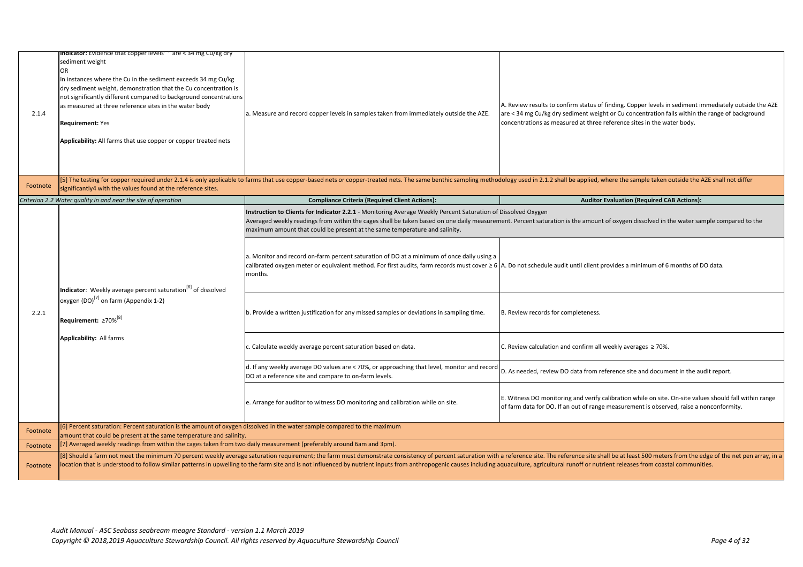## *Criterion 2.2 Water quality in and near the site of operation* **Compliance Criteria (Required Client Actions): Auditor Evaluation (Required CAB Actions):**

ration is the amount of oxygen dissolved in the water sample compared to the

le audit until client provides a minimum of 6 months of DO data.

s for completeness.

tion and confirm all weekly averages ≥ 70%.

view DO data from reference site and document in the audit report.

onitoring and verify calibration while on site. On-site values should fall within range OO. If an out of range measurement is observed, raise a nonconformity.

The reference site shall be at least 500 meters from the edge of the net pen array, in a ultural runoff or nutrient releases from coastal communities.

| 2.1.4    | <b>Indicator:</b> Evidence that copper levels are < 34 mg Cu/kg dry<br>sediment weight<br>OR<br>In instances where the Cu in the sediment exceeds 34 mg Cu/kg<br>dry sediment weight, demonstration that the Cu concentration is<br>not significantly different compared to background concentrations<br>as measured at three reference sites in the water body<br><b>Requirement: Yes</b><br>Applicability: All farms that use copper or copper treated nets | a. Measure and record copper levels in samples taken from immediately outside the AZE.                                                                                                                                                                                                                                                                                                                                                                                                                                                                                                                                                                                                                                                                                                                                                                                           | A. Review results<br>arc < 34 mg Cu/kg<br>concentrations as |
|----------|---------------------------------------------------------------------------------------------------------------------------------------------------------------------------------------------------------------------------------------------------------------------------------------------------------------------------------------------------------------------------------------------------------------------------------------------------------------|----------------------------------------------------------------------------------------------------------------------------------------------------------------------------------------------------------------------------------------------------------------------------------------------------------------------------------------------------------------------------------------------------------------------------------------------------------------------------------------------------------------------------------------------------------------------------------------------------------------------------------------------------------------------------------------------------------------------------------------------------------------------------------------------------------------------------------------------------------------------------------|-------------------------------------------------------------|
| Footnote | significantly4 with the values found at the reference sites.                                                                                                                                                                                                                                                                                                                                                                                                  |                                                                                                                                                                                                                                                                                                                                                                                                                                                                                                                                                                                                                                                                                                                                                                                                                                                                                  |                                                             |
|          | Criterion 2.2 Water quality in and near the site of operation                                                                                                                                                                                                                                                                                                                                                                                                 | <b>Compliance Criteria (Required Client Actions):</b>                                                                                                                                                                                                                                                                                                                                                                                                                                                                                                                                                                                                                                                                                                                                                                                                                            |                                                             |
|          |                                                                                                                                                                                                                                                                                                                                                                                                                                                               | Instruction to Clients for Indicator 2.2.1 - Monitoring Average Weekly Percent Saturation of Dissolved Oxygen<br>Averaged weekly readings from within the cages shall be taken based on one daily measurement. Percent satu<br>maximum amount that could be present at the same temperature and salinity.<br>a. Monitor and record on-farm percent saturation of DO at a minimum of once daily using a<br>calibrated oxygen meter or equivalent method. For first audits, farm records must cover $\geq 6$  A. Do not schedul                                                                                                                                                                                                                                                                                                                                                    |                                                             |
| 2.2.1    | Indicator: Weekly average percent saturation <sup>[6]</sup> of dissolved<br>oxygen (DO) <sup>[7]</sup> on farm (Appendix 1-2)<br>Requirement: ≥70% <sup>[8]</sup>                                                                                                                                                                                                                                                                                             | b. Provide a written justification for any missed samples or deviations in sampling time.                                                                                                                                                                                                                                                                                                                                                                                                                                                                                                                                                                                                                                                                                                                                                                                        | B. Review records                                           |
|          | <b>Applicability: All farms</b>                                                                                                                                                                                                                                                                                                                                                                                                                               | [5] The testing for copper required under 2.1.4 is only applicable to farms that use copper-based nets or copper-treated nets. The same benthic sampling methodology used in 2.1<br>months.<br>c. Calculate weekly average percent saturation based on data.<br>d. If any weekly average DO values are < 70%, or approaching that level, monitor and record<br>DO at a reference site and compare to on-farm levels.<br>e. Arrange for auditor to witness DO monitoring and calibration while on site.<br>[8] Should a farm not meet the minimum 70 percent weekly average saturation requirement; the farm must demonstrate consistency of percent saturation with a reference site. T<br>location that is understood to follow similar patterns in upwelling to the farm site and is not influenced by nutrient inputs from anthropogenic causes including aquaculture, agricu | C. Review calculat                                          |
|          |                                                                                                                                                                                                                                                                                                                                                                                                                                                               |                                                                                                                                                                                                                                                                                                                                                                                                                                                                                                                                                                                                                                                                                                                                                                                                                                                                                  | D. As needed, rev                                           |
|          |                                                                                                                                                                                                                                                                                                                                                                                                                                                               |                                                                                                                                                                                                                                                                                                                                                                                                                                                                                                                                                                                                                                                                                                                                                                                                                                                                                  | E. Witness DO mo<br>of farm data for D                      |
| Footnote | [6] Percent saturation: Percent saturation is the amount of oxygen dissolved in the water sample compared to the maximum<br>amount that could be present at the same temperature and salinity.                                                                                                                                                                                                                                                                |                                                                                                                                                                                                                                                                                                                                                                                                                                                                                                                                                                                                                                                                                                                                                                                                                                                                                  |                                                             |
| Footnote | [7] Averaged weekly readings from within the cages taken from two daily measurement (preferably around 6am and 3pm).                                                                                                                                                                                                                                                                                                                                          |                                                                                                                                                                                                                                                                                                                                                                                                                                                                                                                                                                                                                                                                                                                                                                                                                                                                                  |                                                             |
| Footnote |                                                                                                                                                                                                                                                                                                                                                                                                                                                               |                                                                                                                                                                                                                                                                                                                                                                                                                                                                                                                                                                                                                                                                                                                                                                                                                                                                                  |                                                             |

to confirm status of finding. Copper levels in sediment immediately outside the AZE g dry sediment weight or Cu concentration falls within the range of background s measured at three reference sites in the water body.

.2 shall be applied, where the sample taken outside the AZE shall not differ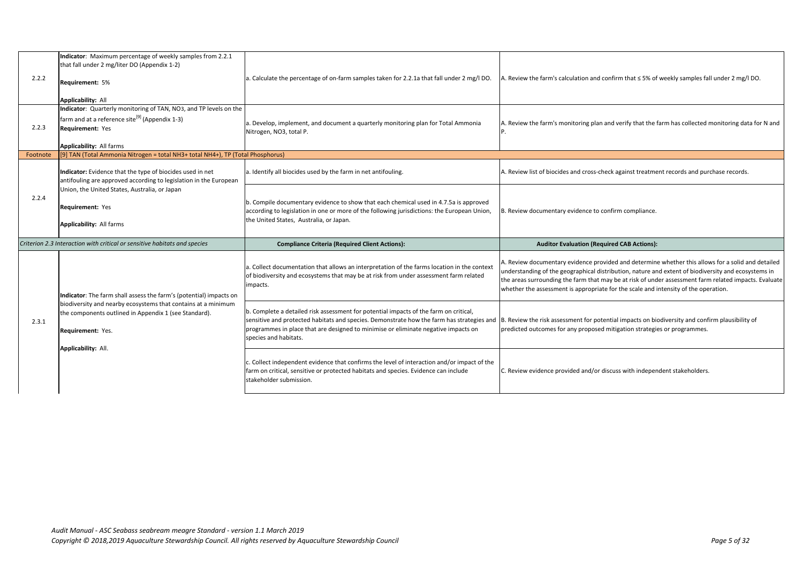| 2.2.2    | Indicator: Maximum percentage of weekly samples from 2.2.1<br>that fall under 2 mg/liter DO (Appendix 1-2)<br><b>Requirement: 5%</b><br><b>Applicability: All</b>                             | a. Calculate the percentage of on-farm samples taken for 2.2.1a that fall under 2 mg/l DO.                                                                                                                                                                                                                            | A. Review the farr                                                            |
|----------|-----------------------------------------------------------------------------------------------------------------------------------------------------------------------------------------------|-----------------------------------------------------------------------------------------------------------------------------------------------------------------------------------------------------------------------------------------------------------------------------------------------------------------------|-------------------------------------------------------------------------------|
| 2.2.3    | Indicator: Quarterly monitoring of TAN, NO3, and TP levels on the<br>farm and at a reference site <sup>[9]</sup> (Appendix 1-3)<br><b>Requirement: Yes</b><br><b>Applicability: All farms</b> | a. Develop, implement, and document a quarterly monitoring plan for Total Ammonia<br>Nitrogen, NO3, total P.                                                                                                                                                                                                          | A. Review the farr<br>IP.                                                     |
| Footnote | [9] TAN (Total Ammonia Nitrogen = total NH3+ total NH4+), TP (Total Phosphorus)                                                                                                               |                                                                                                                                                                                                                                                                                                                       |                                                                               |
|          | Indicator: Evidence that the type of biocides used in net<br>antifouling are approved according to legislation in the European                                                                | a. Identify all biocides used by the farm in net antifouling.                                                                                                                                                                                                                                                         | A. Review list of b                                                           |
| 2.2.4    | Union, the United States, Australia, or Japan<br><b>Requirement: Yes</b><br><b>Applicability: All farms</b>                                                                                   | b. Compile documentary evidence to show that each chemical used in 4.7.5a is approved<br>according to legislation in one or more of the following jurisdictions: the European Union,<br>the United States, Australia, or Japan.                                                                                       | B. Review docume                                                              |
|          | Criterion 2.3 Interaction with critical or sensitive habitats and species                                                                                                                     | <b>Compliance Criteria (Required Client Actions):</b>                                                                                                                                                                                                                                                                 | Audi                                                                          |
| 2.3.1    | Indicator: The farm shall assess the farm's (potential) impacts on                                                                                                                            | a. Collect documentation that allows an interpretation of the farms location in the context<br>of biodiversity and ecosystems that may be at risk from under assessment farm related<br>impacts.                                                                                                                      | A. Review docum<br>understanding of<br>the areas surroun<br>whether the asses |
|          | biodiversity and nearby ecosystems that contains at a minimum<br>the components outlined in Appendix 1 (see Standard).<br><b>Requirement: Yes.</b>                                            | b. Complete a detailed risk assessment for potential impacts of the farm on critical,<br>sensitive and protected habitats and species. Demonstrate how the farm has strategies and  B. Review the risk<br>programmes in place that are designed to minimise or eliminate negative impacts on<br>species and habitats. | predicted outcom                                                              |
|          | Applicability: All.                                                                                                                                                                           | c. Collect independent evidence that confirms the level of interaction and/or impact of the<br>farm on critical, sensitive or protected habitats and species. Evidence can include<br>stakeholder submission.                                                                                                         | C. Review evidend                                                             |

m's calculation and confirm that ≤ 5% of weekly samples fall under 2 mg/l DO.

m's monitoring plan and verify that the farm has collected monitoring data for N and

biocides and cross-check against treatment records and purchase records.

entary evidence to confirm compliance.

## **itor Evaluation (Required CAB Actions):**

entary evidence provided and determine whether this allows for a solid and detailed f the geographical distribution, nature and extent of biodiversity and ecosystems in nding the farm that may be at risk of under assessment farm related impacts. Evaluate essment is appropriate for the scale and intensity of the operation.

assessment for potential impacts on biodiversity and confirm plausibility of nes for any proposed mitigation strategies or programmes.

ce provided and/or discuss with independent stakeholders.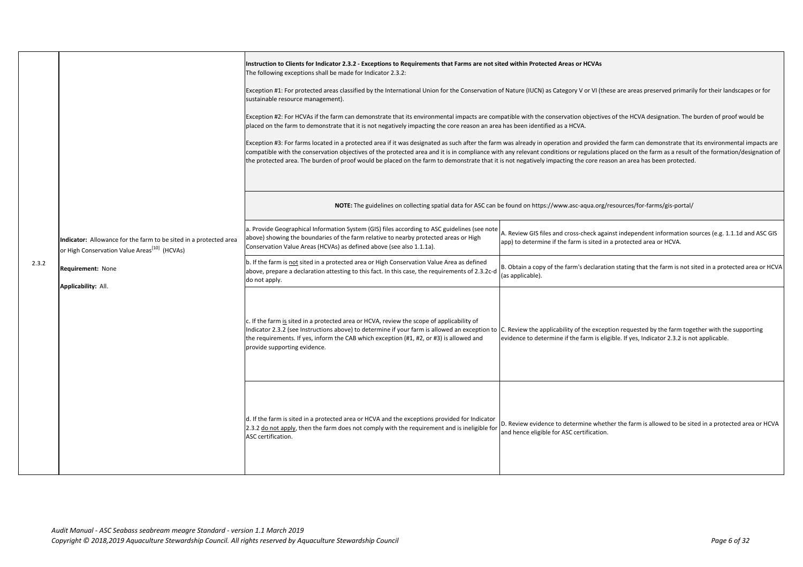|       |                                                                                                                               | Instruction to Clients for Indicator 2.3.2 - Exceptions to Requirements that Farms are not sited within Protect<br>The following exceptions shall be made for Indicator 2.3.2:<br>Exception #1: For protected areas classified by the International Union for the Conservation of Nature (IUCN) a<br>sustainable resource management).<br>Exception #2: For HCVAs if the farm can demonstrate that its environmental impacts are compatible with the c<br>placed on the farm to demonstrate that it is not negatively impacting the core reason an area has been identifi<br>Exception #3: For farms located in a protected area if it was designated as such after the farm was already in op<br>compatible with the conservation objectives of the protected area and it is in compliance with any relevant cor<br>the protected area. The burden of proof would be placed on the farm to demonstrate that it is not negatively i |                                         |
|-------|-------------------------------------------------------------------------------------------------------------------------------|-------------------------------------------------------------------------------------------------------------------------------------------------------------------------------------------------------------------------------------------------------------------------------------------------------------------------------------------------------------------------------------------------------------------------------------------------------------------------------------------------------------------------------------------------------------------------------------------------------------------------------------------------------------------------------------------------------------------------------------------------------------------------------------------------------------------------------------------------------------------------------------------------------------------------------------|-----------------------------------------|
|       |                                                                                                                               | NOTE: The guidelines on collecting spatial data for ASC can be found on https:                                                                                                                                                                                                                                                                                                                                                                                                                                                                                                                                                                                                                                                                                                                                                                                                                                                      |                                         |
|       | Indicator: Allowance for the farm to be sited in a protected area<br>or High Conservation Value Areas <sup>[10]</sup> (HCVAs) | a. Provide Geographical Information System (GIS) files according to ASC guidelines (see note<br>above) showing the boundaries of the farm relative to nearby protected areas or High<br>Conservation Value Areas (HCVAs) as defined above (see also 1.1.1a).                                                                                                                                                                                                                                                                                                                                                                                                                                                                                                                                                                                                                                                                        | A. Review GIS file<br>app) to determine |
| 2.3.2 | <b>Requirement: None</b><br><b>Applicability: All.</b>                                                                        | b. If the farm is not sited in a protected area or High Conservation Value Area as defined<br>above, prepare a declaration attesting to this fact. In this case, the requirements of 2.3.2c-d<br>do not apply.                                                                                                                                                                                                                                                                                                                                                                                                                                                                                                                                                                                                                                                                                                                      | B. Obtain a copy o<br>(as applicable).  |
|       |                                                                                                                               | c. If the farm is sited in a protected area or HCVA, review the scope of applicability of<br>Indicator 2.3.2 (see Instructions above) to determine if your farm is allowed an exception to C. Review the app<br>the requirements. If yes, inform the CAB which exception (#1, #2, or #3) is allowed and<br>provide supporting evidence.                                                                                                                                                                                                                                                                                                                                                                                                                                                                                                                                                                                             | evidence to deter                       |
|       |                                                                                                                               | d. If the farm is sited in a protected area or HCVA and the exceptions provided for Indicator<br>2.3.2 do not apply, then the farm does not comply with the requirement and is ineligible for<br>ASC certification.                                                                                                                                                                                                                                                                                                                                                                                                                                                                                                                                                                                                                                                                                                                 | D. Review eviden<br>and hence eligible  |

### ted Areas or HCVAs

as Category V or VI (these are areas preserved primarily for their landscapes or for

conservation objectives of the HCVA designation. The burden of proof would be ied as a HCVA.

peration and provided the farm can demonstrate that its environmental impacts are nditions or regulations placed on the farm as a result of the formation/designation of mpacting the core reason an area has been protected.

://www.asc-aqua.org/resources/for-farms/gis-portal/

es and cross-check against independent information sources (e.g. 1.1.1d and ASC GIS e if the farm is sited in a protected area or HCVA.

of the farm's declaration stating that the farm is not sited in a protected area or HCVA

plicability of the exception requested by the farm together with the supporting rmine if the farm is eligible. If yes, Indicator 2.3.2 is not applicable.

ice to determine whether the farm is allowed to be sited in a protected area or HCVA e for ASC certification.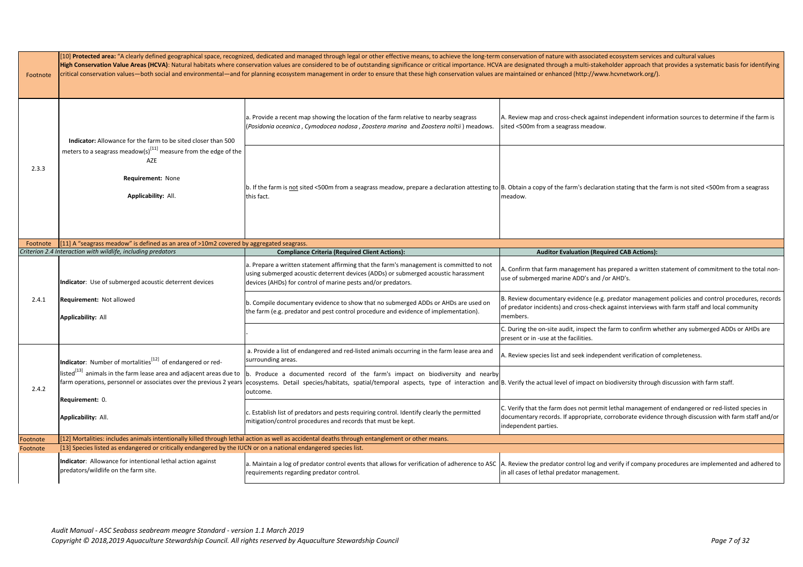| [10] Protected area: "A clearly defined geographical space, recognized, dedicated and managed through legal or other effective means, to achieve the long-term conservation of n |          |                                                                                                                                |                                                                                                                                                                                                                                                                             |                                                                                                                                                                                                                                                                                                                                                                |  |  |
|----------------------------------------------------------------------------------------------------------------------------------------------------------------------------------|----------|--------------------------------------------------------------------------------------------------------------------------------|-----------------------------------------------------------------------------------------------------------------------------------------------------------------------------------------------------------------------------------------------------------------------------|----------------------------------------------------------------------------------------------------------------------------------------------------------------------------------------------------------------------------------------------------------------------------------------------------------------------------------------------------------------|--|--|
|                                                                                                                                                                                  | Footnote |                                                                                                                                |                                                                                                                                                                                                                                                                             | High Conservation Value Areas (HCVA): Natural habitats where conservation values are considered to be of outstanding significance or critical importance. HCVA are designated t<br>critical conservation values—both social and environmental—and for planning ecosystem management in order to ensure that these high conservation values are maintained or e |  |  |
|                                                                                                                                                                                  |          | Indicator: Allowance for the farm to be sited closer than 500                                                                  | a. Provide a recent map showing the location of the farm relative to nearby seagrass<br>(Posidonia oceanica, Cymodocea nodosa, Zoostera marina and Zoostera noltii) meadows.                                                                                                | A. Review map ar<br>sited <500m from                                                                                                                                                                                                                                                                                                                           |  |  |
|                                                                                                                                                                                  | 2.3.3    | meters to a seagrass meadow(s) <sup>[11]</sup> measure from the edge of the<br>AZE<br>Requirement: None<br>Applicability: All. | b. If the farm is not sited <500m from a seagrass meadow, prepare a declaration attesting to B. Obtain a copy<br>this fact.                                                                                                                                                 | meadow.                                                                                                                                                                                                                                                                                                                                                        |  |  |
|                                                                                                                                                                                  | Footnote | [[11] A "seagrass meadow" is defined as an area of >10m2 covered by aggregated seagrass.                                       |                                                                                                                                                                                                                                                                             |                                                                                                                                                                                                                                                                                                                                                                |  |  |
|                                                                                                                                                                                  |          | Criterion 2.4 Interaction with wildlife, including predators                                                                   | <b>Compliance Criteria (Required Client Actions):</b>                                                                                                                                                                                                                       | Aud                                                                                                                                                                                                                                                                                                                                                            |  |  |
|                                                                                                                                                                                  |          | Indicator: Use of submerged acoustic deterrent devices                                                                         | a. Prepare a written statement affirming that the farm's management is committed to not<br>using submerged acoustic deterrent devices (ADDs) or submerged acoustic harassment<br>devices (AHDs) for control of marine pests and/or predators.                               | A. Confirm that fa<br>use of submerged                                                                                                                                                                                                                                                                                                                         |  |  |
|                                                                                                                                                                                  | 2.4.1    | <b>Requirement: Not allowed</b><br><b>Applicability: All</b>                                                                   | b. Compile documentary evidence to show that no submerged ADDs or AHDs are used on<br>the farm (e.g. predator and pest control procedure and evidence of implementation).                                                                                                   | <b>B.</b> Review docum<br>of predator incide<br>members.                                                                                                                                                                                                                                                                                                       |  |  |
|                                                                                                                                                                                  |          |                                                                                                                                |                                                                                                                                                                                                                                                                             | C. During the on-<br>present or in -use                                                                                                                                                                                                                                                                                                                        |  |  |
|                                                                                                                                                                                  |          | Indicator: Number of mortalities <sup>[12]</sup> of endangered or red-                                                         | a. Provide a list of endangered and red-listed animals occurring in the farm lease area and<br>surrounding areas.                                                                                                                                                           | A. Review species                                                                                                                                                                                                                                                                                                                                              |  |  |
| 2.4.2                                                                                                                                                                            |          | $\vert$ listed $\vert^{13}$ animals in the farm lease area and adjacent areas due to                                           | b. Produce a documented record of the farm's impact on biodiversity and nearby<br>farm operations, personnel or associates over the previous 2 years  ecosystems. Detail species/habitats, spatial/temporal aspects, type of interaction and B. Verify the actu<br>outcome. |                                                                                                                                                                                                                                                                                                                                                                |  |  |
|                                                                                                                                                                                  |          | Requirement: 0.<br><b>Applicability: All.</b>                                                                                  | c. Establish list of predators and pests requiring control. Identify clearly the permitted<br>mitigation/control procedures and records that must be kept.                                                                                                                  | C. Verify that the<br>documentary rec<br>independent part                                                                                                                                                                                                                                                                                                      |  |  |
|                                                                                                                                                                                  | Footnote |                                                                                                                                | [12] Mortalities: includes animals intentionally killed through lethal action as well as accidental deaths through entanglement or other means.                                                                                                                             |                                                                                                                                                                                                                                                                                                                                                                |  |  |
|                                                                                                                                                                                  | Footnote | [13] Species listed as endangered or critically endangered by the IUCN or on a national endangered species list.               |                                                                                                                                                                                                                                                                             |                                                                                                                                                                                                                                                                                                                                                                |  |  |
|                                                                                                                                                                                  |          | Indicator: Allowance for intentional lethal action against<br>predators/wildlife on the farm site.                             | a. Maintain a log of predator control events that allows for verification of adherence to ASC   A. Review the pre<br>requirements regarding predator control.                                                                                                               | in all cases of leth                                                                                                                                                                                                                                                                                                                                           |  |  |
|                                                                                                                                                                                  |          |                                                                                                                                |                                                                                                                                                                                                                                                                             |                                                                                                                                                                                                                                                                                                                                                                |  |  |

ature with associated ecosystem services and cultural values through a multi-stakeholder approach that provides a systematic basis for identifying chtm social and the social and for planning environment in the form management in order to ensure the to ensur

nd cross-check against independent information sources to determine if the farm is m a seagrass meadow.

of the farm's declaration stating that the farm is not sited <500m from a seagrass

## **Combilition (Required CAB Actions):**

farm management has prepared a written statement of commitment to the total noned marine ADD's and /or AHD's.

entary evidence (e.g. predator management policies and control procedures, records lents) and cross-check against interviews with farm staff and local community

-site audit, inspect the farm to confirm whether any submerged ADDs or AHDs are e at the facilities.

s list and seek independent verification of completeness.

al level of impact on biodiversity through discussion with farm staff.

farm does not permit lethal management of endangered or red-listed species in cords. If appropriate, corroborate evidence through discussion with farm staff and/or ties.

edator control log and verify if company procedures are implemented and adhered to hal predator management.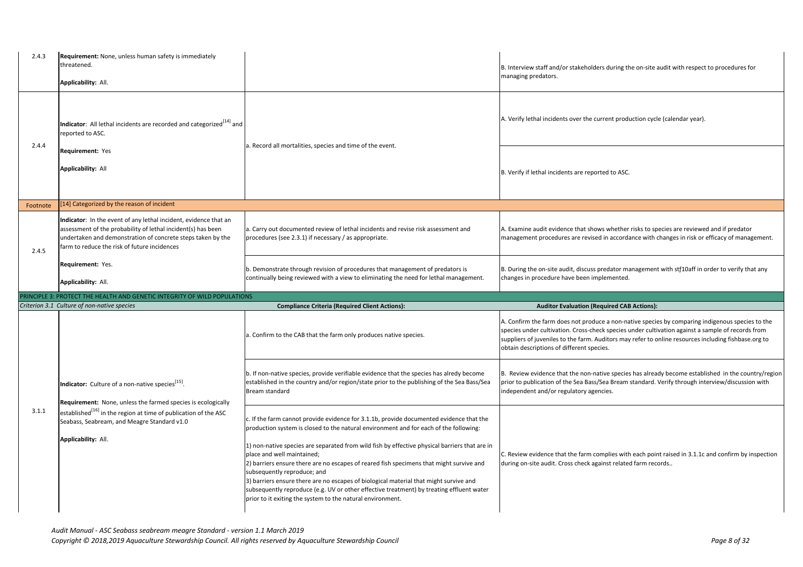| 2.4.3    | <b>Requirement:</b> None, unless human safety is immediately<br>threatened.<br>Applicability: All.                                                                                                                                                                              |                                                                                                                                                                                                                                                                                                                                                                                                                                                                                                                                                                                                                                | B. Interview staff<br>managing predat                                             |
|----------|---------------------------------------------------------------------------------------------------------------------------------------------------------------------------------------------------------------------------------------------------------------------------------|--------------------------------------------------------------------------------------------------------------------------------------------------------------------------------------------------------------------------------------------------------------------------------------------------------------------------------------------------------------------------------------------------------------------------------------------------------------------------------------------------------------------------------------------------------------------------------------------------------------------------------|-----------------------------------------------------------------------------------|
|          | Indicator: All lethal incidents are recorded and categorized <sup>[14]</sup> and<br>reported to ASC.                                                                                                                                                                            |                                                                                                                                                                                                                                                                                                                                                                                                                                                                                                                                                                                                                                | A. Verify lethal in                                                               |
| 2.4.4    | <b>Requirement: Yes</b><br><b>Applicability: All</b>                                                                                                                                                                                                                            | a. Record all mortalities, species and time of the event.                                                                                                                                                                                                                                                                                                                                                                                                                                                                                                                                                                      | B. Verify if lethal                                                               |
| Footnote | [14] Categorized by the reason of incident                                                                                                                                                                                                                                      |                                                                                                                                                                                                                                                                                                                                                                                                                                                                                                                                                                                                                                |                                                                                   |
| 2.4.5    | Indicator: In the event of any lethal incident, evidence that an<br>assessment of the probability of lethal incident(s) has been<br>undertaken and demonstration of concrete steps taken by the<br>farm to reduce the risk of future incidences                                 | a. Carry out documented review of lethal incidents and revise risk assessment and<br>procedures (see 2.3.1) if necessary / as appropriate.                                                                                                                                                                                                                                                                                                                                                                                                                                                                                     | A. Examine audit<br>management pro                                                |
|          | Requirement: Yes.<br>Applicability: All.                                                                                                                                                                                                                                        | b. Demonstrate through revision of procedures that management of predators is<br>continually being reviewed with a view to eliminating the need for lethal management.                                                                                                                                                                                                                                                                                                                                                                                                                                                         | B. During the on-<br>changes in proce                                             |
|          | PRINCIPLE 3: PROTECT THE HEALTH AND GENETIC INTEGRITY OF WILD POPULATIONS                                                                                                                                                                                                       |                                                                                                                                                                                                                                                                                                                                                                                                                                                                                                                                                                                                                                |                                                                                   |
|          | Criterion 3.1 Culture of non-native species                                                                                                                                                                                                                                     | <b>Compliance Criteria (Required Client Actions):</b>                                                                                                                                                                                                                                                                                                                                                                                                                                                                                                                                                                          | Aud                                                                               |
| 3.1.1    |                                                                                                                                                                                                                                                                                 | a. Confirm to the CAB that the farm only produces native species.                                                                                                                                                                                                                                                                                                                                                                                                                                                                                                                                                              | A. Confirm the fa<br>species under cul<br>suppliers of juver<br>obtain descriptio |
|          | <b>Indicator:</b> Culture of a non-native species $^{[15]}$ .                                                                                                                                                                                                                   | b. If non-native species, provide verifiable evidence that the species has alredy become<br>established in the country and/or region/state prior to the publishing of the Sea Bass/Sea<br>Bream standard                                                                                                                                                                                                                                                                                                                                                                                                                       | B. Review eviden<br>prior to publication<br>independent and                       |
|          | Requirement: None, unless the farmed species is ecologically<br>established <sup>[16]</sup> in the region at time of publication of the ASC<br>Seabass, Seabream, and Meagre Standard v1.0<br>Applicability: All.<br>prior to it exiting the system to the natural environment. | c. If the farm cannot provide evidence for 3.1.1b, provide documented evidence that the<br>production system is closed to the natural environment and for each of the following:<br>1) non-native species are separated from wild fish by effective physical barriers that are in<br>place and well maintained;<br>2) barriers ensure there are no escapes of reared fish specimens that might survive and<br>subsequently reproduce; and<br>3) barriers ensure there are no escapes of biological material that might survive and<br>subsequently reproduce (e.g. UV or other effective treatment) by treating effluent water | C. Review eviden<br>during on-site au                                             |

*Audit Manual - ASC Seabass seabream meagre Standard - version 1.1 March 2019 Copyright © 2018,2019 Aquaculture Stewardship Council. All rights reserved by Aquaculture Stewardship Council Page 8 of 32*

and/or stakeholders during the on-site audit with respect to procedures for tors.

here incidents over the current production cycle (calendar year).

incidents are reported to ASC.

evidence that shows whether risks to species are reviewed and if predator pcedures are revised in accordance with changes in risk or efficacy of management.

-site audit, discuss predator management with stf10aff in order to verify that any edure have been implemented.

### **Combilgibiana: CREQUITED Actions** (Required CAB Actions):

arm does not produce a non-native species by comparing indigenous species to the lltivation. Cross-check species under cultivation against a sample of records from niles to the farm. Auditors may refer to online resources including fishbase.org to ons of different species.

Ice that the non-native species has already become established in the country/region ion of the Sea Bass/Sea Bream standard. Verify through interview/discussion with d/or regulatory agencies.

nce that the farm complies with each point raised in 3.1.1c and confirm by inspection dit. Cross check against related farm records..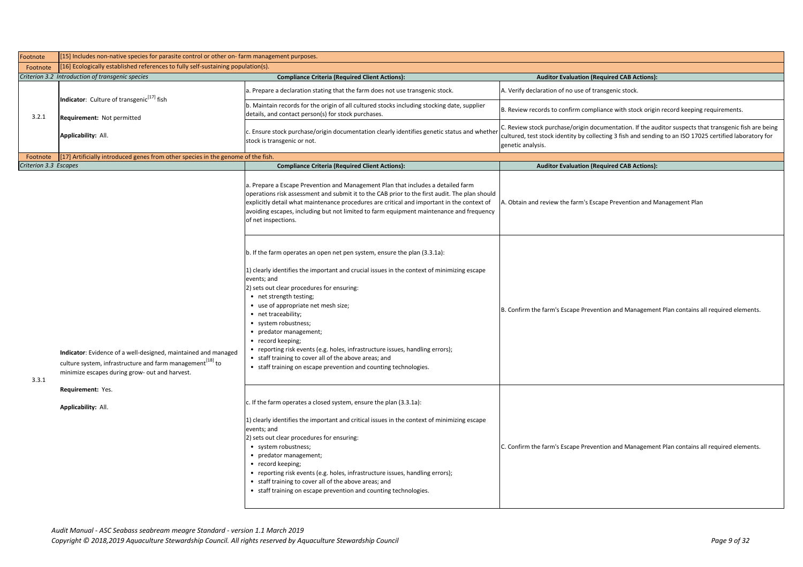| Footnote              | [15] Includes non-native species for parasite control or other on-farm management purposes.                                                                                               |                                                                                                                                                                                                                                                                                                                                                                                                                                                                                                                                                                                                                    |                                                              |
|-----------------------|-------------------------------------------------------------------------------------------------------------------------------------------------------------------------------------------|--------------------------------------------------------------------------------------------------------------------------------------------------------------------------------------------------------------------------------------------------------------------------------------------------------------------------------------------------------------------------------------------------------------------------------------------------------------------------------------------------------------------------------------------------------------------------------------------------------------------|--------------------------------------------------------------|
| Footnote              | [[16] Ecologically established references to fully self-sustaining population(s).                                                                                                         |                                                                                                                                                                                                                                                                                                                                                                                                                                                                                                                                                                                                                    |                                                              |
|                       | Criterion 3.2 Introduction of transgenic species<br><b>Compliance Criteria (Required Client Actions):</b>                                                                                 |                                                                                                                                                                                                                                                                                                                                                                                                                                                                                                                                                                                                                    | Audi                                                         |
|                       |                                                                                                                                                                                           | a. Prepare a declaration stating that the farm does not use transgenic stock.                                                                                                                                                                                                                                                                                                                                                                                                                                                                                                                                      | A. Verify declarat                                           |
|                       | Indicator: Culture of transgenic <sup>[17]</sup> fish                                                                                                                                     | b. Maintain records for the origin of all cultured stocks including stocking date, supplier<br>details, and contact person(s) for stock purchases.                                                                                                                                                                                                                                                                                                                                                                                                                                                                 | B. Review records                                            |
| 3.2.1                 | <b>Requirement: Not permitted</b><br>Applicability: All.                                                                                                                                  | c. Ensure stock purchase/origin documentation clearly identifies genetic status and whether<br>stock is transgenic or not.                                                                                                                                                                                                                                                                                                                                                                                                                                                                                         | C. Review stock p<br>cultured, test sto<br>genetic analysis. |
| Footnote              | [[17] Artificially introduced genes from other species in the genome of the fish.                                                                                                         |                                                                                                                                                                                                                                                                                                                                                                                                                                                                                                                                                                                                                    |                                                              |
| Criterion 3.3 Escapes |                                                                                                                                                                                           | <b>Compliance Criteria (Required Client Actions):</b>                                                                                                                                                                                                                                                                                                                                                                                                                                                                                                                                                              | Audi                                                         |
|                       |                                                                                                                                                                                           | a. Prepare a Escape Prevention and Management Plan that includes a detailed farm<br>operations risk assessment and submit it to the CAB prior to the first audit. The plan should<br>explicitly detail what maintenance procedures are critical and important in the context of<br>avoiding escapes, including but not limited to farm equipment maintenance and frequency<br>of net inspections.                                                                                                                                                                                                                  | A. Obtain and rev                                            |
| 3.3.1                 | Indicator: Evidence of a well-designed, maintained and managed<br>culture system, infrastructure and farm management <sup>[18]</sup> to<br>minimize escapes during grow- out and harvest. | b. If the farm operates an open net pen system, ensure the plan (3.3.1a):<br>1) clearly identifies the important and crucial issues in the context of minimizing escape<br>events; and<br>2) sets out clear procedures for ensuring:<br>• net strength testing;<br>• use of appropriate net mesh size;<br>• net traceability;<br>• system robustness;<br>• predator management;<br>• record keeping;<br>• reporting risk events (e.g. holes, infrastructure issues, handling errors);<br>• staff training to cover all of the above areas; and<br>• staff training on escape prevention and counting technologies. | B. Confirm the far                                           |
|                       | Requirement: Yes.<br>Applicability: All.                                                                                                                                                  | c. If the farm operates a closed system, ensure the plan (3.3.1a):<br>1) clearly identifies the important and critical issues in the context of minimizing escape<br>events; and<br>2) sets out clear procedures for ensuring:<br>• system robustness;<br>• predator management;<br>• record keeping;<br>• reporting risk events (e.g. holes, infrastructure issues, handling errors);<br>• staff training to cover all of the above areas; and<br>• staff training on escape prevention and counting technologies.                                                                                                | C. Confirm the far                                           |

# **Compliance CAB Actions: Required CAB Actions**):

tion of no use of transgenic stock.

s to confirm compliance with stock origin record keeping requirements.

ourchase/origin documentation. If the auditor suspects that transgenic fish are being ck identity by collecting 3 fish and sending to an ISO 17025 certified laboratory for

**Itor Evaluation (Required CAB Actions):** 

view the farm's Escape Prevention and Management Plan

rm's Escape Prevention and Management Plan contains all required elements.

rm's Escape Prevention and Management Plan contains all required elements.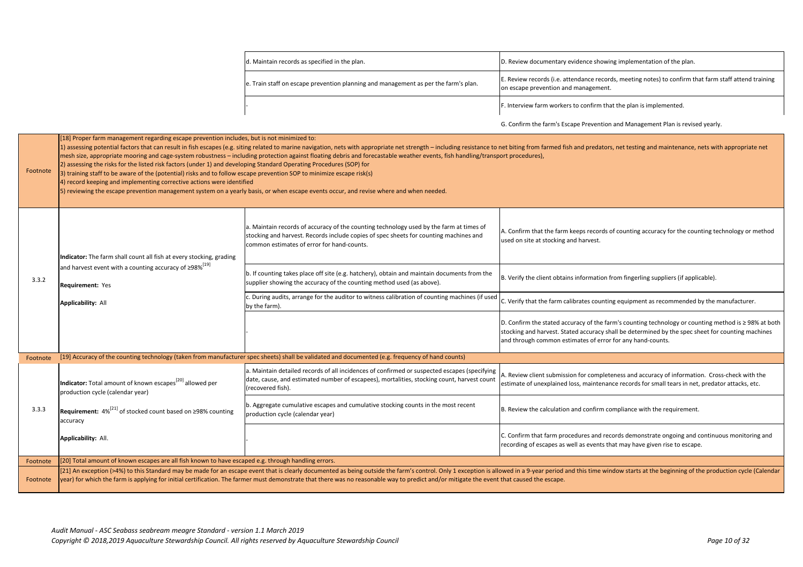G. Confirm the farm's Escape Prevention and Management Plan is revised yearly.

med fish and predators, net testing and maintenance, nets with appropriate net

he farm keeps records of counting accuracy for the counting technology or method ocking and harvest.

nt obtains information from fingerling suppliers (if applicable).

farm calibrates counting equipment as recommended by the manufacturer.

ated accuracy of the farm's counting technology or counting method is ≥ 98% at both vest. Stated accuracy shall be determined by the spec sheet for counting machines mon estimates of error for any hand-counts.

submission for completeness and accuracy of information. Cross-check with the plained loss, maintenance records for small tears in net, predator attacks, etc.

culation and confirm compliance with the requirement.

arm procedures and records demonstrate ongoing and continuous monitoring and pes as well as events that may have given rise to escape.

eriod and this time window starts at the beginning of the production cycle (Calendar

| d. Maintain records as specified in the plan.                                       | D. Review docume                       |
|-------------------------------------------------------------------------------------|----------------------------------------|
| e. Train staff on escape prevention planning and management as per the farm's plan. | E. Review records<br>on escape prevent |
|                                                                                     | F. Interview farm                      |
|                                                                                     | G Confirm the far                      |

| Footnote | [18] Proper farm management regarding escape prevention includes, but is not minimized to:<br>2) assessing the risks for the listed risk factors (under 1) and developing Standard Operating Procedures (SOP) for<br>(3) training staff to be aware of the (potential) risks and to follow escape prevention SOP to minimize escape risk(s)<br>4) record keeping and implementing corrective actions were identified | 1) assessing potential factors that can result in fish escapes (e.g. siting related to marine navigation, nets with appropriate net strength - including resistance to net biting from farmed f<br>mesh size, appropriate mooring and cage-system robustness - including protection against floating debris and forecastable weather events, fish handling/transport procedures),<br>5) reviewing the escape prevention management system on a yearly basis, or when escape events occur, and revise where and when needed. |                                                                             |
|----------|----------------------------------------------------------------------------------------------------------------------------------------------------------------------------------------------------------------------------------------------------------------------------------------------------------------------------------------------------------------------------------------------------------------------|-----------------------------------------------------------------------------------------------------------------------------------------------------------------------------------------------------------------------------------------------------------------------------------------------------------------------------------------------------------------------------------------------------------------------------------------------------------------------------------------------------------------------------|-----------------------------------------------------------------------------|
|          | Indicator: The farm shall count all fish at every stocking, grading                                                                                                                                                                                                                                                                                                                                                  | a. Maintain records of accuracy of the counting technology used by the farm at times of<br>stocking and harvest. Records include copies of spec sheets for counting machines and<br>common estimates of error for hand-counts.                                                                                                                                                                                                                                                                                              | A. Confirm that the farr<br>used on site at stocking                        |
| 3.3.2    | and harvest event with a counting accuracy of ≥98% <sup>[19]</sup><br><b>Requirement: Yes</b>                                                                                                                                                                                                                                                                                                                        | b. If counting takes place off site (e.g. hatchery), obtain and maintain documents from the<br>supplier showing the accuracy of the counting method used (as above).                                                                                                                                                                                                                                                                                                                                                        | B. Verify the client obta                                                   |
|          | <b>Applicability: All</b>                                                                                                                                                                                                                                                                                                                                                                                            | c. During audits, arrange for the auditor to witness calibration of counting machines (if used<br>by the farm).                                                                                                                                                                                                                                                                                                                                                                                                             | C. Verify that the farm                                                     |
|          |                                                                                                                                                                                                                                                                                                                                                                                                                      |                                                                                                                                                                                                                                                                                                                                                                                                                                                                                                                             | D. Confirm the stated a<br>stocking and harvest. St<br>and through common e |
| Footnote |                                                                                                                                                                                                                                                                                                                                                                                                                      | [19] Accuracy of the counting technology (taken from manufacturer spec sheets) shall be validated and documented (e.g. frequency of hand counts)                                                                                                                                                                                                                                                                                                                                                                            |                                                                             |
|          | Indicator: Total amount of known escapes <sup>[20]</sup> allowed per<br>production cycle (calendar year)                                                                                                                                                                                                                                                                                                             | a. Maintain detailed records of all incidences of confirmed or suspected escapes (specifying<br>date, cause, and estimated number of escapees), mortalities, stocking count, harvest count<br>(recovered fish).                                                                                                                                                                                                                                                                                                             | A. Review client submis<br>estimate of unexplaine                           |
| 3.3.3    | Requirement: 4% <sup>[21]</sup> of stocked count based on ≥98% counting<br>accuracy                                                                                                                                                                                                                                                                                                                                  | b. Aggregate cumulative escapes and cumulative stocking counts in the most recent<br>production cycle (calendar year)                                                                                                                                                                                                                                                                                                                                                                                                       | B. Review the calculation                                                   |
|          | <b>Applicability: All.</b>                                                                                                                                                                                                                                                                                                                                                                                           |                                                                                                                                                                                                                                                                                                                                                                                                                                                                                                                             | C. Confirm that farm pr<br>recording of escapes as                          |
| Footnote | [20] Total amount of known escapes are all fish known to have escaped e.g. through handling errors.                                                                                                                                                                                                                                                                                                                  |                                                                                                                                                                                                                                                                                                                                                                                                                                                                                                                             |                                                                             |
| Footnote | [21] An exception (>4%) to this Standard may be made for an escape event that is clearly documented as being outside the farm's control. Only 1 exception is allowed in a 9-year period<br>year) for which the farm is applying for initial certification. The farmer must demonstrate that there was no reasonable way to predict and/or mitigate the event that caused the escape.                                 |                                                                                                                                                                                                                                                                                                                                                                                                                                                                                                                             |                                                                             |

entary evidence showing implementation of the plan.

(i.e. attendance records, meeting notes) to confirm that farm staff attend training tion and management.

workers to confirm that the plan is implemented.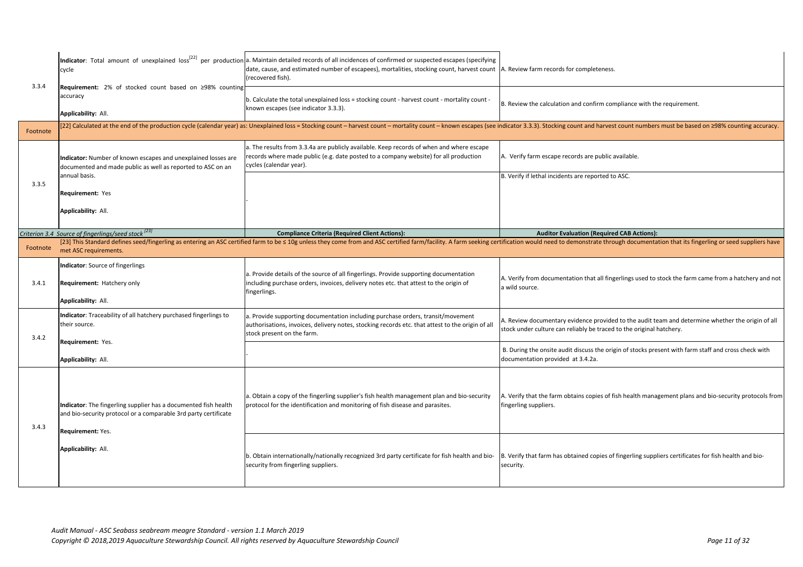|          | cycle                                                                                                                                                          | Indicator: Total amount of unexplained loss <sup>122]</sup> per production a. Maintain detailed records of all incidences of confirmed or suspected escapes (specifying<br>date, cause, and estimated number of escapees), mortalities, stocking count, harvest count  A. Review farm re<br>(recovered fish). |                                           |
|----------|----------------------------------------------------------------------------------------------------------------------------------------------------------------|---------------------------------------------------------------------------------------------------------------------------------------------------------------------------------------------------------------------------------------------------------------------------------------------------------------|-------------------------------------------|
| 3.3.4    | Requirement: 2% of stocked count based on ≥98% counting<br>accuracy<br>Applicability: All.                                                                     | b. Calculate the total unexplained loss = stocking count - harvest count - mortality count -<br>known escapes (see indicator 3.3.3).                                                                                                                                                                          | B. Review the cald                        |
| Footnote |                                                                                                                                                                | [22] Calculated at the end of the production cycle (calendar year) as: Unexplained loss = Stocking count - harvest count - mortality count - known escapes (see indicator 3.3.3). Sto                                                                                                                         |                                           |
|          | Indicator: Number of known escapes and unexplained losses are<br>documented and made public as well as reported to ASC on an                                   | a. The results from 3.3.4a are publicly available. Keep records of when and where escape<br>records where made public (e.g. date posted to a company website) for all production<br>cycles (calendar year).                                                                                                   | A. Verify farm eso                        |
| 3.3.5    | annual basis.                                                                                                                                                  |                                                                                                                                                                                                                                                                                                               | B. Verify if lethal i                     |
|          | <b>Requirement: Yes</b>                                                                                                                                        |                                                                                                                                                                                                                                                                                                               |                                           |
|          | Applicability: All.                                                                                                                                            |                                                                                                                                                                                                                                                                                                               |                                           |
|          | Criterion 3.4 Source of fingerlings/seed stock <sup>[23]</sup>                                                                                                 | <b>Compliance Criteria (Required Client Actions):</b>                                                                                                                                                                                                                                                         | Audi                                      |
| Footnote | met ASC requirements.                                                                                                                                          | [23] This Standard defines seed/fingerling as entering an ASC certified farm to be < 10g unless they come from and ASC certified farm/facility. A farm seeking certification would ne                                                                                                                         |                                           |
| 3.4.1    | Indicator: Source of fingerlings<br><b>Requirement: Hatchery only</b><br>Applicability: All.                                                                   | a. Provide details of the source of all fingerlings. Provide supporting documentation<br>including purchase orders, invoices, delivery notes etc. that attest to the origin of<br>fingerlings.                                                                                                                | A. Verify from doo<br>a wild source.      |
| 3.4.2    | Indicator: Traceability of all hatchery purchased fingerlings to<br>their source.                                                                              | a. Provide supporting documentation including purchase orders, transit/movement<br>authorisations, invoices, delivery notes, stocking records etc. that attest to the origin of all<br>stock present on the farm.                                                                                             | A. Review docum<br>stock under cultur     |
|          | <b>Requirement: Yes.</b>                                                                                                                                       |                                                                                                                                                                                                                                                                                                               | B. During the ons                         |
|          | Applicability: All.                                                                                                                                            |                                                                                                                                                                                                                                                                                                               | documentation pr                          |
| 3.4.3    | Indicator: The fingerling supplier has a documented fish health<br>and bio-security protocol or a comparable 3rd party certificate<br><b>Requirement: Yes.</b> | a. Obtain a copy of the fingerling supplier's fish health management plan and bio-security<br>protocol for the identification and monitoring of fish disease and parasites.                                                                                                                                   | A. Verify that the<br>fingerling supplier |
|          | Applicability: All.                                                                                                                                            | b. Obtain internationally/nationally recognized 3rd party certificate for fish health and bio-<br>security from fingerling suppliers.                                                                                                                                                                         | B. Verify that farn<br>security.          |
|          |                                                                                                                                                                |                                                                                                                                                                                                                                                                                                               |                                           |

ecords for completeness.

culation and confirm compliance with the requirement.

ocking count and harvest count numbers must be based on ≥98% counting accuracy.

cape records are public available.

incidents are reported to ASC.

**Itor Evaluation (Required CAB Actions):** 

eed to demonstrate through documentation that its fingerling or seed suppliers have

cumentation that all fingerlings used to stock the farm came from a hatchery and not

entary evidence provided to the audit team and determine whether the origin of all ire can reliably be traced to the original hatchery.

site audit discuss the origin of stocks present with farm staff and cross check with rovided at 3.4.2a.

 $\epsilon$  farm obtains copies of fish health management plans and bio-security protocols from ers.

m has obtained copies of fingerling suppliers certificates for fish health and bio-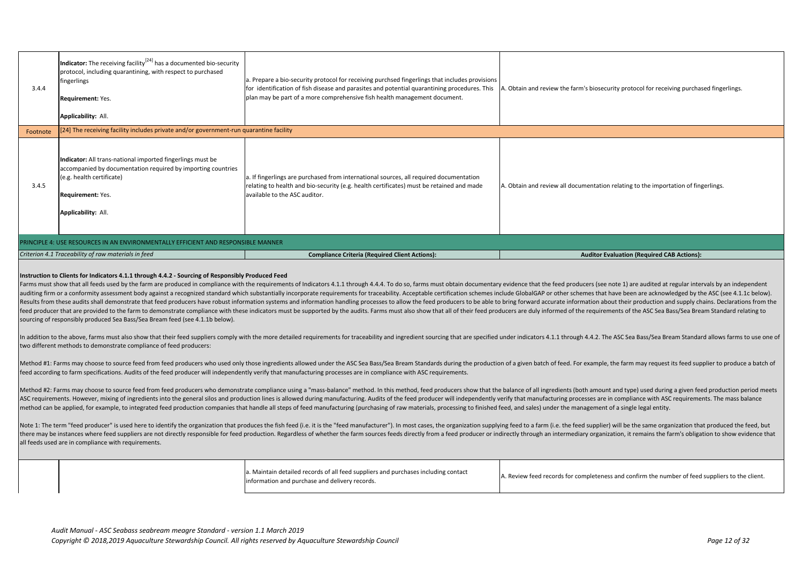a. Maintain detailed records of all feed suppliers and purchases including contact a. Manual decared records of all reed suppliers and purchases including contact and the number of feed suppliers to the client.<br>A. Review feed records for completeness and confirm the number of feed suppliers to the client

Note 1: The term "feed producer" is used here to identify the organization that produces the fish feed (i.e. it is the "feed manufacturer"). In most cases, the organization supplying feed to a farm (i.e. the feed supplier) there may be instances where feed suppliers are not directly responsible for feed production. Regardless of whether the farm sources feeds directly from a feed producer or indirectly through an intermediary organization, i all feeds used are in compliance with requirements.

|                                                                                                                                                                                                                                                                                                                                                                                                                                                                                                                                                                                                                                                                                                                                                                                                                                                                                                                                                                                                                                                                                                                                                                                                                                                                                                                                                                                                                                                                    | 3.4.4                                                                                                                                                              | <b>Indicator:</b> The receiving facility <sup>[24]</sup> has a documented bio-security<br>protocol, including quarantining, with respect to purchased<br>fingerlings<br><b>Requirement: Yes.</b><br>Applicability: All. | a. Prepare a bio-security protocol for receiving purchsed fingerlings that includes provisions<br>for identification of fish disease and parasites and potential quarantining procedures. This<br>plan may be part of a more comprehensive fish health management document. | A. Obtain and rev |  |  |  |
|--------------------------------------------------------------------------------------------------------------------------------------------------------------------------------------------------------------------------------------------------------------------------------------------------------------------------------------------------------------------------------------------------------------------------------------------------------------------------------------------------------------------------------------------------------------------------------------------------------------------------------------------------------------------------------------------------------------------------------------------------------------------------------------------------------------------------------------------------------------------------------------------------------------------------------------------------------------------------------------------------------------------------------------------------------------------------------------------------------------------------------------------------------------------------------------------------------------------------------------------------------------------------------------------------------------------------------------------------------------------------------------------------------------------------------------------------------------------|--------------------------------------------------------------------------------------------------------------------------------------------------------------------|-------------------------------------------------------------------------------------------------------------------------------------------------------------------------------------------------------------------------|-----------------------------------------------------------------------------------------------------------------------------------------------------------------------------------------------------------------------------------------------------------------------------|-------------------|--|--|--|
|                                                                                                                                                                                                                                                                                                                                                                                                                                                                                                                                                                                                                                                                                                                                                                                                                                                                                                                                                                                                                                                                                                                                                                                                                                                                                                                                                                                                                                                                    | Footnote                                                                                                                                                           | [24] The receiving facility includes private and/or government-run quarantine facility                                                                                                                                  |                                                                                                                                                                                                                                                                             |                   |  |  |  |
|                                                                                                                                                                                                                                                                                                                                                                                                                                                                                                                                                                                                                                                                                                                                                                                                                                                                                                                                                                                                                                                                                                                                                                                                                                                                                                                                                                                                                                                                    | 3.4.5                                                                                                                                                              | Indicator: All trans-national imported fingerlings must be<br>accompanied by documentation required by importing countries<br>(e.g. health certificate)<br>Requirement: Yes.<br><b>Applicability: All.</b>              | a. If fingerlings are purchased from international sources, all required documentation<br>relating to health and bio-security (e.g. health certificates) must be retained and made<br>available to the ASC auditor.                                                         | A. Obtain and rev |  |  |  |
|                                                                                                                                                                                                                                                                                                                                                                                                                                                                                                                                                                                                                                                                                                                                                                                                                                                                                                                                                                                                                                                                                                                                                                                                                                                                                                                                                                                                                                                                    | PRINCIPLE 4: USE RESOURCES IN AN ENVIRONMENTALLY EFFICIENT AND RESPONSIBLE MANNER                                                                                  |                                                                                                                                                                                                                         |                                                                                                                                                                                                                                                                             |                   |  |  |  |
|                                                                                                                                                                                                                                                                                                                                                                                                                                                                                                                                                                                                                                                                                                                                                                                                                                                                                                                                                                                                                                                                                                                                                                                                                                                                                                                                                                                                                                                                    |                                                                                                                                                                    | Criterion 4.1 Traceability of raw materials in feed                                                                                                                                                                     | <b>Compliance Criteria (Required Client Actions):</b>                                                                                                                                                                                                                       |                   |  |  |  |
| Instruction to Clients for Indicators 4.1.1 through 4.4.2 - Sourcing of Responsibly Produced Feed<br>Farms must show that all feeds used by the farm are produced in compliance with the requirements of Indicators 4.1.1 through 4.4.4. To do so, farms must obtain documentary evidence that the<br>auditing firm or a conformity assessment body against a recognized standard which substantially incorporate requirements for traceability. Acceptable certification schemes include GlobalGAP o<br>Results from these audits shall demonstrate that feed producers have robust information systems and information handling processes to allow the feed producers to be able to bring forward acc<br>feed producer that are provided to the farm to demonstrate compliance with these indicators must be supported by the audits. Farms must also show that all of their feed producers are duly inf<br>sourcing of responsibly produced Sea Bass/Sea Bream feed (see 4.1.1b below).<br>In addition to the above, farms must also show that their feed suppliers comply with the more detailed requirements for traceability and ingredient sourcing that are specified under indicators 4<br>two different methods to demonstrate compliance of feed producers:<br>Method #1: Farms may choose to source feed from feed producers who used only those ingredients allowed under the ASC Sea Bass/Sea Bream Standards during the production of a given batch |                                                                                                                                                                    |                                                                                                                                                                                                                         |                                                                                                                                                                                                                                                                             |                   |  |  |  |
|                                                                                                                                                                                                                                                                                                                                                                                                                                                                                                                                                                                                                                                                                                                                                                                                                                                                                                                                                                                                                                                                                                                                                                                                                                                                                                                                                                                                                                                                    | feed according to farm specifications. Audits of the feed producer will independently verify that manufacturing processes are in compliance with ASC requirements. |                                                                                                                                                                                                                         |                                                                                                                                                                                                                                                                             |                   |  |  |  |

Method #2: Farms may choose to source feed from feed producers who demonstrate compliance using a "mass-balance" method. In this method, feed producers show that the balance of all ingredients (both amount and type) used d ASC requirements. However, mixing of ingredients into the general silos and production lines is allowed during manufacturing. Audits of the feed producer will independently verify that manufacturing processes are in compli method can be applied, for example, to integrated feed production companies that handle all steps of feed manufacturing (purchasing of raw materials, processing to finished feed, and sales) under the management of a single

iew the farm's biosecurity protocol for receiving purchased fingerlings.

riew all documentation relating to the importation of fingerlings.

## **Auditor Evaluation (Required CAB Actions):**

feed producers (see note 1) are audited at regular intervals by an independent or other schemes that have been are acknowledged by the ASC (see 4.1.1c below). curate information about their production and supply chains. Declarations from the ormed of the requirements of the ASC Sea Bass/Sea Bream Standard relating to

.1.1 through 4.4.2. The ASC Sea Bass/Sea Bream Standard allows farms to use one of

of feed. For example, the farm may request its feed supplier to produce a batch of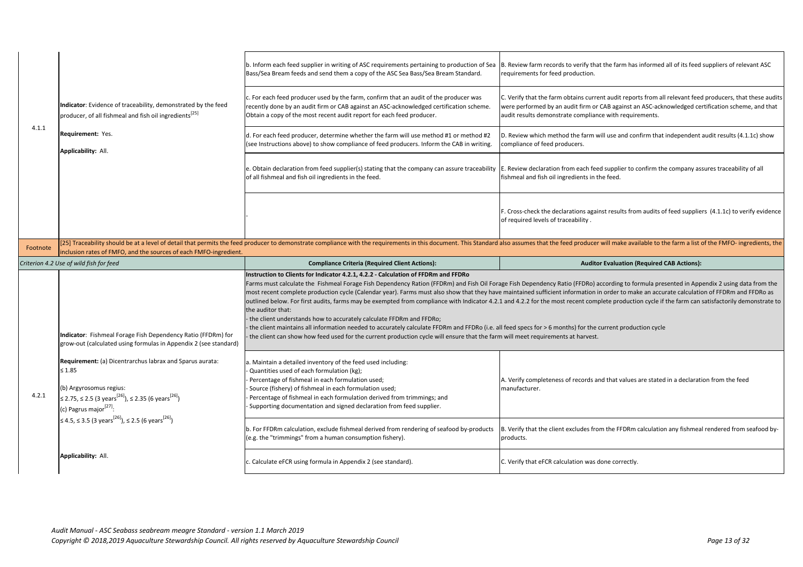|                                                                   |                                                                                                                                                                                                                        | b. Inform each feed supplier in writing of ASC requirements pertaining to production of Sea<br>Bass/Sea Bream feeds and send them a copy of the ASC Sea Bass/Sea Bream Standard.                                                                                                                                                                                                                                                                                                                                                                                                                                                                                                                                                                                    | B. Review farm re<br>requirements for                       |
|-------------------------------------------------------------------|------------------------------------------------------------------------------------------------------------------------------------------------------------------------------------------------------------------------|---------------------------------------------------------------------------------------------------------------------------------------------------------------------------------------------------------------------------------------------------------------------------------------------------------------------------------------------------------------------------------------------------------------------------------------------------------------------------------------------------------------------------------------------------------------------------------------------------------------------------------------------------------------------------------------------------------------------------------------------------------------------|-------------------------------------------------------------|
|                                                                   | Indicator: Evidence of traceability, demonstrated by the feed<br>producer, of all fishmeal and fish oil ingredients <sup>[25]</sup>                                                                                    | c. For each feed producer used by the farm, confirm that an audit of the producer was<br>recently done by an audit firm or CAB against an ASC-acknowledged certification scheme.<br>Obtain a copy of the most recent audit report for each feed producer.                                                                                                                                                                                                                                                                                                                                                                                                                                                                                                           | C. Verify that the<br>were performed b<br>audit results dem |
| 4.1.1                                                             | Requirement: Yes.<br>Applicability: All.                                                                                                                                                                               | d. For each feed producer, determine whether the farm will use method #1 or method #2<br>(see Instructions above) to show compliance of feed producers. Inform the CAB in writing.                                                                                                                                                                                                                                                                                                                                                                                                                                                                                                                                                                                  | D. Review which r<br>compliance of fee                      |
|                                                                   |                                                                                                                                                                                                                        | e. Obtain declaration from feed supplier(s) stating that the company can assure traceability<br>of all fishmeal and fish oil ingredients in the feed.                                                                                                                                                                                                                                                                                                                                                                                                                                                                                                                                                                                                               | E. Review declarat<br>fishmeal and fish                     |
|                                                                   |                                                                                                                                                                                                                        |                                                                                                                                                                                                                                                                                                                                                                                                                                                                                                                                                                                                                                                                                                                                                                     | F. Cross-check the<br>of required levels                    |
| Footnote                                                          |                                                                                                                                                                                                                        | [25] Traceability should be at a level of detail that permits the feed producer to demonstrate compliance with the requirements in this document. This Standard also assumes that                                                                                                                                                                                                                                                                                                                                                                                                                                                                                                                                                                                   |                                                             |
| inclusion rates of FMFO, and the sources of each FMFO-ingredient. |                                                                                                                                                                                                                        |                                                                                                                                                                                                                                                                                                                                                                                                                                                                                                                                                                                                                                                                                                                                                                     |                                                             |
|                                                                   |                                                                                                                                                                                                                        |                                                                                                                                                                                                                                                                                                                                                                                                                                                                                                                                                                                                                                                                                                                                                                     |                                                             |
|                                                                   | Criterion 4.2 Use of wild fish for feed                                                                                                                                                                                | <b>Compliance Criteria (Required Client Actions):</b>                                                                                                                                                                                                                                                                                                                                                                                                                                                                                                                                                                                                                                                                                                               |                                                             |
|                                                                   | Indicator: Fishmeal Forage Fish Dependency Ratio (FFDRm) for<br>grow-out (calculated using formulas in Appendix 2 (see standard)                                                                                       | Instruction to Clients for Indicator 4.2.1, 4.2.2 - Calculation of FFDRm and FFDRo<br>Farms must calculate the Fishmeal Forage Fish Dependency Ration (FFDRm) and Fish Oil Forage Fish Dependen<br>most recent complete production cycle (Calendar year). Farms must also show that they have maintained suffic<br>outlined below. For first audits, farms may be exempted from compliance with Indicator 4.2.1 and 4.2.2 for the<br>the auditor that:<br>the client understands how to accurately calculate FFDRm and FFDRo;<br>the client maintains all information needed to accurately calculate FFDRm and FFDRo (i.e. all feed specs for > 6<br>the client can show how feed used for the current production cycle will ensure that the farm will meet require |                                                             |
| 4.2.1                                                             | Requirement: (a) Dicentrarchus labrax and Sparus aurata:<br>$\leq 1.85$<br>(b) Argyrosomus regius:<br>$\leq$ 2.75, ≤ 2.5 (3 years <sup>[26]</sup> ), ≤ 2.35 (6 years <sup>[26]</sup> )<br>(c) Pagrus major $^{[27]}$ : | a. Maintain a detailed inventory of the feed used including:<br>Quantities used of each formulation (kg);<br>Percentage of fishmeal in each formulation used;<br>Source (fishery) of fishmeal in each formulation used;<br>Percentage of fishmeal in each formulation derived from trimmings; and<br>Supporting documentation and signed declaration from feed supplier.                                                                                                                                                                                                                                                                                                                                                                                            | A. Verify complete<br>manufacturer.                         |
|                                                                   | ≤ 4.5, ≤ 3.5 (3 years <sup>[26]</sup> ), ≤ 2.5 (6 years <sup>[26]</sup> )                                                                                                                                              | b. For FFDRm calculation, exclude fishmeal derived from rendering of seafood by-products<br>(e.g. the "trimmings" from a human consumption fishery).                                                                                                                                                                                                                                                                                                                                                                                                                                                                                                                                                                                                                | B. Verify that the<br>products.                             |
|                                                                   | Applicability: All.                                                                                                                                                                                                    | c. Calculate eFCR using formula in Appendix 2 (see standard).                                                                                                                                                                                                                                                                                                                                                                                                                                                                                                                                                                                                                                                                                                       | C. Verify that eFCI                                         |

ecords to verify that the farm has informed all of its feed suppliers of relevant ASC feed production.

farm obtains current audit reports from all relevant feed producers, that these audits by an audit firm or CAB against an ASC-acknowledged certification scheme, and that nonstrate compliance with requirements.

method the farm will use and confirm that independent audit results (4.1.1c) show ed producers.

ation from each feed supplier to confirm the company assures traceability of all oil ingredients in the feed.

declarations against results from audits of feed suppliers (4.1.1c) to verify evidence of traceability .

the feed producer will make available to the farm a list of the FMFO- ingredients, the

### **Auditor Evaluation (Required CAB Actions):**

Icy Ratio (FFDRo) according to formula presented in Appendix 2 using data from the ient information in order to make an accurate calculation of FFDRm and FFDRo as most recent complete production cycle if the farm can satisfactorily demonstrate to

5 months) for the current production cycle ments at harvest.

eness of records and that values are stated in a declaration from the feed

client excludes from the FFDRm calculation any fishmeal rendered from seafood by-

R calculation was done correctly.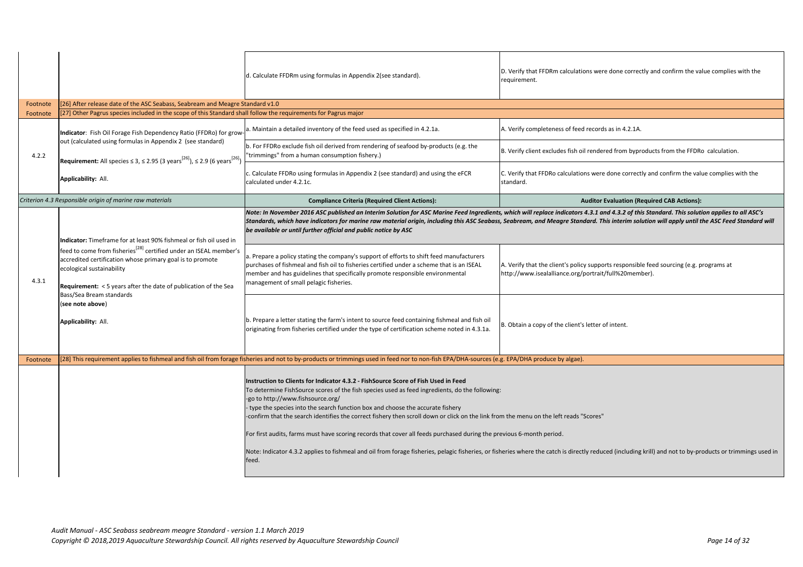|          |                                                                                                                                                                                                                  | d. Calculate FFDRm using formulas in Appendix 2(see standard).                                                                                                                                                                                                                                                                                                                                                                                                                                                                                                                                                                                                                                                         | D. Verify that FFDRm calculatio<br>requirement.                    |
|----------|------------------------------------------------------------------------------------------------------------------------------------------------------------------------------------------------------------------|------------------------------------------------------------------------------------------------------------------------------------------------------------------------------------------------------------------------------------------------------------------------------------------------------------------------------------------------------------------------------------------------------------------------------------------------------------------------------------------------------------------------------------------------------------------------------------------------------------------------------------------------------------------------------------------------------------------------|--------------------------------------------------------------------|
| Footnote | [26] After release date of the ASC Seabass, Seabream and Meagre Standard v1.0                                                                                                                                    |                                                                                                                                                                                                                                                                                                                                                                                                                                                                                                                                                                                                                                                                                                                        |                                                                    |
| Footnote | [27] Other Pagrus species included in the scope of this Standard shall follow the requirements for Pagrus major                                                                                                  |                                                                                                                                                                                                                                                                                                                                                                                                                                                                                                                                                                                                                                                                                                                        |                                                                    |
|          | Indicator: Fish Oil Forage Fish Dependency Ratio (FFDRo) for grow-<br>out (calculated using formulas in Appendix 2 (see standard)                                                                                | a. Maintain a detailed inventory of the feed used as specified in 4.2.1a.<br>b. For FFDRo exclude fish oil derived from rendering of seafood by-products (e.g. the                                                                                                                                                                                                                                                                                                                                                                                                                                                                                                                                                     | A. Verify completeness of feed                                     |
| 4.2.2    |                                                                                                                                                                                                                  | "trimmings" from a human consumption fishery.)                                                                                                                                                                                                                                                                                                                                                                                                                                                                                                                                                                                                                                                                         | B. Verify client excludes fish of                                  |
|          | <b>Requirement:</b> All species $\leq$ 3, $\leq$ 2.95 (3 years <sup>[26]</sup> ), $\leq$ 2.9 (6 years <sup>[26]</sup> )<br>Applicability: All.                                                                   | c. Calculate FFDRo using formulas in Appendix 2 (see standard) and using the eFCR<br>calculated under 4.2.1c.                                                                                                                                                                                                                                                                                                                                                                                                                                                                                                                                                                                                          | C. Verify that FFDRo calculatio<br>standard.                       |
|          | Criterion 4.3 Responsible origin of marine raw materials                                                                                                                                                         | <b>Compliance Criteria (Required Client Actions):</b>                                                                                                                                                                                                                                                                                                                                                                                                                                                                                                                                                                                                                                                                  |                                                                    |
|          | Indicator: Timeframe for at least 90% fishmeal or fish oil used in<br>feed to come from fisheries <sup>[28]</sup> certified under an ISEAL member's                                                              | Note: In November 2016 ASC published an Interim Solution for ASC Marine Feed Ingredients, which will replace indicators<br>Standards, which have indicators for marine raw material origin, including this ASC Seabass, Seabream, and Meagre Stan<br>be available or until further official and public notice by ASC<br>a. Prepare a policy stating the company's support of efforts to shift feed manufacturers                                                                                                                                                                                                                                                                                                       |                                                                    |
| 4.3.1    | accredited certification whose primary goal is to promote<br>ecological sustainability<br><b>Requirement:</b> < 5 years after the date of publication of the Sea<br>Bass/Sea Bream standards<br>(see note above) | purchases of fishmeal and fish oil to fisheries certified under a scheme that is an ISEAL<br>member and has guidelines that specifically promote responsible environmental<br>management of small pelagic fisheries.                                                                                                                                                                                                                                                                                                                                                                                                                                                                                                   | A. Verify that the client's polic<br>http://www.isealalliance.org/ |
|          | Applicability: All.                                                                                                                                                                                              | b. Prepare a letter stating the farm's intent to source feed containing fishmeal and fish oil<br>originating from fisheries certified under the type of certification scheme noted in 4.3.1a.                                                                                                                                                                                                                                                                                                                                                                                                                                                                                                                          | B. Obtain a copy of the client's                                   |
| Footnote |                                                                                                                                                                                                                  | [28] This requirement applies to fishmeal and fish oil from forage fisheries and not to by-products or trimmings used in feed nor to non-fish EPA/DHA-sources (e.g. EPA/DHA produce by algae).                                                                                                                                                                                                                                                                                                                                                                                                                                                                                                                         |                                                                    |
|          |                                                                                                                                                                                                                  | Instruction to Clients for Indicator 4.3.2 - FishSource Score of Fish Used in Feed<br>To determine FishSource scores of the fish species used as feed ingredients, do the following:<br>-go to http://www.fishsource.org/<br>- type the species into the search function box and choose the accurate fishery<br>-confirm that the search identifies the correct fishery then scroll down or click on the link from the menu on the left reads "<br>For first audits, farms must have scoring records that cover all feeds purchased during the previous 6-month period.<br>Note: Indicator 4.3.2 applies to fishmeal and oil from forage fisheries, pelagic fisheries, or fisheries where the catch is direct<br>feed. |                                                                    |

*Note: In November 2016 ASC published an Interim Solution for ASC Marine Feed Ingredients, which will replace indicators 4.3.1 and 4.3.2 of this Standard. This solution applies to all ASC's Standards, which have indicators for marine raw material origin, including this ASC Seabass, Seabream, and Meagre Standard. This interim solution will apply until the ASC Feed Standard will* 

client's policy supports responsible feed sourcing (e.g. programs at lalliance.org/portrait/full%20member).

of the client's letter of intent.

e left reads "Scores"

catch is directly reduced (including krill) and not to by-products or trimmings used in

DRm calculations were done correctly and confirm the value complies with the

teness of feed records as in 4.2.1A.

cludes fish oil rendered from byproducts from the FFDRo calculation.

Ro calculations were done correctly and confirm the value complies with the

**Auditor Evaluation (Required CAB Actions):**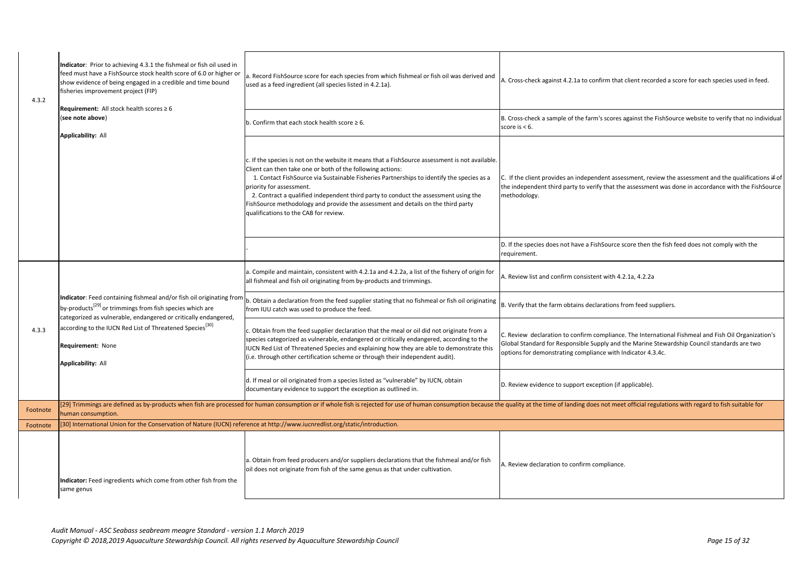| 4.3.2    | Indicator: Prior to achieving 4.3.1 the fishmeal or fish oil used in<br>feed must have a FishSource stock health score of 6.0 or higher or<br>show evidence of being engaged in a credible and time bound<br>fisheries improvement project (FIP)<br>Requirement: All stock health scores $\geq 6$<br>(see note above)<br><b>Applicability: All</b> | a. Record FishSource score for each species from which fishmeal or fish oil was derived and<br>used as a feed ingredient (all species listed in 4.2.1a).                                                                                                                                                                                                                                                                                                                                                               | A. Cross-check aga                                           |
|----------|----------------------------------------------------------------------------------------------------------------------------------------------------------------------------------------------------------------------------------------------------------------------------------------------------------------------------------------------------|------------------------------------------------------------------------------------------------------------------------------------------------------------------------------------------------------------------------------------------------------------------------------------------------------------------------------------------------------------------------------------------------------------------------------------------------------------------------------------------------------------------------|--------------------------------------------------------------|
|          |                                                                                                                                                                                                                                                                                                                                                    | $ $ b. Confirm that each stock health score $\geq 6$ .                                                                                                                                                                                                                                                                                                                                                                                                                                                                 | B. Cross-check a s<br>score is $< 6$ .                       |
|          |                                                                                                                                                                                                                                                                                                                                                    | $\mathsf{c}$ . If the species is not on the website it means that a FishSource assessment is not available.<br>Client can then take one or both of the following actions:<br>1. Contact FishSource via Sustainable Fisheries Partnerships to identify the species as a<br>priority for assessment.<br>2. Contract a qualified independent third party to conduct the assessment using the<br>FishSource methodology and provide the assessment and details on the third party<br>qualifications to the CAB for review. | C. If the client pro<br>the independent t<br>methodology.    |
|          |                                                                                                                                                                                                                                                                                                                                                    |                                                                                                                                                                                                                                                                                                                                                                                                                                                                                                                        | D. If the species d<br>requirement.                          |
|          |                                                                                                                                                                                                                                                                                                                                                    | a. Compile and maintain, consistent with 4.2.1a and 4.2.2a, a list of the fishery of origin for<br>all fishmeal and fish oil originating from by-products and trimmings.                                                                                                                                                                                                                                                                                                                                               | A. Review list and                                           |
|          | by-products <sup>[29]</sup> or trimmings from fish species which are<br>categorized as vulnerable, endangered or critically endangered,                                                                                                                                                                                                            | Indicator: Feed containing fishmeal and/or fish oil originating from $\vert_{b}$ . Obtain a declaration from the feed supplier stating that no fishmeal or fish oil originating<br>from IUU catch was used to produce the feed.                                                                                                                                                                                                                                                                                        | B. Verify that the                                           |
| 4.3.3    | according to the IUCN Red List of Threatened Species <sup>[30]</sup><br><b>Requirement: None</b><br><b>Applicability: All</b>                                                                                                                                                                                                                      | c. Obtain from the feed supplier declaration that the meal or oil did not originate from a<br>species categorized as vulnerable, endangered or critically endangered, according to the<br>IUCN Red List of Threatened Species and explaining how they are able to demonstrate this<br>(i.e. through other certification scheme or through their independent audit).                                                                                                                                                    | C. Review declara<br>Global Standard fo<br>options for demor |
|          |                                                                                                                                                                                                                                                                                                                                                    | d. If meal or oil originated from a species listed as "vulnerable" by IUCN, obtain<br>documentary evidence to support the exception as outlined in.                                                                                                                                                                                                                                                                                                                                                                    | D. Review evidend                                            |
| Footnote | human consumption.                                                                                                                                                                                                                                                                                                                                 | [29] Trimmings are defined as by-products when fish are processed for human consumption or if whole fish is rejected for use of human consumption because the quality at the tir                                                                                                                                                                                                                                                                                                                                       |                                                              |
| Footnote | [30] International Union for the Conservation of Nature (IUCN) reference at http://www.iucnredlist.org/static/introduction.                                                                                                                                                                                                                        |                                                                                                                                                                                                                                                                                                                                                                                                                                                                                                                        |                                                              |
|          | Indicator: Feed ingredients which come from other fish from the<br>same genus                                                                                                                                                                                                                                                                      | a. Obtain from feed producers and/or suppliers declarations that the fishmeal and/or fish<br>oil does not originate from fish of the same genus as that under cultivation.                                                                                                                                                                                                                                                                                                                                             | A. Review declara                                            |

ainst 4.2.1a to confirm that client recorded a score for each species used in feed.

sample of the farm's scores against the FishSource website to verify that no individual

ovides an independent assessment, review the assessment and the qualifications if of third party to verify that the assessment was done in accordance with the FishSource

does not have a FishSource score then the fish feed does not comply with the

d confirm consistent with 4.2.1a, 4.2.2a

farm obtains declarations from feed suppliers.

ation to confirm compliance. The International Fishmeal and Fish Oil Organization's for Responsible Supply and the Marine Stewardship Council standards are two nstrating compliance with Indicator 4.3.4c.

ce to support exception (if applicable).

me of landing does not meet official regulations with regard to fish suitable for

ation to confirm compliance.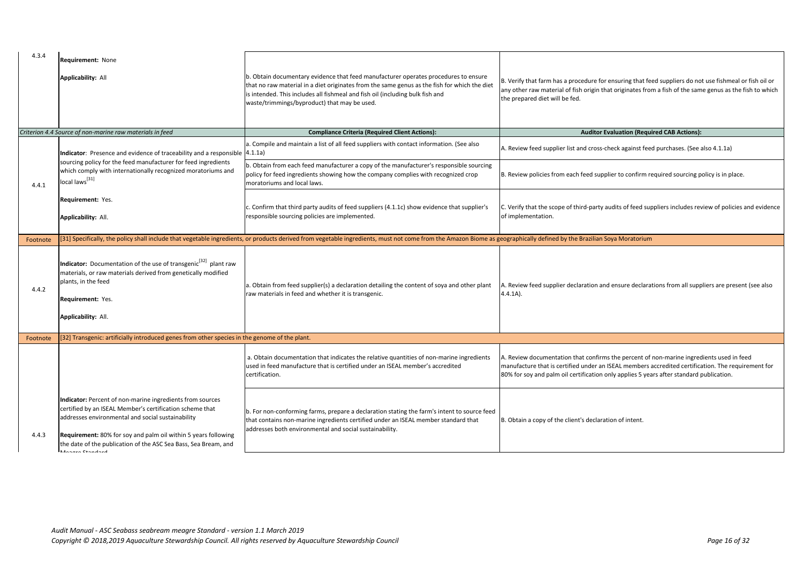## *Criterion 4.4 Source of non-marine raw materials in feed* **Compliance Criteria (Required Client Actions): Auditor Evaluation (Required CAB Actions):**

upplier list and cross-check against feed purchases. (See also 4.1.1a)

s from each feed supplier to confirm required sourcing policy is in place.

scope of third-party audits of feed suppliers includes review of policies and evidence on.

ned by the Brazilian Soya Moratorium

applier declaration and ensure declarations from all suppliers are present (see also

entation that confirms the percent of non-marine ingredients used in feed t is certified under an ISEAL members accredited certification. The requirement for palm oil certification only applies 5 years after standard publication.

of the client's declaration of intent.

| 4.3.4    | <b>Requirement: None</b><br><b>Applicability: All</b>                                                                                                                                                                                                                                                                               | b. Obtain documentary evidence that feed manufacturer operates procedures to ensure<br>that no raw material in a diet originates from the same genus as the fish for which the diet<br>is intended. This includes all fishmeal and fish oil (including bulk fish and<br>waste/trimmings/byproduct) that may be used. | B. Verify that farn<br>any other raw ma<br>the prepared diet |
|----------|-------------------------------------------------------------------------------------------------------------------------------------------------------------------------------------------------------------------------------------------------------------------------------------------------------------------------------------|----------------------------------------------------------------------------------------------------------------------------------------------------------------------------------------------------------------------------------------------------------------------------------------------------------------------|--------------------------------------------------------------|
|          | Criterion 4.4 Source of non-marine raw materials in feed                                                                                                                                                                                                                                                                            | <b>Compliance Criteria (Required Client Actions):</b>                                                                                                                                                                                                                                                                |                                                              |
|          | <b>Indicator:</b> Presence and evidence of traceability and a responsible $\vert 4.1.1a \rangle$                                                                                                                                                                                                                                    | a. Compile and maintain a list of all feed suppliers with contact information. (See also                                                                                                                                                                                                                             | A. Review feed su                                            |
| 4.4.1    | sourcing policy for the feed manufacturer for feed ingredients<br>which comply with internationally recognized moratoriums and<br>local laws <sup>[31]</sup>                                                                                                                                                                        | b. Obtain from each feed manufacturer a copy of the manufacturer's responsible sourcing<br>policy for feed ingredients showing how the company complies with recognized crop<br>moratoriums and local laws.                                                                                                          | B. Review policies                                           |
|          | Requirement: Yes.<br>Applicability: All.                                                                                                                                                                                                                                                                                            | c. Confirm that third party audits of feed suppliers (4.1.1c) show evidence that supplier's<br>responsible sourcing policies are implemented.                                                                                                                                                                        | C. Verify that the<br>of implementatio                       |
| Footnote |                                                                                                                                                                                                                                                                                                                                     | [31] Specifically, the policy shall include that vegetable ingredients, or products derived from vegetable ingredients, must not come from the Amazon Biome as geographically defired                                                                                                                                |                                                              |
| 4.4.2    | Indicator: Documentation of the use of transgenic <sup>[32]</sup> plant raw<br>materials, or raw materials derived from genetically modified<br>plants, in the feed<br>Requirement: Yes.<br>Applicability: All.                                                                                                                     | a. Obtain from feed supplier(s) a declaration detailing the content of soya and other plant<br>raw materials in feed and whether it is transgenic.                                                                                                                                                                   | A. Review feed su<br>$4.4.1A$ ).                             |
| Footnote | [32] Transgenic: artificially introduced genes from other species in the genome of the plant.                                                                                                                                                                                                                                       |                                                                                                                                                                                                                                                                                                                      |                                                              |
|          |                                                                                                                                                                                                                                                                                                                                     | a. Obtain documentation that indicates the relative quantities of non-marine ingredients<br>used in feed manufacture that is certified under an ISEAL member's accredited<br>certification.                                                                                                                          | A. Review docum<br>manufacture that<br>80% for soy and p     |
| 4.4.3    | Indicator: Percent of non-marine ingredients from sources<br>certified by an ISEAL Member's certification scheme that<br>addresses environmental and social sustainability<br>Requirement: 80% for soy and palm oil within 5 years following<br>the date of the publication of the ASC Sea Bass, Sea Bream, and<br>Manazzo Ctondord | b. For non-conforming farms, prepare a declaration stating the farm's intent to source feed<br>that contains non-marine ingredients certified under an ISEAL member standard that<br>addresses both environmental and social sustainability.                                                                         | B. Obtain a copy o                                           |

m has a procedure for ensuring that feed suppliers do not use fishmeal or fish oil or aterial of fish origin that originates from a fish of the same genus as the fish to which t will be fed.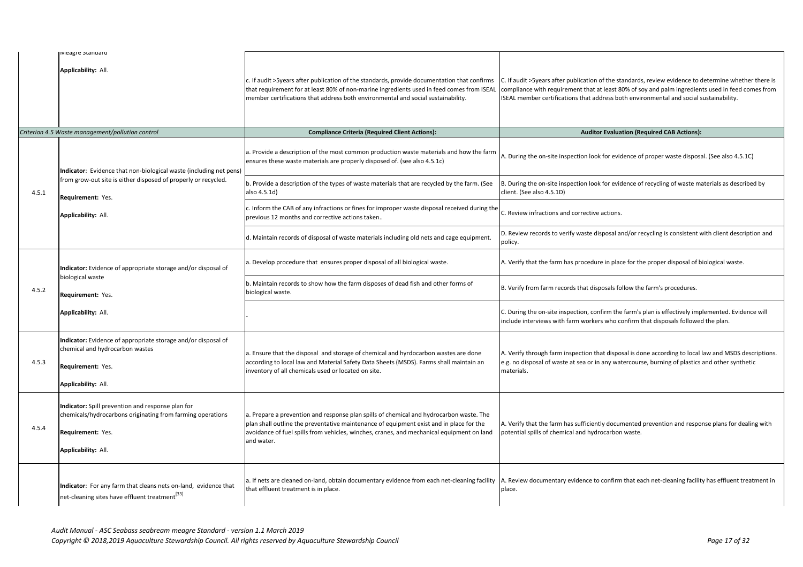### *Criterion 4.5 Waste management/pollution control* **Compliance Criteria (Required Client Actions): Auditor Evaluation (Required CAB Actions):**

site inspection look for evidence of proper waste disposal. (See also 4.5.1C)

site inspection look for evidence of recycling of waste materials as described by  $1.5.1D$ 

ions and corrective actions.

to verify waste disposal and/or recycling is consistent with client description and

farm has procedure in place for the proper disposal of biological waste.

m records that disposals follow the farm's procedures.

site inspection, confirm the farm's plan is effectively implemented. Evidence will is with farm workers who confirm that disposals followed the plan.

farm inspection that disposal is done according to local law and MSDS descriptions. waste at sea or in any watercourse, burning of plastics and other synthetic

farm has sufficiently documented prevention and response plans for dealing with chemical and hydrocarbon waste.

entary evidence to confirm that each net-cleaning facility has effluent treatment in

|       | IMEagre Standard                                                                                                                                                   |                                                                                                                                                                                                                                                                                               |                                                                      |
|-------|--------------------------------------------------------------------------------------------------------------------------------------------------------------------|-----------------------------------------------------------------------------------------------------------------------------------------------------------------------------------------------------------------------------------------------------------------------------------------------|----------------------------------------------------------------------|
|       | Applicability: All.                                                                                                                                                | c. If audit >5years after publication of the standards, provide documentation that confirms<br>that requirement for at least 80% of non-marine ingredients used in feed comes from ISEAL<br>member certifications that address both environmental and social sustainability.                  | C. If audit > 5years<br>compliance with r<br><b>ISEAL member cer</b> |
|       | Criterion 4.5 Waste management/pollution control                                                                                                                   | <b>Compliance Criteria (Required Client Actions):</b>                                                                                                                                                                                                                                         |                                                                      |
|       | Indicator: Evidence that non-biological waste (including net pens)                                                                                                 | a. Provide a description of the most common production waste materials and how the farm<br>ensures these waste materials are properly disposed of. (see also 4.5.1c)                                                                                                                          | A. During the on-s                                                   |
| 4.5.1 | from grow-out site is either disposed of properly or recycled.<br>Requirement: Yes.                                                                                | b. Provide a description of the types of waste materials that are recycled by the farm. (See<br>also 4.5.1d)                                                                                                                                                                                  | B. During the on-s<br>client. (See also 4.                           |
|       | Applicability: All.                                                                                                                                                | c. Inform the CAB of any infractions or fines for improper waste disposal received during the<br>previous 12 months and corrective actions taken                                                                                                                                              | C. Review infractio                                                  |
|       |                                                                                                                                                                    | d. Maintain records of disposal of waste materials including old nets and cage equipment.                                                                                                                                                                                                     | D. Review records<br>policy.                                         |
|       | Indicator: Evidence of appropriate storage and/or disposal of                                                                                                      | a. Develop procedure that ensures proper disposal of all biological waste.                                                                                                                                                                                                                    | A. Verify that the                                                   |
| 4.5.2 | biological waste<br>Requirement: Yes.                                                                                                                              | b. Maintain records to show how the farm disposes of dead fish and other forms of<br>biological waste.                                                                                                                                                                                        | B. Verify from farr                                                  |
|       | Applicability: All.                                                                                                                                                |                                                                                                                                                                                                                                                                                               | C. During the on-s<br>include interviews                             |
| 4.5.3 | Indicator: Evidence of appropriate storage and/or disposal of<br>chemical and hydrocarbon wastes<br>Requirement: Yes.<br>Applicability: All.                       | a. Ensure that the disposal and storage of chemical and hyrdocarbon wastes are done<br>according to local law and Material Safety Data Sheets (MSDS). Farms shall maintain an<br>inventory of all chemicals used or located on site.                                                          | A. Verify through<br>e.g. no disposal of<br>materials.               |
| 4.5.4 | Indicator: Spill prevention and response plan for<br>chemicals/hydrocarbons originating from farming operations<br><b>Requirement: Yes.</b><br>Applicability: All. | a. Prepare a prevention and response plan spills of chemical and hydrocarbon waste. The<br>plan shall outline the preventative maintenance of equipment exist and in place for the<br>avoidance of fuel spills from vehicles, winches, cranes, and mechanical equipment on land<br>and water. | A. Verify that the<br>potential spills of                            |
|       | Indicator: For any farm that cleans nets on-land, evidence that<br>net-cleaning sites have effluent treatment <sup>[33]</sup>                                      | a. If nets are cleaned on-land, obtain documentary evidence from each net-cleaning facility<br>that effluent treatment is in place.                                                                                                                                                           | A. Review docume<br>place.                                           |

after publication of the standards, review evidence to determine whether there is requirement that at least 80% of soy and palm ingredients used in feed comes from rtifications that address both environmental and social sustainability.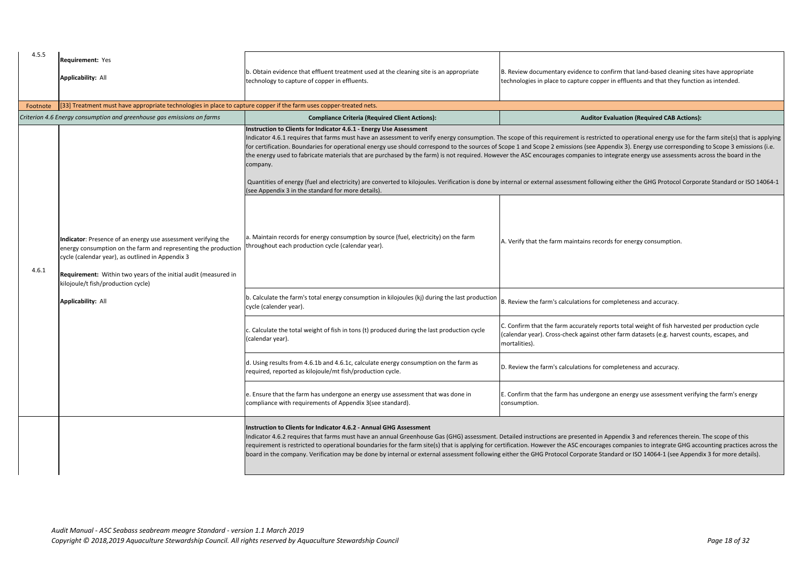| 4.5.5    | <b>Requirement: Yes</b><br><b>Applicability: All</b>                                                                                                                                                                                                                                                                      | b. Obtain evidence that effluent treatment used at the cleaning site is an appropriate<br>technology to capture of copper in effluents.                                                                                                                                                                                                                                                                                             | B. Review docume<br>technologies in pl                    |
|----------|---------------------------------------------------------------------------------------------------------------------------------------------------------------------------------------------------------------------------------------------------------------------------------------------------------------------------|-------------------------------------------------------------------------------------------------------------------------------------------------------------------------------------------------------------------------------------------------------------------------------------------------------------------------------------------------------------------------------------------------------------------------------------|-----------------------------------------------------------|
| Footnote | [33] Treatment must have appropriate technologies in place to capture copper if the farm uses copper-treated nets.                                                                                                                                                                                                        |                                                                                                                                                                                                                                                                                                                                                                                                                                     |                                                           |
|          | Criterion 4.6 Energy consumption and greenhouse gas emissions on farms                                                                                                                                                                                                                                                    | <b>Compliance Criteria (Required Client Actions):</b>                                                                                                                                                                                                                                                                                                                                                                               |                                                           |
|          |                                                                                                                                                                                                                                                                                                                           | Instruction to Clients for Indicator 4.6.1 - Energy Use Assessment<br>Indicator 4.6.1 requires that farms must have an assessment to verify energy consumption. The scope of this re<br>for certification. Boundaries for operational energy use should correspond to the sources of Scope 1 and Scope<br>the energy used to fabricate materials that are purchased by the farm) is not required. However the ASC encou<br>company. |                                                           |
|          |                                                                                                                                                                                                                                                                                                                           | Quantities of energy (fuel and electricity) are converted to kilojoules. Verification is done by internal or externa<br>(see Appendix 3 in the standard for more details).                                                                                                                                                                                                                                                          |                                                           |
| 4.6.1    | Indicator: Presence of an energy use assessment verifying the<br>energy consumption on the farm and representing the production<br>cycle (calendar year), as outlined in Appendix 3<br>Requirement: Within two years of the initial audit (measured in<br>kilojoule/t fish/production cycle)<br><b>Applicability: All</b> | a. Maintain records for energy consumption by source (fuel, electricity) on the farm<br>throughout each production cycle (calendar year).                                                                                                                                                                                                                                                                                           | A. Verify that the                                        |
|          |                                                                                                                                                                                                                                                                                                                           | b. Calculate the farm's total energy consumption in kilojoules (kj) during the last production<br>cycle (calender year).                                                                                                                                                                                                                                                                                                            | <b>B.</b> Review the farr                                 |
|          |                                                                                                                                                                                                                                                                                                                           | c. Calculate the total weight of fish in tons (t) produced during the last production cycle<br>(calendar year).                                                                                                                                                                                                                                                                                                                     | C. Confirm that th<br>(calendar year). C<br>mortalities). |
|          |                                                                                                                                                                                                                                                                                                                           | d. Using results from 4.6.1b and 4.6.1c, calculate energy consumption on the farm as<br>required, reported as kilojoule/mt fish/production cycle.                                                                                                                                                                                                                                                                                   | D. Review the farr                                        |
|          |                                                                                                                                                                                                                                                                                                                           | e. Ensure that the farm has undergone an energy use assessment that was done in<br>compliance with requirements of Appendix 3(see standard).                                                                                                                                                                                                                                                                                        | E. Confirm that th<br>consumption.                        |
|          |                                                                                                                                                                                                                                                                                                                           | <b>Instruction to Clients for Indicator 4.6.2 - Annual GHG Assessment</b><br>Indicator 4.6.2 requires that farms must have an annual Greenhouse Gas (GHG) assessment. Detailed instruction<br>requirement is restricted to operational boundaries for the farm site(s) that is applying for certification. Howev<br>board in the company. Verification may be done by internal or external assessment following either the GHG Pr   |                                                           |

entary evidence to confirm that land-based cleaning sites have appropriate lace to capture copper in effluents and that they function as intended.

**Auditor Evaluation (Required CAB Actions):** 

Indicator 4.6.1 requires that farms must an asset in an assessment to verify entergointed to verify energy con 2 emissions (see Appendix 3). Energy use corresponding to Scope 3 emissions (i.e. rages companies to integrate energy use assessments across the board in the

al assessment following either the GHG Protocol Corporate Standard or ISO 14064-1

farm maintains records for energy consumption.

m's calculations for completeness and accuracy.

ne farm accurately reports total weight of fish harvested per production cycle Cross-check against other farm datasets (e.g. harvest counts, escapes, and

m's calculations for completeness and accuracy.

he farm has undergone an energy use assessment verifying the farm's energy

ons are presented in Appendix 3 and references therein. The scope of this rer the ASC encourages companies to integrate GHG accounting practices across the rotocol Corporate Standard or ISO 14064-1 (see Appendix 3 for more details).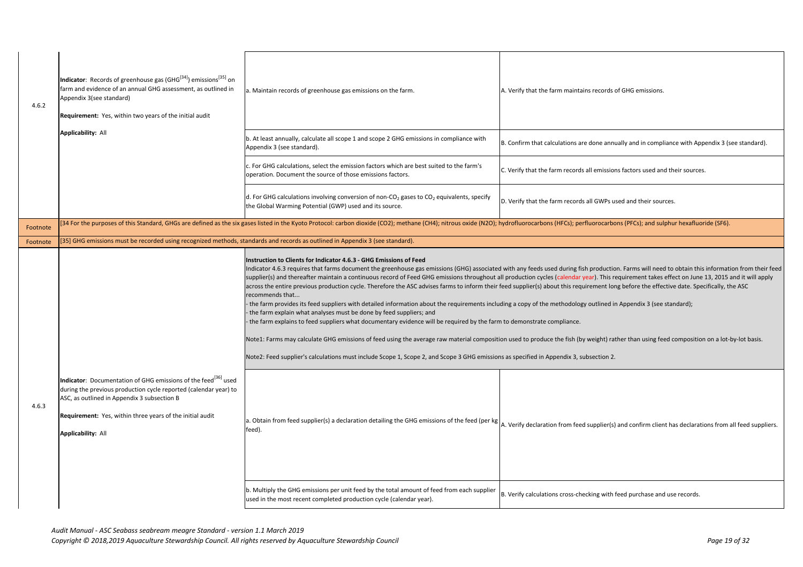| 4.6.2    | Indicator: Records of greenhouse gas (GHG <sup>[34]</sup> ) emissions <sup>[35]</sup> on<br>farm and evidence of an annual GHG assessment, as outlined in<br>Appendix 3(see standard)<br>Requirement: Yes, within two years of the initial audit                                        | a. Maintain records of greenhouse gas emissions on the farm.                                                                                                                                                                                                                                                                                                                                                                                                                                                                                                                                                                                                                                                                                                                                                                                                                                                                                                                                                                                                                                                                                                                     | A. Verify that the farm maint   |
|----------|-----------------------------------------------------------------------------------------------------------------------------------------------------------------------------------------------------------------------------------------------------------------------------------------|----------------------------------------------------------------------------------------------------------------------------------------------------------------------------------------------------------------------------------------------------------------------------------------------------------------------------------------------------------------------------------------------------------------------------------------------------------------------------------------------------------------------------------------------------------------------------------------------------------------------------------------------------------------------------------------------------------------------------------------------------------------------------------------------------------------------------------------------------------------------------------------------------------------------------------------------------------------------------------------------------------------------------------------------------------------------------------------------------------------------------------------------------------------------------------|---------------------------------|
|          | <b>Applicability: All</b>                                                                                                                                                                                                                                                               | b. At least annually, calculate all scope 1 and scope 2 GHG emissions in compliance with<br>Appendix 3 (see standard).                                                                                                                                                                                                                                                                                                                                                                                                                                                                                                                                                                                                                                                                                                                                                                                                                                                                                                                                                                                                                                                           | B. Confirm that calculations a  |
|          |                                                                                                                                                                                                                                                                                         | c. For GHG calculations, select the emission factors which are best suited to the farm's<br>operation. Document the source of those emissions factors.                                                                                                                                                                                                                                                                                                                                                                                                                                                                                                                                                                                                                                                                                                                                                                                                                                                                                                                                                                                                                           | C. Verify that the farm record  |
|          |                                                                                                                                                                                                                                                                                         | d. For GHG calculations involving conversion of non-CO <sub>2</sub> gases to CO <sub>2</sub> equivalents, specify<br>the Global Warming Potential (GWP) used and its source.                                                                                                                                                                                                                                                                                                                                                                                                                                                                                                                                                                                                                                                                                                                                                                                                                                                                                                                                                                                                     | D. Verify that the farm record  |
| Footnote |                                                                                                                                                                                                                                                                                         | [34 For the purposes of this Standard, GHGs are defined as the six gases listed in the Kyoto Protocol: carbon dioxide (CO2); methane (CH4); nitrous oxide (N2O); hydrofluorocarbons (HFCs); pe                                                                                                                                                                                                                                                                                                                                                                                                                                                                                                                                                                                                                                                                                                                                                                                                                                                                                                                                                                                   |                                 |
| Footnote | [35] GHG emissions must be recorded using recognized methods, standards and records as outlined in Appendix 3 (see standard).                                                                                                                                                           |                                                                                                                                                                                                                                                                                                                                                                                                                                                                                                                                                                                                                                                                                                                                                                                                                                                                                                                                                                                                                                                                                                                                                                                  |                                 |
| 4.6.3    | Indicator: Documentation of GHG emissions of the feed <sup>[36]</sup> used<br>during the previous production cycle reported (calendar year) to<br>ASC, as outlined in Appendix 3 subsection B<br>Requirement: Yes, within three years of the initial audit<br><b>Applicability: All</b> | Instruction to Clients for Indicator 4.6.3 - GHG Emissions of Feed<br>Indicator 4.6.3 requires that farms document the greenhouse gas emissions (GHG) associated with any feeds used during f<br>supplier(s) and thereafter maintain a continuous record of Feed GHG emissions throughout all production cycles (calendar<br>across the entire previous production cycle. Therefore the ASC advises farms to inform their feed supplier(s) about this red<br>recommends that<br>the farm provides its feed suppliers with detailed information about the requirements including a copy of the methodolo<br>the farm explain what analyses must be done by feed suppliers; and<br>the farm explains to feed suppliers what documentary evidence will be required by the farm to demonstrate compliance.<br>Note1: Farms may calculate GHG emissions of feed using the average raw material composition used to produce the fish (I<br>Note2: Feed supplier's calculations must include Scope 1, Scope 2, and Scope 3 GHG emissions as specified in Appendix 3,<br>$ $ a. Obtain from feed supplier(s) a declaration detailing the GHG emissions of the feed (per kg $ $<br>feed). | A. Verify declaration from fee  |
|          |                                                                                                                                                                                                                                                                                         | b. Multiply the GHG emissions per unit feed by the total amount of feed from each supplier<br>used in the most recent completed production cycle (calendar year).                                                                                                                                                                                                                                                                                                                                                                                                                                                                                                                                                                                                                                                                                                                                                                                                                                                                                                                                                                                                                | B. Verify calculations cross-ch |
|          |                                                                                                                                                                                                                                                                                         |                                                                                                                                                                                                                                                                                                                                                                                                                                                                                                                                                                                                                                                                                                                                                                                                                                                                                                                                                                                                                                                                                                                                                                                  |                                 |

*Audit Manual - ASC Seabass seabream meagre Standard - version 1.1 March 2019 Copyright © 2018,2019 Aquaculture Stewardship Council. All rights reserved by Aquaculture Stewardship Council Page 19 of 32*

farm maintains records of GHG emissions.

alculations are done annually and in compliance with Appendix 3 (see standard).

farm records all emissions factors used and their sources.

farm records all GWPs used and their sources.

ns (HFCs); perfluorocarbons (PFCs); and sulphur hexafluoride (SF6).

Ised during fish production. Farms will need to obtain this information from their feed es (calendar year). This requirement takes effect on June 13, 2015 and it will apply bout this requirement long before the effective date. Specifically, the ASC

 $\cdot$  methodology outlined in Appendix 3 (see standard);

ce the fish (by weight) rather than using feed composition on a lot-by-lot basis.

Appendix 3, subsection 2.

tion from feed supplier(s) and confirm client has declarations from all feed suppliers.

ions cross-checking with feed purchase and use records.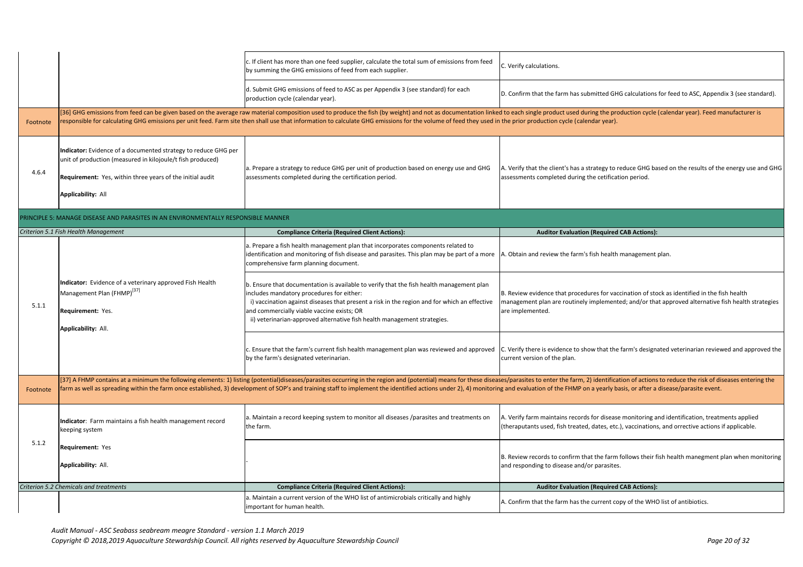|          |                                                                                                                                                                                                                        | c. If client has more than one feed supplier, calculate the total sum of emissions from feed<br>by summing the GHG emissions of feed from each supplier.                                                                                                                                                                                                                    | C. Verify calculations.                                          |
|----------|------------------------------------------------------------------------------------------------------------------------------------------------------------------------------------------------------------------------|-----------------------------------------------------------------------------------------------------------------------------------------------------------------------------------------------------------------------------------------------------------------------------------------------------------------------------------------------------------------------------|------------------------------------------------------------------|
|          |                                                                                                                                                                                                                        | d. Submit GHG emissions of feed to ASC as per Appendix 3 (see standard) for each<br>production cycle (calendar year).                                                                                                                                                                                                                                                       | D. Confirm that the fa                                           |
| Footnote |                                                                                                                                                                                                                        | [36] GHG emissions from feed can be given based on the average raw material composition used to produce the fish (by weight) and not as documentation linked to each single produ<br>responsible for calculating GHG emissions per unit feed. Farm site then shall use that information to calculate GHG emissions for the volume of feed they used in the prior production |                                                                  |
| 4.6.4    | Indicator: Evidence of a documented strategy to reduce GHG per<br>unit of production (measured in kilojoule/t fish produced)<br>Requirement: Yes, within three years of the initial audit<br><b>Applicability: All</b> | a. Prepare a strategy to reduce GHG per unit of production based on energy use and GHG<br>assessments completed during the certification period.                                                                                                                                                                                                                            | A. Verify that the clie<br>assessments complet                   |
|          | PRINCIPLE 5: MANAGE DISEASE AND PARASITES IN AN ENVIRONMENTALLY RESPONSIBLE MANNER                                                                                                                                     |                                                                                                                                                                                                                                                                                                                                                                             |                                                                  |
|          | Criterion 5.1 Fish Health Management                                                                                                                                                                                   | <b>Compliance Criteria (Required Client Actions):</b>                                                                                                                                                                                                                                                                                                                       | <b>Auditor</b>                                                   |
|          |                                                                                                                                                                                                                        | a. Prepare a fish health management plan that incorporates components related to<br>identification and monitoring of fish disease and parasites. This plan may be part of a more<br>comprehensive farm planning document.                                                                                                                                                   | A. Obtain and review                                             |
| 5.1.1    | Indicator: Evidence of a veterinary approved Fish Health<br>Management Plan (FHMP) <sup>[37]</sup><br><b>Requirement: Yes.</b><br>Applicability: All.                                                                  | b. Ensure that documentation is available to verify that the fish health management plan<br>includes mandatory procedures for either:<br>i) vaccination against diseases that present a risk in the region and for which an effective<br>and commercially viable vaccine exists; OR<br>ii) veterinarian-approved alternative fish health management strategies.             | B. Review evidence th<br>management plan are<br>are implemented. |
|          |                                                                                                                                                                                                                        | c. Ensure that the farm's current fish health management plan was reviewed and approved<br>by the farm's designated veterinarian.                                                                                                                                                                                                                                           | C. Verify there is evid<br>current version of the                |
|          |                                                                                                                                                                                                                        | [37] A FHMP contains at a minimum the following elements: 1) listing (potential)diseases/parasites occurring in the region and (potential) means for these diseases/parasites to enter                                                                                                                                                                                      |                                                                  |
| Footnote |                                                                                                                                                                                                                        | farm as well as spreading within the farm once established, 3) development of SOP's and training staff to implement the identified actions under 2), 4) monitoring and evaluation of the                                                                                                                                                                                    |                                                                  |
|          | Indicator: Farm maintains a fish health management record<br>keeping system                                                                                                                                            | a. Maintain a record keeping system to monitor all diseases /parasites and treatments on<br>the farm.                                                                                                                                                                                                                                                                       | A. Verify farm mainta<br>(theraputants used, f                   |
| 5.1.2    | <b>Requirement: Yes</b>                                                                                                                                                                                                |                                                                                                                                                                                                                                                                                                                                                                             |                                                                  |
|          | Applicability: All.                                                                                                                                                                                                    |                                                                                                                                                                                                                                                                                                                                                                             | B. Review records to<br>and responding to dis                    |
|          | <b>Criterion 5.2 Chemicals and treatments</b>                                                                                                                                                                          | <b>Compliance Criteria (Required Client Actions):</b>                                                                                                                                                                                                                                                                                                                       | <b>Auditor</b>                                                   |
|          |                                                                                                                                                                                                                        | a. Maintain a current version of the WHO list of antimicrobials critically and highly<br>important for human health.                                                                                                                                                                                                                                                        | A. Confirm that the fa                                           |
|          |                                                                                                                                                                                                                        |                                                                                                                                                                                                                                                                                                                                                                             |                                                                  |

*Audit Manual - ASC Seabass seabream meagre Standard - version 1.1 March 2019*

Copyright © 2018,2019 Aquaculture Stewardship Council. All rights reserved by Aquaculture Stewardship Council **Page 20** and *Page 20 of 32* 

he farm has submitted GHG calculations for feed to ASC, Appendix 3 (see standard).

oduct used during the production cycle (calendar year). Feed manufacturer is tion cycle (calendar year).

client's has a strategy to reduce GHG based on the results of the energy use and GHG pleted during the cetification period.

**itor Evaluation (Required CAB Actions):** 

view the farm's fish health management plan.

ce that procedures for vaccination of stock as identified in the fish health n are routinely implemented; and/or that approved alternative fish health strategies

evidence to show that the farm's designated veterinarian reviewed and approved the f the plan.

nter the farm, 2) identification of actions to reduce the risk of diseases entering the of the FHMP on a yearly basis, or after a disease/parasite event.

aintains records for disease monitoring and identification, treatments applied ed, fish treated, dates, etc.), vaccinations, and orrective actions if applicable.

s to confirm that the farm follows their fish health manegment plan when monitoring o disease and/or parasites.

## **Itor Evaluation (Required CAB Actions):**

he farm has the current copy of the WHO list of antibiotics.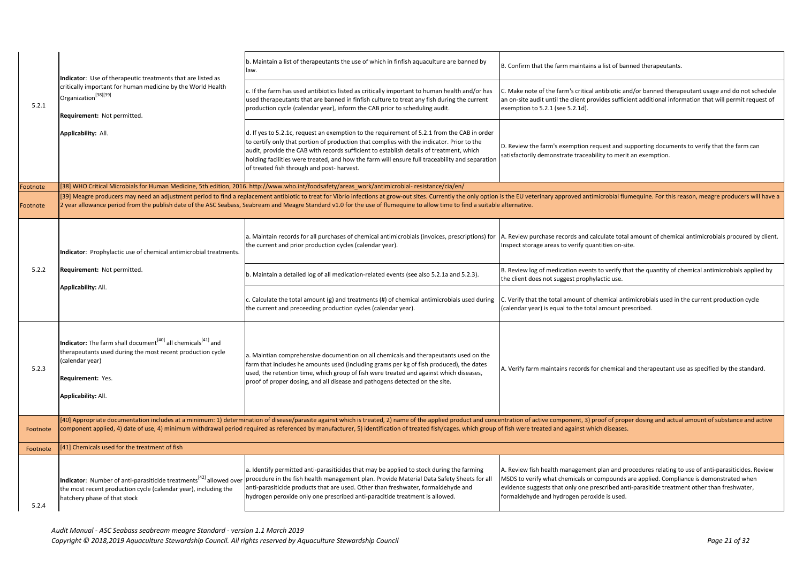|          | Indicator: Use of therapeutic treatments that are listed as<br>critically important for human medicine by the World Health<br>Organization <sup>[38][39]</sup><br>Requirement: Not permitted.<br>Applicability: All.     | b. Maintain a list of therapeutants the use of which in finfish aquaculture are banned by<br>law.                                                                                                                                                                                                                                                                                                                                  | B. Confirm that th                                                               |
|----------|--------------------------------------------------------------------------------------------------------------------------------------------------------------------------------------------------------------------------|------------------------------------------------------------------------------------------------------------------------------------------------------------------------------------------------------------------------------------------------------------------------------------------------------------------------------------------------------------------------------------------------------------------------------------|----------------------------------------------------------------------------------|
| 5.2.1    |                                                                                                                                                                                                                          | $ c$ . If the farm has used antibiotics listed as critically important to human health and/or has<br>used therapeutants that are banned in finfish culture to treat any fish during the current<br>production cycle (calendar year), inform the CAB prior to scheduling audit.                                                                                                                                                     | C. Make note of th<br>an on-site audit u<br>exemption to 5.2.                    |
|          |                                                                                                                                                                                                                          | d. If yes to 5.2.1c, request an exemption to the requirement of 5.2.1 from the CAB in order<br>to certify only that portion of production that complies with the indicator. Prior to the<br>audit, provide the CAB with records sufficient to establish details of treatment, which<br>holding facilities were treated, and how the farm will ensure full traceability and separation<br>of treated fish through and post-harvest. | D. Review the farr<br>satisfactorily dem                                         |
| Footnote |                                                                                                                                                                                                                          | [38] WHO Critical Microbials for Human Medicine, 5th edition, 2016. http://www.who.int/foodsafety/areas_work/antimicrobial-resistance/cia/en/                                                                                                                                                                                                                                                                                      |                                                                                  |
| Footnote |                                                                                                                                                                                                                          | [39] Meagre producers may need an adjustment period to find a replacement antibiotic to treat for Vibrio infections at grow-out sites. Currently the only option is the EU veterinar<br>2 year allowance period from the publish date of the ASC Seabass, Seabream and Meagre Standard v1.0 for the use of flumequine to allow time to find a suitable alternative.                                                                |                                                                                  |
|          | Indicator: Prophylactic use of chemical antimicrobial treatments.<br>Requirement: Not permitted.<br>Applicability: All.                                                                                                  | a. Maintain records for all purchases of chemical antimicrobials (invoices, prescriptions) for<br>the current and prior production cycles (calendar year).                                                                                                                                                                                                                                                                         | A. Review purchas<br>Inspect storage ar                                          |
| 5.2.2    |                                                                                                                                                                                                                          | b. Maintain a detailed log of all medication-related events (see also 5.2.1a and 5.2.3).                                                                                                                                                                                                                                                                                                                                           | B. Review log of m<br>the client does no                                         |
|          |                                                                                                                                                                                                                          | c. Calculate the total amount (g) and treatments (#) of chemical antimicrobials used during<br>the current and preceeding production cycles (calendar year).                                                                                                                                                                                                                                                                       | C. Verify that the<br>(calendar year) is                                         |
| 5.2.3    | Indicator: The farm shall document <sup>[40]</sup> all chemicals <sup>[41]</sup> and<br>therapeutants used during the most recent production cycle<br>(calendar year)<br>Requirement: Yes.<br><b>Applicability: All.</b> | a. Maintian comprehensive documention on all chemicals and therapeutants used on the<br>farm that includes he amounts used (including grams per kg of fish produced), the dates<br>used, the retention time, which group of fish were treated and against which diseases,<br>proof of proper dosing, and all disease and pathogens detected on the site.                                                                           | A. Verify farm mai                                                               |
| Footnote |                                                                                                                                                                                                                          | [40] Appropriate documentation includes at a minimum: 1) determination of disease/parasite against which is treated, 2) name of the applied product and concentration of active<br>component applied, 4) date of use, 4) minimum withdrawal period required as referenced by manufacturer, 5) identification of treated fish/cages. which group of fish were treated                                                               |                                                                                  |
| Footnote | [41] Chemicals used for the treatment of fish                                                                                                                                                                            |                                                                                                                                                                                                                                                                                                                                                                                                                                    |                                                                                  |
| 5.2.4    | Indicator: Number of anti-parasiticide treatments <sup>[42]</sup> allowed over<br>the most recent production cycle (calendar year), including the<br>hatchery phase of that stock                                        | a. Identify permitted anti-parasiticides that may be applied to stock during the farming<br>procedure in the fish health management plan. Provide Material Data Safety Sheets for all<br>anti-parasiticide products that are used. Other than freshwater, formaldehyde and<br>hydrogen peroxide only one prescribed anti-paracitide treatment is allowed.                                                                          | A. Review fish hea<br>MSDS to verify wh<br>evidence suggests<br>formaldehyde and |
|          |                                                                                                                                                                                                                          |                                                                                                                                                                                                                                                                                                                                                                                                                                    |                                                                                  |

he farm maintains a list of banned therapeutants.

he farm's critical antibiotic and/or banned therapeutant usage and do not schedule antil the client provides sufficient additional information that will permit request of  $0.1$  (see 5.2.1d).

m's exemption request and supporting documents to verify that the farm can nonstrate traceability to merit an exemption.

y approved antimicrobial flumequine. For this reason, meagre producers will have a

ise records and calculate total amount of chemical antimicrobials procured by client. reas to verify quantities on-site.

medication events to verify that the quantity of chemical antimicrobials applied by ot suggest prophylactic use.

total amount of chemical antimicrobials used in the current production cycle equal to the total amount prescribed.

aintains records for chemical and therapeutant use as specified by the standard.

component, 3) proof of proper dosing and actual amount of substance and active d and against which diseases.

alth management plan and procedures relating to use of anti-parasiticides. Review hat chemicals or compounds are applied. Compliance is demonstrated when that only one prescribed anti-parasitide treatment other than freshwater, d hydrogen peroxide is used.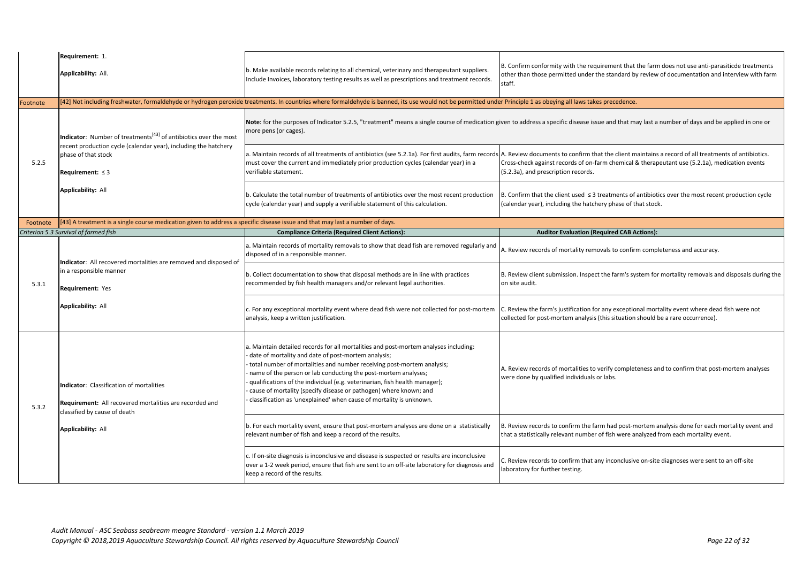|          | Requirement: 1.<br>Applicability: All.                                                                                                                 | b. Make available records relating to all chemical, veterinary and therapeutant suppliers.<br>Include Invoices, laboratory testing results as well as prescriptions and treatment records.                                                                                                                                                                                                                                                                                                                        | B. Confirm conforr<br>other than those p<br>staff. |
|----------|--------------------------------------------------------------------------------------------------------------------------------------------------------|-------------------------------------------------------------------------------------------------------------------------------------------------------------------------------------------------------------------------------------------------------------------------------------------------------------------------------------------------------------------------------------------------------------------------------------------------------------------------------------------------------------------|----------------------------------------------------|
| Footnote |                                                                                                                                                        | [42] Not including freshwater, formaldehyde or hydrogen peroxide treatments. In countries where formaldehyde is banned, its use would not be permitted under Principle 1 as obe                                                                                                                                                                                                                                                                                                                                   |                                                    |
|          | <b>Indicator:</b> Number of treatments <sup>[43]</sup> of antibiotics over the most<br>recent production cycle (calendar year), including the hatchery | Note: for the purposes of Indicator 5.2.5, "treatment" means a single course of medication given to address a sp<br>more pens (or cages).<br>a. Maintain records of all treatments of antibiotics (see 5.2.1a). For first audits, farm records A. Review docume                                                                                                                                                                                                                                                   |                                                    |
| 5.2.5    | phase of that stock<br>Requirement: $\leq$ 3                                                                                                           | must cover the current and immediately prior production cycles (calendar year) in a<br>verifiable statement.                                                                                                                                                                                                                                                                                                                                                                                                      | Cross-check agains<br>$(5.2.3a)$ , and presc       |
|          | <b>Applicability: All</b>                                                                                                                              | b. Calculate the total number of treatments of antibiotics over the most recent production<br>cycle (calendar year) and supply a verifiable statement of this calculation.                                                                                                                                                                                                                                                                                                                                        | B. Confirm that the<br>(calendar year), ind        |
| Footnote | [43] A treatment is a single course medication given to address a specific disease issue and that may last a number of days.                           |                                                                                                                                                                                                                                                                                                                                                                                                                                                                                                                   |                                                    |
|          | Criterion 5.3 Survival of farmed fish                                                                                                                  | <b>Compliance Criteria (Required Client Actions):</b>                                                                                                                                                                                                                                                                                                                                                                                                                                                             | <b>Audit</b>                                       |
|          | Indicator: All recovered mortalities are removed and disposed of                                                                                       | a. Maintain records of mortality removals to show that dead fish are removed regularly and<br>disposed of in a responsible manner.                                                                                                                                                                                                                                                                                                                                                                                | A. Review records                                  |
| 5.3.1    | in a responsible manner<br><b>Requirement: Yes</b>                                                                                                     | b. Collect documentation to show that disposal methods are in line with practices<br>recommended by fish health managers and/or relevant legal authorities.                                                                                                                                                                                                                                                                                                                                                       | <b>B. Review client su</b><br>on site audit.       |
|          | <b>Applicability: All</b>                                                                                                                              | c. For any exceptional mortality event where dead fish were not collected for post-mortem<br>analysis, keep a written justification.                                                                                                                                                                                                                                                                                                                                                                              | C. Review the farm<br>collected for post-          |
| 5.3.2    | Indicator: Classification of mortalities<br>Requirement: All recovered mortalities are recorded and<br>classified by cause of death                    | a. Maintain detailed records for all mortalities and post-mortem analyses including:<br>date of mortality and date of post-mortem analysis;<br>total number of mortalities and number receiving post-mortem analysis;<br>name of the person or lab conducting the post-mortem analyses;<br>qualifications of the individual (e.g. veterinarian, fish health manager);<br>cause of mortality (specify disease or pathogen) where known; and<br>classification as 'unexplained' when cause of mortality is unknown. | A. Review records<br>were done by qual             |
|          | <b>Applicability: All</b>                                                                                                                              | b. For each mortality event, ensure that post-mortem analyses are done on a statistically<br>relevant number of fish and keep a record of the results.                                                                                                                                                                                                                                                                                                                                                            | B. Review records<br>that a statistically          |
|          |                                                                                                                                                        | c. If on-site diagnosis is inconclusive and disease is suspected or results are inconclusive<br>over a 1-2 week period, ensure that fish are sent to an off-site laboratory for diagnosis and<br>keep a record of the results.                                                                                                                                                                                                                                                                                    | C. Review records<br>laboratory for furt           |
|          |                                                                                                                                                        |                                                                                                                                                                                                                                                                                                                                                                                                                                                                                                                   |                                                    |

mity with the requirement that the farm does not use anti-parasiticde treatments bermitted under the standard by review of documentation and interview with farm

#### ping all laws takes precedence. **in the in countries is anned in countries** would not be permitted under the permi

pecific disease issue and that may last a number of days and be applied in one or

ents to confirm that the client maintains a record of all treatments of antibiotics. st records of on-farm chemical & therapeutant use (5.2.1a), medication events cription records.

e client used ≤ 3 treatments of antibiotics over the most recent production cycle cluding the hatchery phase of that stock.

**Combigion (Required CAB Actions):** 

of mortality removals to confirm completeness and accuracy.

abmission. Inspect the farm's system for mortality removals and disposals during the

n's justification for any exceptional mortality event where dead fish were not mortem analysis (this situation should be a rare occurrence).

of mortalities to verify completeness and to confirm that post-mortem analyses lified individuals or labs.

to confirm the farm had post-mortem analysis done for each mortality event and relevant number of fish were analyzed from each mortality event.

to confirm that any inconclusive on-site diagnoses were sent to an off-site her testing.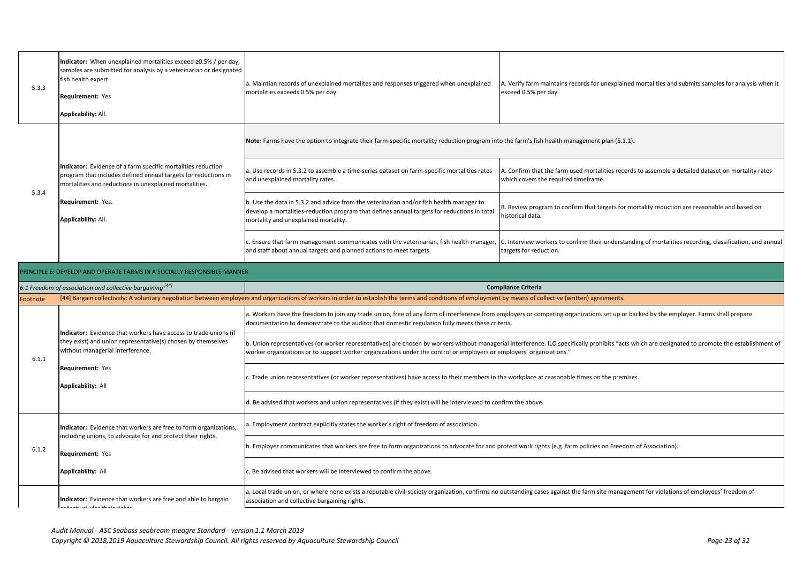|       | 5.3.3 | Indicator: When unexplained mortalities exceed $\geq$ 0.5% / per day,<br>samples are submitted for analysis by a veterinarian or designated<br>fish health expert<br><b>Requirement: Yes</b><br><b>Applicability: All.</b> | a. Maintian records of unexplained mortalites and responses triggered when unexplained<br>mortalities exceeds 0.5% per day.                                                                                                    | A. Verify farm mai<br>exceed 0.5% per c |
|-------|-------|----------------------------------------------------------------------------------------------------------------------------------------------------------------------------------------------------------------------------|--------------------------------------------------------------------------------------------------------------------------------------------------------------------------------------------------------------------------------|-----------------------------------------|
|       |       |                                                                                                                                                                                                                            | Note: Farms have the option to integrate their farm-specific mortality reduction program into the farm's fish he                                                                                                               |                                         |
| 5.3.4 |       | Indicator: Evidence of a farm specific mortalities reduction<br>program that includes defined annual targets for reductions in<br>mortalities and reductions in unexplained mortalities.                                   | a. Use records in 5.3.2 to assemble a time-series dataset on farm-specific mortalities rates<br>and unexplained mortality rates.                                                                                               | A. Confirm that th<br>which covers the  |
|       |       | Requirement: Yes.<br>Applicability: All.                                                                                                                                                                                   | b. Use the data in 5.3.2 and advice from the veterinarian and/or fish health manager to<br>develop a mortalities-reduction program that defines annual targets for reductions in total<br>mortality and unexplained mortality. | B. Review prograr<br>historical data.   |
|       |       |                                                                                                                                                                                                                            | c. Ensure that farm management communicates with the veterinarian, fish health manager,<br>and staff about annual targets and planned actions to meet targets.                                                                 | C. Interview work<br>targets for reduct |

a. A. Verifians records for unexplained mortalities and submits samples for analysis when it day.

**Roterfield mender their farm-**<br>Farm-specified more into the management plan (5.1.1).

he farm used mortalities records to assemble a detailed dataset on mortality rates required timeframe.

m to confirm that targets for mortality reduction are reasonable and based on

kers to confirm their understanding of mortalities recording, classification, and annual tion.

ective (written) agreements.

beting organizations set up or backed by the employer. Farms shall prepare

ILO specifically prohibits "acts which are designated to promote the establishment of

easonable times on the premises.

 $b$  (e.g. farm policies on Freedom of Association).

against the farm site management for violations of employees' freedom of

|                                                           | PRINCIPLE 6: DEVELOP AND OPERATE FARMS IN A SOCIALLY RESPONSIBLE MANNER                                                                                                                                                      |                                                                                                                                                                                                                                              |  |  |
|-----------------------------------------------------------|------------------------------------------------------------------------------------------------------------------------------------------------------------------------------------------------------------------------------|----------------------------------------------------------------------------------------------------------------------------------------------------------------------------------------------------------------------------------------------|--|--|
| 6.1 Freedom of association and collective bargaining [44] |                                                                                                                                                                                                                              | <b>Compliance Criteria</b>                                                                                                                                                                                                                   |  |  |
| Footnote                                                  |                                                                                                                                                                                                                              | [44] Bargain collectively: A voluntary negotiation between employers and organizations of workers in order to establish the terms and conditions of employment by means of collective (w                                                     |  |  |
| 6.1.1                                                     | Indicator: Evidence that workers have access to trade unions (if<br>they exist) and union representative(s) chosen by themselves<br>without managerial interference.<br><b>Requirement: Yes</b><br><b>Applicability: All</b> | a. Workers have the freedom to join any trade union, free of any form of interference from employers or competing or<br>documentation to demonstrate to the auditor that domestic regulation fully meets these criteria.                     |  |  |
|                                                           |                                                                                                                                                                                                                              | b. Union representatives (or worker representatives) are chosen by workers without managerial interference. ILO spec<br>worker organizations or to support worker organizations under the control or employers or employers' organizations." |  |  |
|                                                           |                                                                                                                                                                                                                              | c. Trade union representatives (or worker representatives) have access to their members in the workplace at reasonab                                                                                                                         |  |  |
|                                                           |                                                                                                                                                                                                                              | d. Be advised that workers and union representatives (if they exist) will be interviewed to confirm the above.                                                                                                                               |  |  |
| 6.1.2                                                     | Indicator: Evidence that workers are free to form organizations,<br>including unions, to advocate for and protect their rights.<br><b>Requirement: Yes</b>                                                                   | a. Employment contract explicitly states the worker's right of freedom of association.                                                                                                                                                       |  |  |
|                                                           |                                                                                                                                                                                                                              | b. Employer communicates that workers are free to form organizations to advocate for and protect work rights (e.g. fa                                                                                                                        |  |  |
|                                                           | <b>Applicability: All</b>                                                                                                                                                                                                    | c. Be advised that workers will be interviewed to confirm the above.                                                                                                                                                                         |  |  |
|                                                           | Indicator: Evidence that workers are free and able to bargain<br>معطمات مالمطة ممة بالمنائعممالمم                                                                                                                            | a. Local trade union, or where none exists a reputable civil-society organization, confirms no outstanding cases against<br>association and collective bargaining rights.                                                                    |  |  |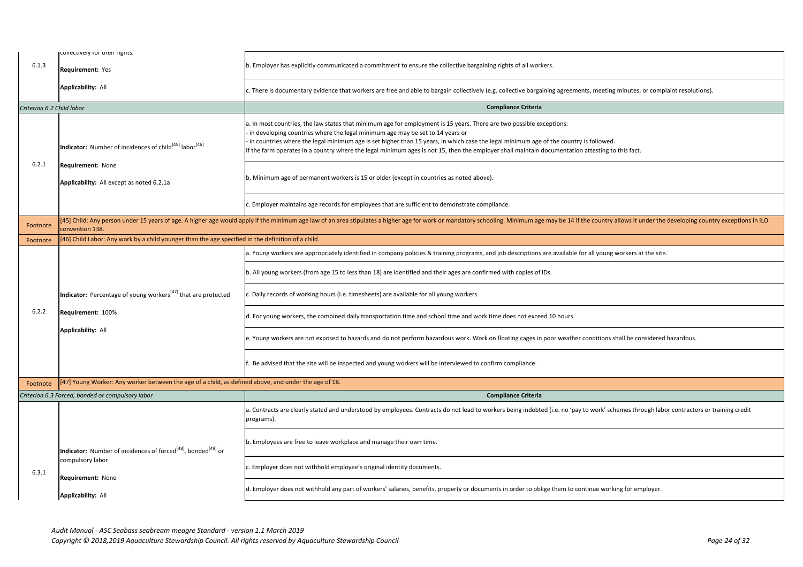| 6.1.3                     | conectively for their rights.<br>Requirement: Yes                                                                                                                                                          | b. Employer has explicitly communicated a commitment to ensure the collective bargaining rights of all workers.                                                                                                                                                                                                                                                                                                                                                                                                                                                                                                                                       |  |
|---------------------------|------------------------------------------------------------------------------------------------------------------------------------------------------------------------------------------------------------|-------------------------------------------------------------------------------------------------------------------------------------------------------------------------------------------------------------------------------------------------------------------------------------------------------------------------------------------------------------------------------------------------------------------------------------------------------------------------------------------------------------------------------------------------------------------------------------------------------------------------------------------------------|--|
|                           | <b>Applicability: All</b>                                                                                                                                                                                  | c. There is documentary evidence that workers are free and able to bargain collectively (e.g. collective bargaining agreer                                                                                                                                                                                                                                                                                                                                                                                                                                                                                                                            |  |
| Criterion 6.2 Child labor |                                                                                                                                                                                                            | <b>Compliance Criteria</b>                                                                                                                                                                                                                                                                                                                                                                                                                                                                                                                                                                                                                            |  |
| 6.2.1                     | Indicator: Number of incidences of child <sup>[45]</sup> labor <sup>[46]</sup><br>Requirement: None<br>Applicability: All except as noted 6.2.1a                                                           | a. In most countries, the law states that minimum age for employment is 15 years. There are two possible exceptions:<br>in developing countries where the legal minimum age may be set to 14 years or<br>in countries where the legal minimum age is set higher than 15 years, in which case the legal minimum age of the coun<br>If the farm operates in a country where the legal minimum ages is not 15, then the employer shall maintain documentat<br>b. Minimum age of permanent workers is 15 or older (except in countries as noted above).<br>c. Employer maintains age records for employees that are sufficient to demonstrate compliance. |  |
| Footnote                  | [45] Child: Any person under 15 years of age. A higher age would apply if the minimum age law of an area stipulates a higher age for work or mandatory schooling. Minimum age may be 14<br>convention 138. |                                                                                                                                                                                                                                                                                                                                                                                                                                                                                                                                                                                                                                                       |  |
| Footnote                  | [46] Child Labor: Any work by a child younger than the age specified in the definition of a child.                                                                                                         |                                                                                                                                                                                                                                                                                                                                                                                                                                                                                                                                                                                                                                                       |  |
|                           |                                                                                                                                                                                                            | a. Young workers are appropriately identified in company policies & training programs, and job descriptions are availabl                                                                                                                                                                                                                                                                                                                                                                                                                                                                                                                              |  |
|                           |                                                                                                                                                                                                            | b. All young workers (from age 15 to less than 18) are identified and their ages are confirmed with copies of IDs.                                                                                                                                                                                                                                                                                                                                                                                                                                                                                                                                    |  |
|                           | Indicator: Percentage of young workers <sup>[47]</sup> that are protected                                                                                                                                  | c. Daily records of working hours (i.e. timesheets) are available for all young workers.                                                                                                                                                                                                                                                                                                                                                                                                                                                                                                                                                              |  |
| 6.2.2                     | Requirement: 100%                                                                                                                                                                                          | d. For young workers, the combined daily transportation time and school time and work time does not exceed 10 hours.                                                                                                                                                                                                                                                                                                                                                                                                                                                                                                                                  |  |
|                           | <b>Applicability: All</b>                                                                                                                                                                                  | e. Young workers are not exposed to hazards and do not perform hazardous work. Work on floating cages in poor weath                                                                                                                                                                                                                                                                                                                                                                                                                                                                                                                                   |  |
|                           |                                                                                                                                                                                                            | Be advised that the site will be inspected and young workers will be interviewed to confirm compliance.                                                                                                                                                                                                                                                                                                                                                                                                                                                                                                                                               |  |
| Footnote                  | [47] Young Worker: Any worker between the age of a child, as defined above, and under the age of 18.                                                                                                       |                                                                                                                                                                                                                                                                                                                                                                                                                                                                                                                                                                                                                                                       |  |
|                           | Criterion 6.3 Forced, bonded or compulsory labor                                                                                                                                                           | <b>Compliance Criteria</b>                                                                                                                                                                                                                                                                                                                                                                                                                                                                                                                                                                                                                            |  |
|                           |                                                                                                                                                                                                            | a. Contracts are clearly stated and understood by employees. Contracts do not lead to workers being indebted (i.e. no 'p<br>programs).                                                                                                                                                                                                                                                                                                                                                                                                                                                                                                                |  |
|                           | Indicator: Number of incidences of forced <sup>[48]</sup> , bonded <sup>[49]</sup> or                                                                                                                      | b. Employees are free to leave workplace and manage their own time.                                                                                                                                                                                                                                                                                                                                                                                                                                                                                                                                                                                   |  |
| 6.3.1                     | compulsory labor<br>Requirement: None                                                                                                                                                                      | c. Employer does not withhold employee's original identity documents.                                                                                                                                                                                                                                                                                                                                                                                                                                                                                                                                                                                 |  |
|                           | <b>Applicability: All</b>                                                                                                                                                                                  | d. Employer does not withhold any part of workers' salaries, benefits, property or documents in order to oblige them to                                                                                                                                                                                                                                                                                                                                                                                                                                                                                                                               |  |
|                           |                                                                                                                                                                                                            |                                                                                                                                                                                                                                                                                                                                                                                                                                                                                                                                                                                                                                                       |  |

*Audit Manual - ASC Seabass seabream meagre Standard - version 1.1 March 2019 Copyright © 2018,2019 Aquaculture Stewardship Council. All rights reserved by Aquaculture Stewardship Council Page 24 of 32*

ing agreements, meeting minutes, or complaint resolutions).

f the country is followed. If the interthe incounter the mentation attesting to this fact.

may be 14 if the country allows it under the developing country exceptions in ILO

e available for all young workers at the site.

oor weather conditions shall be considered hazardous.

l (i.e. no 'pay to work' schemes through labor contractors or training credit

e them to continue working for employer.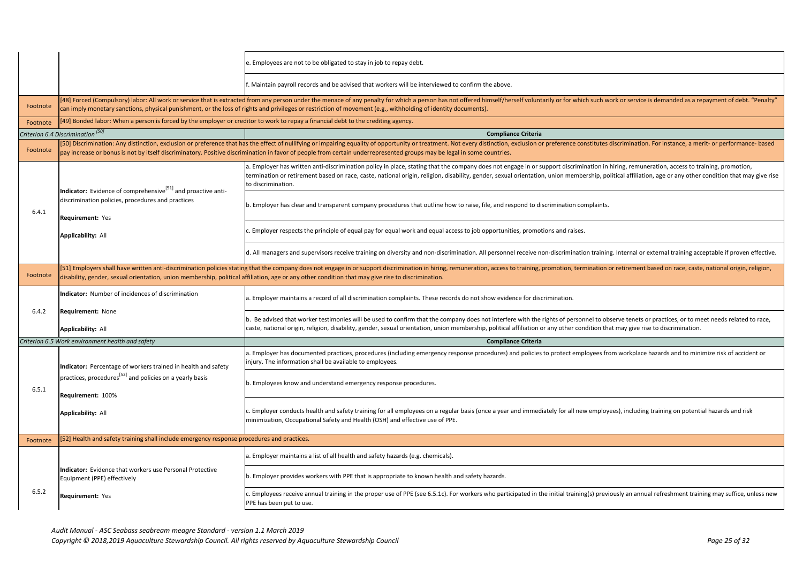|          |                                                                                                                                                                       | e. Employees are not to be obligated to stay in job to repay debt.                                                                                                                                                                                                                                                                                                           |
|----------|-----------------------------------------------------------------------------------------------------------------------------------------------------------------------|------------------------------------------------------------------------------------------------------------------------------------------------------------------------------------------------------------------------------------------------------------------------------------------------------------------------------------------------------------------------------|
|          |                                                                                                                                                                       | f. Maintain payroll records and be advised that workers will be interviewed to confirm the above.                                                                                                                                                                                                                                                                            |
| Footnote |                                                                                                                                                                       | [48] Forced (Compulsory) labor: All work or service that is extracted from any person under the menace of any penalty for which a person has not offered himself/herself voluntarily or for v<br>can imply monetary sanctions, physical punishment, or the loss of rights and privileges or restriction of movement (e.g., withholding of identity documents).               |
| Footnote | [49] Bonded labor: When a person is forced by the employer or creditor to work to repay a financial debt to the crediting agency.                                     |                                                                                                                                                                                                                                                                                                                                                                              |
|          | Criterion 6.4 Discrimination <sup>150]</sup>                                                                                                                          | <b>Compliance Criteria</b>                                                                                                                                                                                                                                                                                                                                                   |
| Footnote |                                                                                                                                                                       | [[50] Discrimination: Any distinction, exclusion or preference that has the effect of nullifying or impairing equality of opportunity or treatment. Not every distinction, exclusion or preference<br>pay increase or bonus is not by itself discriminatory. Positive discrimination in favor of people from certain underrepresented groups may be legal in some countries. |
|          |                                                                                                                                                                       | a. Employer has written anti-discrimination policy in place, stating that the company does not engage in or support discr<br>termination or retirement based on race, caste, national origin, religion, disability, gender, sexual orientation, union mer<br>to discrimination.                                                                                              |
| 6.4.1    | Indicator: Evidence of comprehensive <sup>[51]</sup> and proactive anti-<br>discrimination policies, procedures and practices<br><b>Requirement: Yes</b>              | b. Employer has clear and transparent company procedures that outline how to raise, file, and respond to discriminatior                                                                                                                                                                                                                                                      |
|          | <b>Applicability: All</b>                                                                                                                                             | c. Employer respects the principle of equal pay for equal work and equal access to job opportunities, promotions and rai                                                                                                                                                                                                                                                     |
|          |                                                                                                                                                                       | d. All managers and supervisors receive training on diversity and non-discrimination. All personnel receive non-discrimir                                                                                                                                                                                                                                                    |
| Footnote |                                                                                                                                                                       | [[51] Employers shall have written anti-discrimination policies stating that the company does not engage in or support discrimination in hiring, remuneration, access to training, promotion,<br>disability, gender, sexual orientation, union membership, political affiliation, age or any other condition that may give rise to discrimination.                           |
|          | Indicator: Number of incidences of discrimination                                                                                                                     | a. Employer maintains a record of all discrimination complaints. These records do not show evidence for discrimination.                                                                                                                                                                                                                                                      |
| 6.4.2    | <b>Requirement: None</b><br><b>Applicability: All</b>                                                                                                                 | b. Be advised that worker testimonies will be used to confirm that the company does not interfere with the rights of per<br>caste, national origin, religion, disability, gender, sexual orientation, union membership, political affiliation or any other                                                                                                                   |
|          | Criterion 6.5 Work environment health and safety                                                                                                                      | <b>Compliance Criteria</b>                                                                                                                                                                                                                                                                                                                                                   |
|          | Indicator: Percentage of workers trained in health and safety<br>$ $ practices, procedures <sup>[52]</sup> and policies on a yearly basis<br><b>Requirement: 100%</b> | a. Employer has documented practices, procedures (including emergency response procedures) and policies to protect e<br>injury. The information shall be available to employees.                                                                                                                                                                                             |
| 6.5.1    |                                                                                                                                                                       | b. Employees know and understand emergency response procedures.                                                                                                                                                                                                                                                                                                              |
|          | <b>Applicability: All</b>                                                                                                                                             | c. Employer conducts health and safety training for all employees on a regular basis (once a year and immediately for all<br>minimization, Occupational Safety and Health (OSH) and effective use of PPE.                                                                                                                                                                    |
| Footnote | [52] Health and safety training shall include emergency response procedures and practices.                                                                            |                                                                                                                                                                                                                                                                                                                                                                              |
|          |                                                                                                                                                                       | a. Employer maintains a list of all health and safety hazards (e.g. chemicals).                                                                                                                                                                                                                                                                                              |
|          | Indicator: Evidence that workers use Personal Protective<br>Equipment (PPE) effectively                                                                               | b. Employer provides workers with PPE that is appropriate to known health and safety hazards.                                                                                                                                                                                                                                                                                |
| 6.5.2    | <b>Requirement: Yes</b>                                                                                                                                               | c. Employees receive annual training in the proper use of PPE (see 6.5.1c). For workers who participated in the initial train<br>PPE has been put to use.                                                                                                                                                                                                                    |
|          |                                                                                                                                                                       |                                                                                                                                                                                                                                                                                                                                                                              |

*Audit Manual - ASC Seabass seabream meagre Standard - version 1.1 March 2019*

*Copyright © 2018,2019 Aquaculture Stewardship Council. All rights reserved by Aquaculture Stewardship Council Page 25 of 32*

ily or for which such work or service is demanded as a repayment of debt. "Penalty"

preference constitutes discrimination. For instance, a merit- or performance- based

a. Employer discrimination in hiring, remuneration, access to training, promotion, support discrimination in h union membership, political affiliation, age or any other condition that may give rise

rimination complaints.

ons and raises.

1-discrimination training. Internal or external training acceptable if proven effective.

omotion, termination or retirement based on race, caste, national origin, religion,

ghts of personnel to observe tenets or practices, or to meet needs related to race, any other condition that may give rise to discrimination.

protect employees from workplace hazards and to minimize risk of accident or

tely for all new employees), including training on potential hazards and risk

initial training(s) previously an annual refreshment training may suffice, unless new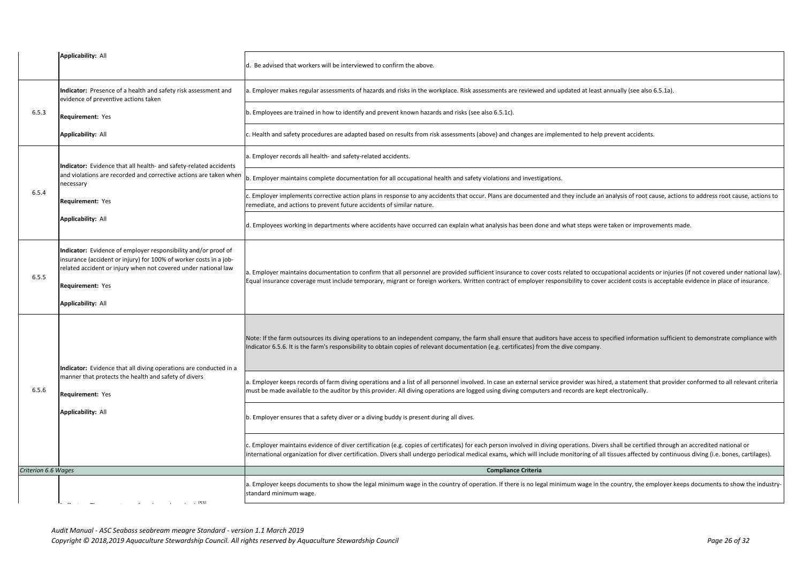| <b>Applicability: All</b>                                                                                                                                                                                                                                     | d. Be advised that workers will be interviewed to confirm the above.                                                                                                                                                                                |
|---------------------------------------------------------------------------------------------------------------------------------------------------------------------------------------------------------------------------------------------------------------|-----------------------------------------------------------------------------------------------------------------------------------------------------------------------------------------------------------------------------------------------------|
|                                                                                                                                                                                                                                                               |                                                                                                                                                                                                                                                     |
| Indicator: Presence of a health and safety risk assessment and<br>evidence of preventive actions taken                                                                                                                                                        | a. Employer makes regular assessments of hazards and risks in the workplace. Risk assessments are reviewed and up                                                                                                                                   |
| Requirement: Yes                                                                                                                                                                                                                                              | b. Employees are trained in how to identify and prevent known hazards and risks (see also 6.5.1c).                                                                                                                                                  |
| <b>Applicability: All</b>                                                                                                                                                                                                                                     | c. Health and safety procedures are adapted based on results from risk assessments (above) and changes are impler                                                                                                                                   |
|                                                                                                                                                                                                                                                               | a. Employer records all health- and safety-related accidents.                                                                                                                                                                                       |
| and violations are recorded and corrective actions are taken when<br>necessary                                                                                                                                                                                | b. Employer maintains complete documentation for all occupational health and safety violations and investigations.                                                                                                                                  |
| <b>Requirement: Yes</b>                                                                                                                                                                                                                                       | c. Employer implements corrective action plans in response to any accidents that occur. Plans are documented and<br>remediate, and actions to prevent future accidents of similar nature.                                                           |
| <b>Applicability: All</b>                                                                                                                                                                                                                                     | d. Employees working in departments where accidents have occurred can explain what analysis has been done and                                                                                                                                       |
| Indicator: Evidence of employer responsibility and/or proof of<br>insurance (accident or injury) for 100% of worker costs in a job-<br>related accident or injury when not covered under national law<br><b>Requirement: Yes</b><br><b>Applicability: All</b> | a. Employer maintains documentation to confirm that all personnel are provided sufficient insurance to cover costs<br>Equal insurance coverage must include temporary, migrant or foreign workers. Written contract of employer respoi              |
|                                                                                                                                                                                                                                                               | Note: If the farm outsources its diving operations to an independent company, the farm shall ensure that auditors h<br>Indicator 6.5.6. It is the farm's responsibility to obtain copies of relevant documentation (e.g. certificates) from the     |
| manner that protects the health and safety of divers<br>Requirement: Yes<br><b>Applicability: All</b>                                                                                                                                                         | a. Employer keeps records of farm diving operations and a list of all personnel involved. In case an external service p<br>must be made available to the auditor by this provider. All diving operations are logged using diving computers and      |
|                                                                                                                                                                                                                                                               | b. Employer ensures that a safety diver or a diving buddy is present during all dives.                                                                                                                                                              |
|                                                                                                                                                                                                                                                               | c. Employer maintains evidence of diver certification (e.g. copies of certificates) for each person involved in diving o<br>international organization for diver certification. Divers shall undergo periodical medical exams, which will include r |
| <b>Criterion 6.6 Wages</b>                                                                                                                                                                                                                                    | <b>Compliance Criteria</b>                                                                                                                                                                                                                          |
| [53]                                                                                                                                                                                                                                                          | a. Employer keeps documents to show the legal minimum wage in the country of operation. If there is no legal mini<br>standard minimum wage.                                                                                                         |
|                                                                                                                                                                                                                                                               | Indicator: Evidence that all health- and safety-related accidents<br>Indicator: Evidence that all diving operations are conducted in a                                                                                                              |

**Requirement:** 0 (None) *Audit Manual - ASC Seabass seabream meagre Standard - version 1.1 March 2019*

*Copyright © 2018,2019 Aquaculture Stewardship Council. All rights reserved by Aquaculture Stewardship Council Page 26 of 32*

and updated at least annually (see also 6.5.1a).

mplemented to help prevent accidents.

l and they include an analysis of root cause, actions to address root cause, actions to

department and what steps were taken or improvements made.

costs related to occupational accidents or injuries (if not covered under national law). esponsibility to cover accident costs is acceptable evidence in place of insurance.

tors have access to specified information sufficient to demonstrate compliance with In the dive company.

vice provider was hired, a statement that provider conformed to all relevant criteria and records are kept electronically.

ring operations. Divers shall be certified through an accredited national or lude monitoring of all tissues affected by continuous diving (i.e. bones, cartilages).

I minimum wage in the country, the employer keeps documents to show the industry-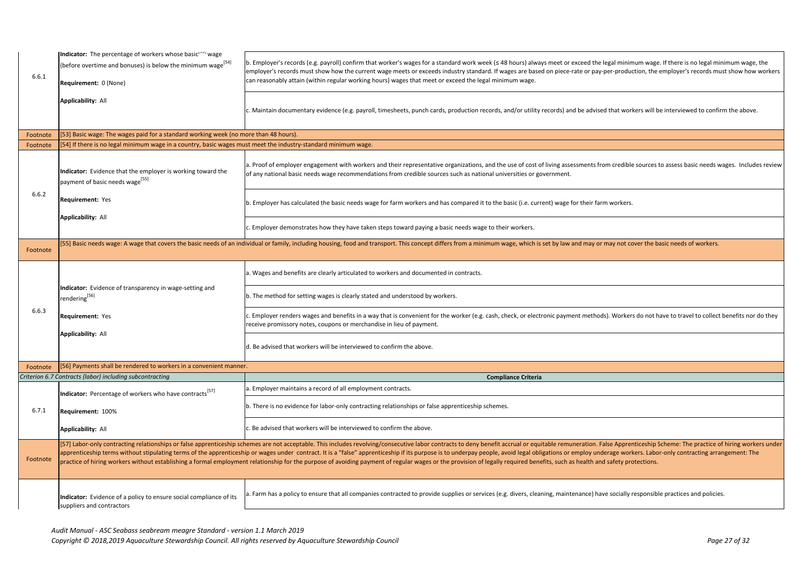| 6.6.1    | Indicator: The percentage of workers whose basicly wage<br>(before overtime and bonuses) is below the minimum wage <sup>[54]</sup><br>Requirement: 0 (None) | $ b$ . Employer's records (e.g. payroll) confirm that worker's wages for a standard work week ( $\leq$ 48 hours) always meet or<br>employer's records must show how the current wage meets or exceeds industry standard. If wages are based on piece-<br>can reasonably attain (within regular working hours) wages that meet or exceed the legal minimum wage.                                                                                                                                                                                                                             |
|----------|-------------------------------------------------------------------------------------------------------------------------------------------------------------|---------------------------------------------------------------------------------------------------------------------------------------------------------------------------------------------------------------------------------------------------------------------------------------------------------------------------------------------------------------------------------------------------------------------------------------------------------------------------------------------------------------------------------------------------------------------------------------------|
|          | <b>Applicability: All</b>                                                                                                                                   | c. Maintain documentary evidence (e.g. payroll, timesheets, punch cards, production records, and/or utility records) ar                                                                                                                                                                                                                                                                                                                                                                                                                                                                     |
| Footnote | [53] Basic wage: The wages paid for a standard working week (no more than 48 hours).                                                                        |                                                                                                                                                                                                                                                                                                                                                                                                                                                                                                                                                                                             |
| Footnote | [54] If there is no legal minimum wage in a country, basic wages must meet the industry-standard minimum wage.                                              |                                                                                                                                                                                                                                                                                                                                                                                                                                                                                                                                                                                             |
|          | Indicator: Evidence that the employer is working toward the<br>payment of basic needs wage <sup>[55]</sup>                                                  | a. Proof of employer engagement with workers and their representative organizations, and the use of cost of living ass<br>of any national basic needs wage recommendations from credible sources such as national universities or government.                                                                                                                                                                                                                                                                                                                                               |
| 6.6.2    | <b>Requirement: Yes</b>                                                                                                                                     | b. Employer has calculated the basic needs wage for farm workers and has compared it to the basic (i.e. current) wage                                                                                                                                                                                                                                                                                                                                                                                                                                                                       |
|          | <b>Applicability: All</b>                                                                                                                                   | c. Employer demonstrates how they have taken steps toward paying a basic needs wage to their workers.                                                                                                                                                                                                                                                                                                                                                                                                                                                                                       |
| Footnote |                                                                                                                                                             | [55] Basic needs wage: A wage that covers the basic needs of an individual or family, including housing, food and transport. This concept differs from a minimum wage, which is set by law                                                                                                                                                                                                                                                                                                                                                                                                  |
|          |                                                                                                                                                             | a. Wages and benefits are clearly articulated to workers and documented in contracts.                                                                                                                                                                                                                                                                                                                                                                                                                                                                                                       |
|          | Indicator: Evidence of transparency in wage-setting and<br>rendering <sup>[56]</sup><br><b>Requirement: Yes</b><br><b>Applicability: All</b>                | b. The method for setting wages is clearly stated and understood by workers.                                                                                                                                                                                                                                                                                                                                                                                                                                                                                                                |
| 6.6.3    |                                                                                                                                                             | $ $ c. Employer renders wages and benefits in a way that is convenient for the worker (e.g. cash, check, or electronic paym<br>receive promissory notes, coupons or merchandise in lieu of payment.                                                                                                                                                                                                                                                                                                                                                                                         |
|          |                                                                                                                                                             | d. Be advised that workers will be interviewed to confirm the above.                                                                                                                                                                                                                                                                                                                                                                                                                                                                                                                        |
| Footnote | [56] Payments shall be rendered to workers in a convenient manner.                                                                                          |                                                                                                                                                                                                                                                                                                                                                                                                                                                                                                                                                                                             |
|          | Criterion 6.7 Contracts (labor) including subcontracting                                                                                                    | <b>Compliance Criteria</b>                                                                                                                                                                                                                                                                                                                                                                                                                                                                                                                                                                  |
|          | <b>Indicator:</b> Percentage of workers who have contracts <sup>[57]</sup>                                                                                  | a. Employer maintains a record of all employment contracts.                                                                                                                                                                                                                                                                                                                                                                                                                                                                                                                                 |
| 6.7.1    | Requirement: 100%                                                                                                                                           | b. There is no evidence for labor-only contracting relationships or false apprenticeship schemes.                                                                                                                                                                                                                                                                                                                                                                                                                                                                                           |
|          | <b>Applicability: All</b>                                                                                                                                   | c. Be advised that workers will be interviewed to confirm the above.                                                                                                                                                                                                                                                                                                                                                                                                                                                                                                                        |
| Footnote |                                                                                                                                                             | [57] Labor-only contracting relationships or false apprenticeship schemes are not acceptable. This includes revolving/consecutive labor contracts to deny benefit accrual or equitable remu<br>apprenticeship terms without stipulating terms of the apprenticeship or wages under contract. It is a "false" apprenticeship if its purpose is to underpay people, avoid legal obligations or<br>practice of hiring workers without establishing a formal employment relationship for the purpose of avoiding payment of regular wages or the provision of legally required benefits, such a |
|          | Indicator: Evidence of a policy to ensure social compliance of its<br>suppliers and contractors                                                             | a. Farm has a policy to ensure that all companies contracted to provide supplies or services (e.g. divers, cleaning, maint                                                                                                                                                                                                                                                                                                                                                                                                                                                                  |

meet or exceed the legal minimum wage. If there is no legal minimum wage, the on piece-rate or pay-per-production, the employer's records must show how workers

cords) and be advised that workers will be interviewed to confirm the above.

iving assessments from credible sources to assess basic needs wages. Includes review

nt) wage for their farm workers.

t by law and may or may not cover the basic needs of workers.

nic payment methods). Workers do not have to travel to collect benefits nor do they

ble remuneration. False Apprenticeship Scheme: The practice of hiring workers under ations or employ underage workers. Labor-only contracting arrangement: The ts, such as health and safety protections.

ng, maintenance) have socially responsible practices and policies.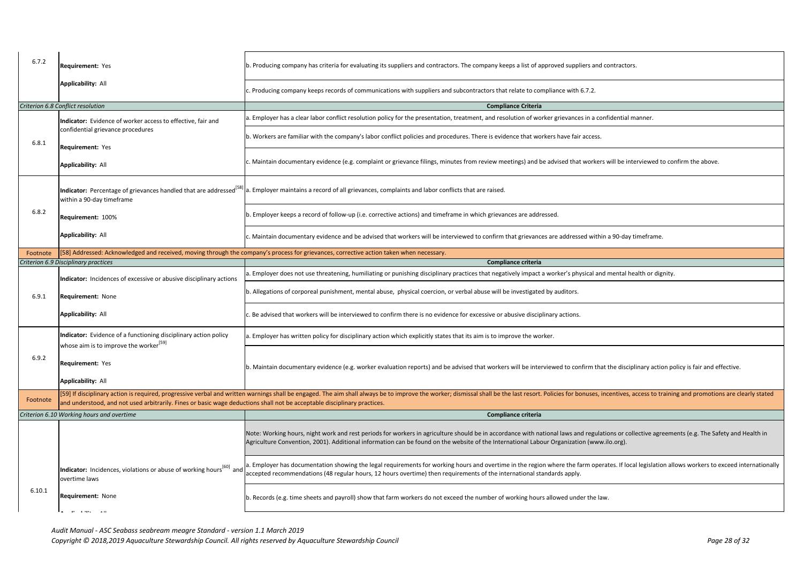| 6.7.2    | <b>Requirement: Yes</b>                                                                                                  | b. Producing company has criteria for evaluating its suppliers and contractors. The company keeps a list of approved suppl                                                                                                                             |
|----------|--------------------------------------------------------------------------------------------------------------------------|--------------------------------------------------------------------------------------------------------------------------------------------------------------------------------------------------------------------------------------------------------|
|          | <b>Applicability: All</b>                                                                                                | c. Producing company keeps records of communications with suppliers and subcontractors that relate to compliance with                                                                                                                                  |
|          | Criterion 6.8 Conflict resolution                                                                                        | <b>Compliance Criteria</b>                                                                                                                                                                                                                             |
|          |                                                                                                                          | a. Employer has a clear labor conflict resolution policy for the presentation, treatment, and resolution of worker grievance                                                                                                                           |
|          | Indicator: Evidence of worker access to effective, fair and<br>confidential grievance procedures                         | b. Workers are familiar with the company's labor conflict policies and procedures. There is evidence that workers have fair                                                                                                                            |
| 6.8.1    | <b>Requirement: Yes</b>                                                                                                  |                                                                                                                                                                                                                                                        |
|          | <b>Applicability: All</b>                                                                                                | c. Maintain documentary evidence (e.g. complaint or grievance filings, minutes from review meetings) and be advised that                                                                                                                               |
|          | within a 90-day timeframe                                                                                                | Indicator: Percentage of grievances handled that are addressed <sup>[58]</sup> a. Employer maintains a record of all grievances, complaints and labor conflicts that are raised.                                                                       |
| 6.8.2    | <b>Requirement: 100%</b>                                                                                                 | b. Employer keeps a record of follow-up (i.e. corrective actions) and timeframe in which grievances are addressed.                                                                                                                                     |
|          | <b>Applicability: All</b>                                                                                                | c. Maintain documentary evidence and be advised that workers will be interviewed to confirm that grievances are address                                                                                                                                |
| Footnote |                                                                                                                          | [58] Addressed: Acknowledged and received, moving through the company's process for grievances, corrective action taken when necessary.                                                                                                                |
|          | Criterion 6.9 Disciplinary practices                                                                                     | <b>Compliance criteria</b>                                                                                                                                                                                                                             |
|          | Indicator: Incidences of excessive or abusive disciplinary actions                                                       | a. Employer does not use threatening, humiliating or punishing disciplinary practices that negatively impact a worker's phy                                                                                                                            |
| 6.9.1    | <b>Requirement: None</b>                                                                                                 | b. Allegations of corporeal punishment, mental abuse, physical coercion, or verbal abuse will be investigated by auditors.                                                                                                                             |
|          | <b>Applicability: All</b>                                                                                                | c. Be advised that workers will be interviewed to confirm there is no evidence for excessive or abusive disciplinary actions.                                                                                                                          |
|          | Indicator: Evidence of a functioning disciplinary action policy<br>whose aim is to improve the worker <sup>[59]</sup>    | a. Employer has written policy for disciplinary action which explicitly states that its aim is to improve the worker.                                                                                                                                  |
| 6.9.2    | <b>Requirement: Yes</b>                                                                                                  | b. Maintain documentary evidence (e.g. worker evaluation reports) and be advised that workers will be interviewed to cor                                                                                                                               |
|          | <b>Applicability: All</b>                                                                                                |                                                                                                                                                                                                                                                        |
| Footnote | and understood, and not used arbitrarily. Fines or basic wage deductions shall not be acceptable disciplinary practices. | [59] If disciplinary action is required, progressive verbal and written warnings shall be engaged. The aim shall always be to improve the worker; dismissal shall be the last resort. Policies for bo                                                  |
|          | Criterion 6.10 Working hours and overtime                                                                                | <b>Compliance criteria</b>                                                                                                                                                                                                                             |
|          |                                                                                                                          | Note: Working hours, night work and rest periods for workers in agriculture should be in accordance with national laws an<br>Agriculture Convention, 2001). Additional information can be found on the website of the International Labour Organizatio |
|          | <b> Indicator:</b> Incidences, violations or abuse of working hours <sup>[60]</sup> and<br>overtime laws                 | a. Employer has documentation showing the legal requirements for working hours and overtime in the region where the fa<br>accepted recommendations (48 regular hours, 12 hours overtime) then requirements of the international standards apply.       |
| 6.10.1   | <b>Requirement: None</b>                                                                                                 | b. Records (e.g. time sheets and payroll) show that farm workers do not exceed the number of working hours allowed und                                                                                                                                 |
|          |                                                                                                                          |                                                                                                                                                                                                                                                        |

*Audit Manual - ASC Seabass seabream meagre Standard - version 1.1 March 2019*

*Copyright © 2018,2019 Aquaculture Stewardship Council. All rights reserved by Aquaculture Stewardship Council Page 28 of 32*

roved suppliers and contractors.

pliance with 6.7.2.

er grievances in a confidential manner.

ers have fair access.

advised that workers will be interviewed to confirm the above.

are addressed within a 90-day timeframe.

worker's physical and mental health or dignity.

iewed to confirm that the disciplinary action policy is fair and effective.

olicies for bonuses, incentives, access to training and promotions are clearly stated

onal laws and regulations or collective agreements (e.g. The Safety and Health in **Organization (www.ilo.org).** 

where the farm operates. If local legislation allows workers to exceed internationally

allowed under the law.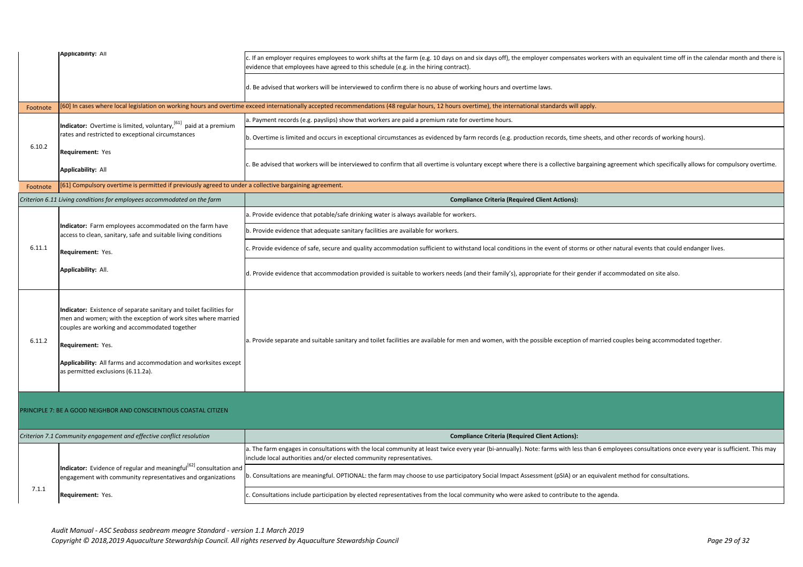|                                                                   | <b>Applicability: All</b>                                                                                                                                                                                                                                                                                           | c. If an employer requires employees to work shifts at the farm (e.g. 10 days on and six days off), the employer compensates wo<br>evidence that employees have agreed to this schedule (e.g. in the hiring contract). |
|-------------------------------------------------------------------|---------------------------------------------------------------------------------------------------------------------------------------------------------------------------------------------------------------------------------------------------------------------------------------------------------------------|------------------------------------------------------------------------------------------------------------------------------------------------------------------------------------------------------------------------|
|                                                                   |                                                                                                                                                                                                                                                                                                                     | d. Be advised that workers will be interviewed to confirm there is no abuse of working hours and overtime laws.                                                                                                        |
| Footnote                                                          |                                                                                                                                                                                                                                                                                                                     | [60] In cases where local legislation on working hours and overtime exceed internationally accepted recommendations (48 regular hours, 12 hours overtime), the international standards will apply.                     |
|                                                                   | Indicator: Overtime is limited, voluntary, <sup>[61]</sup> paid at a premium                                                                                                                                                                                                                                        | a. Payment records (e.g. payslips) show that workers are paid a premium rate for overtime hours.                                                                                                                       |
| 6.10.2                                                            | rates and restricted to exceptional circumstances                                                                                                                                                                                                                                                                   | b. Overtime is limited and occurs in exceptional circumstances as evidenced by farm records (e.g. production records, time shee                                                                                        |
|                                                                   | <b>Requirement: Yes</b>                                                                                                                                                                                                                                                                                             |                                                                                                                                                                                                                        |
|                                                                   | <b>Applicability: All</b>                                                                                                                                                                                                                                                                                           | c. Be advised that workers will be interviewed to confirm that all overtime is voluntary except where there is a collective bargair                                                                                    |
| Footnote                                                          | [61] Compulsory overtime is permitted if previously agreed to under a collective bargaining agreement.                                                                                                                                                                                                              |                                                                                                                                                                                                                        |
|                                                                   | Criterion 6.11 Living conditions for employees accommodated on the farm                                                                                                                                                                                                                                             | <b>Compliance Criteria (Required Client Actions):</b>                                                                                                                                                                  |
|                                                                   |                                                                                                                                                                                                                                                                                                                     | a. Provide evidence that potable/safe drinking water is always available for workers.                                                                                                                                  |
|                                                                   | Indicator: Farm employees accommodated on the farm have<br>access to clean, sanitary, safe and suitable living conditions<br>Requirement: Yes.                                                                                                                                                                      | b. Provide evidence that adequate sanitary facilities are available for workers.                                                                                                                                       |
| 6.11.1                                                            |                                                                                                                                                                                                                                                                                                                     | c. Provide evidence of safe, secure and quality accommodation sufficient to withstand local conditions in the event of storms or                                                                                       |
|                                                                   | Applicability: All.                                                                                                                                                                                                                                                                                                 | d. Provide evidence that accommodation provided is suitable to workers needs (and their family's), appropriate for their gender                                                                                        |
| 6.11.2                                                            | Indicator: Existence of separate sanitary and toilet facilities for<br>men and women; with the exception of work sites where married<br>couples are working and accommodated together<br>Requirement: Yes.<br>Applicability: All farms and accommodation and worksites except<br>as permitted exclusions (6.11.2a). | a. Provide separate and suitable sanitary and toilet facilities are available for men and women, with the possible exception of ma                                                                                     |
| PRINCIPLE 7: BE A GOOD NEIGHBOR AND CONSCIENTIOUS COASTAL CITIZEN |                                                                                                                                                                                                                                                                                                                     |                                                                                                                                                                                                                        |
|                                                                   | Criterion 7.1 Community engagement and effective conflict resolution                                                                                                                                                                                                                                                | <b>Compliance Criteria (Required Client Actions):</b>                                                                                                                                                                  |
|                                                                   |                                                                                                                                                                                                                                                                                                                     | a. The farm engages in consultations with the local community at least twice every year (bi-annually). Note: farms with less than<br>include local authorities and/or elected community representatives.               |
|                                                                   | Indicator: Evidence of regular and meaningful <sup>[62]</sup> consultation and<br>engagement with community representatives and organizations                                                                                                                                                                       | b. Consultations are meaningful. OPTIONAL: the farm may choose to use participatory Social Impact Assessment (pSIA) or an equ                                                                                          |
| 7.1.1                                                             | Requirement: Yes.                                                                                                                                                                                                                                                                                                   | c. Consultations include participation by elected representatives from the local community who were asked to contribute to the                                                                                         |
|                                                                   |                                                                                                                                                                                                                                                                                                                     |                                                                                                                                                                                                                        |

*Audit Manual - ASC Seabass seabream meagre Standard - version 1.1 March 2019 Copyright © 2018,2019 Aquaculture Stewardship Council. All rights reserved by Aquaculture Stewardship Council Page 29 of 32*

compensates workers with an equivalent time off in the calendar month and there is

ecords, time sheets, and other records of working hours).

collective bargaining agreement which specifically allows for compulsory overtime.

rent of storms or other natural events that could endanger lives.

e for their gender if accommodated on site also.

le exception of married couples being accommodated together.

ms with less than 6 employees consultations once every year is sufficient. This may

nt (pSIA) or an equivalent method for consultations.

contribute to the agenda.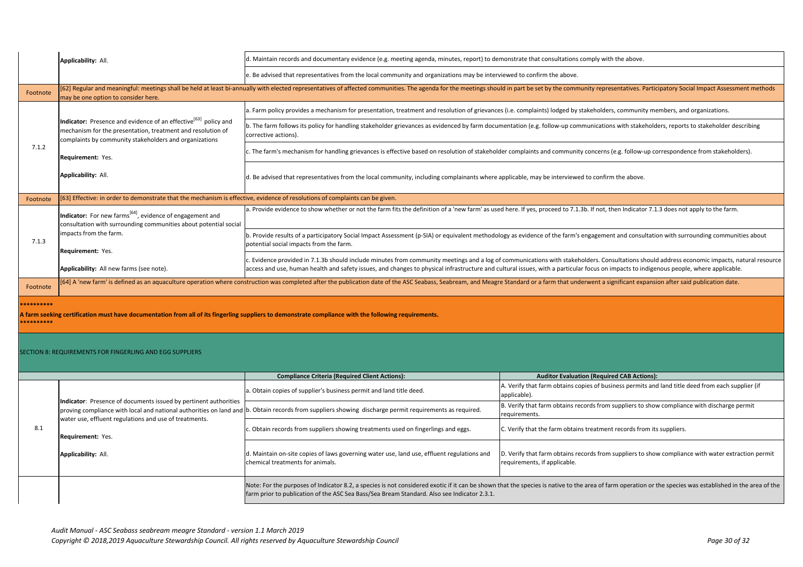|                                                                                                                                                                                  | <b>Applicability: All.</b>                                                                                                                                                                           | d. Maintain records and documentary evidence (e.g. meeting agenda, minutes, report) to demonstrate that consultations                                                                                                                               |                                                               |
|----------------------------------------------------------------------------------------------------------------------------------------------------------------------------------|------------------------------------------------------------------------------------------------------------------------------------------------------------------------------------------------------|-----------------------------------------------------------------------------------------------------------------------------------------------------------------------------------------------------------------------------------------------------|---------------------------------------------------------------|
|                                                                                                                                                                                  |                                                                                                                                                                                                      | e. Be advised that representatives from the local community and organizations may be interviewed to confirm the above.                                                                                                                              |                                                               |
| Footnote                                                                                                                                                                         | may be one option to consider here.                                                                                                                                                                  | [62] Regular and meaningful: meetings shall be held at least bi-annually with elected representatives of affected communities. The agenda for the meetings should in part be set by the comr                                                        |                                                               |
|                                                                                                                                                                                  |                                                                                                                                                                                                      | a. Farm policy provides a mechanism for presentation, treatment and resolution of grievances (i.e. complaints) lodged by                                                                                                                            |                                                               |
|                                                                                                                                                                                  | Indicator: Presence and evidence of an effective <sup>[63]</sup> policy and<br>mechanism for the presentation, treatment and resolution of<br>complaints by community stakeholders and organizations | b. The farm follows its policy for handling stakeholder grievances as evidenced by farm documentation (e.g. follow-up cor<br>corrective actions).                                                                                                   |                                                               |
| 7.1.2                                                                                                                                                                            | <b>Requirement: Yes.</b>                                                                                                                                                                             | c. The farm's mechanism for handling grievances is effective based on resolution of stakeholder complaints and communi                                                                                                                              |                                                               |
|                                                                                                                                                                                  | Applicability: All.                                                                                                                                                                                  | d. Be advised that representatives from the local community, including complainants where applicable, may be interview                                                                                                                              |                                                               |
| Footnote                                                                                                                                                                         | [63] Effective: in order to demonstrate that the mechanism is effective, evidence of resolutions of complaints can be given.                                                                         |                                                                                                                                                                                                                                                     |                                                               |
|                                                                                                                                                                                  | Indicator: For new farms <sup>[64]</sup> , evidence of engagement and<br>consultation with surrounding communities about potential social                                                            | a. Provide evidence to show whether or not the farm fits the definition of a 'new farm' as used here. If yes, proceed to 7.1                                                                                                                        |                                                               |
| 7.1.3                                                                                                                                                                            | impacts from the farm.<br>Requirement: Yes.                                                                                                                                                          | b. Provide results of a participatory Social Impact Assessment (p-SIA) or equivalent methodology as evidence of the farm'<br>potential social impacts from the farm.                                                                                |                                                               |
|                                                                                                                                                                                  | Applicability: All new farms (see note).                                                                                                                                                             | c. Evidence provided in 7.1.3b should include minutes from community meetings and a log of communications with stake<br>access and use, human health and safety issues, and changes to physical infrastructure and cultural issues, with a particul |                                                               |
| Footnote                                                                                                                                                                         |                                                                                                                                                                                                      | [64] A 'new farm' is defined as an aquaculture operation where construction was completed after the publication date of the ASC Seabass, Seabream, and Meagre Standard or a farm that un                                                            |                                                               |
| **********<br>A farm seeking certification must have documentation from all of its fingerling suppliers to demonstrate compliance with the following requirements.<br>********** |                                                                                                                                                                                                      |                                                                                                                                                                                                                                                     |                                                               |
|                                                                                                                                                                                  | <b>SECTION 8: REQUIREMENTS FOR FINGERLING AND EGG SUPPLIERS</b>                                                                                                                                      |                                                                                                                                                                                                                                                     |                                                               |
|                                                                                                                                                                                  |                                                                                                                                                                                                      | <b>Compliance Criteria (Required Client Actions):</b>                                                                                                                                                                                               | <b>Auditor Evalua</b>                                         |
|                                                                                                                                                                                  | Indicator: Presence of documents issued by pertinent authorities<br>water use, effluent regulations and use of treatments.<br><b>Requirement: Yes.</b>                                               | a. Obtain copies of supplier's business permit and land title deed.                                                                                                                                                                                 | A. Verify that farm obtains c<br>applicable).                 |
| 8.1                                                                                                                                                                              |                                                                                                                                                                                                      | proving compliance with local and national authorities on land and  b. Obtain records from suppliers showing discharge permit requirements as required.                                                                                             | B. Verify that farm obtains r<br>requirements.                |
|                                                                                                                                                                                  |                                                                                                                                                                                                      | c. Obtain records from suppliers showing treatments used on fingerlings and eggs.                                                                                                                                                                   | C. Verify that the farm obtai                                 |
|                                                                                                                                                                                  | <b>Applicability: All.</b>                                                                                                                                                                           | d. Maintain on-site copies of laws governing water use, land use, effluent regulations and<br>chemical treatments for animals.                                                                                                                      | D. Verify that farm obtains r<br>requirements, if applicable. |
|                                                                                                                                                                                  |                                                                                                                                                                                                      | Note: For the purposes of Indicator 8.2, a species is not considered exotic if it can be shown that the species is native to tl<br>farm prior to publication of the ASC Sea Bass/Sea Bream Standard. Also see Indicator 2.3.1.                      |                                                               |
|                                                                                                                                                                                  |                                                                                                                                                                                                      |                                                                                                                                                                                                                                                     |                                                               |

onsultations comply with the above.

y the community representatives. Participatory Social Impact Assessment methods

) lodged by stakeholders, community members, and organizations.

llow-up communications with stakeholders, reports to stakeholder describing

nd community concerns (e.g. follow-up correspondence from stakeholders).

e interviewed to confirm the above.

oceed to 7.1.3b. If not, then Indicator 7.1.3 does not apply to the farm.

of the farm's engagement and consultation with surrounding communities about

c. Evith stakeholders. Consultations should address economic impacts, natural resource th a particular focus on impacts to indigenous people, where applicable.

rm that underwent a significant expansion after said publication date.

**Compliance CAB Actions: Auditor Evaluation (Required CAB Actions):** 

rm obtains copies of business permits and land title deed from each supplier (if

m obtains records from suppliers to show compliance with discharge permit

farm obtains treatment records from its suppliers.

rm obtains records from suppliers to show compliance with water extraction permit applicable.

native to the area of farm operation or the species was established in the area of the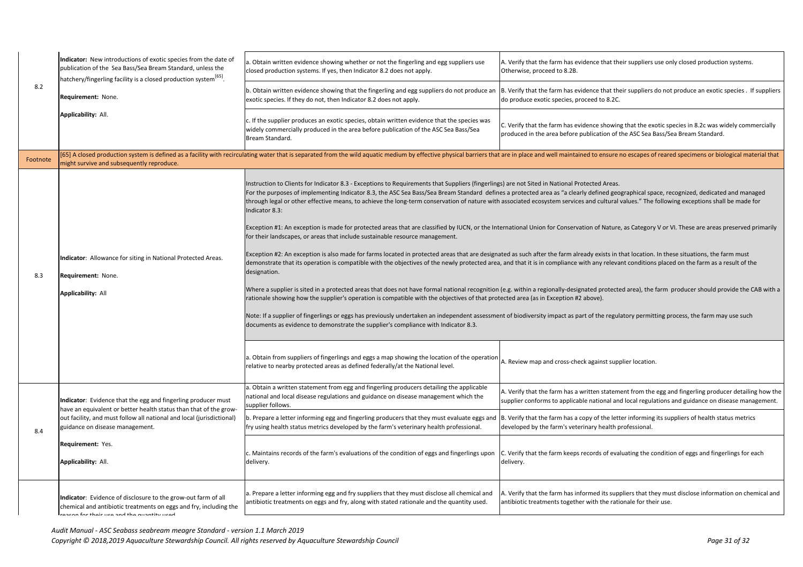|          | Indicator: New introductions of exotic species from the date of<br>publication of the Sea Bass/Sea Bream Standard, unless the<br> hatchery/fingerling facility is a closed production system $^{[65]}$ .    | a. Obtain written evidence showing whether or not the fingerling and egg suppliers use<br>closed production systems. If yes, then Indicator 8.2 does not apply.                                                                                                                                                                                                                                                                                                                                                                                                                                                                                                                                                                                                                                                                                                                                                                                                                                                                                                                                                                                                                                                                                                                                                                                                                                                                                                      | A. Verify that the<br>Otherwise, proce                       |
|----------|-------------------------------------------------------------------------------------------------------------------------------------------------------------------------------------------------------------|----------------------------------------------------------------------------------------------------------------------------------------------------------------------------------------------------------------------------------------------------------------------------------------------------------------------------------------------------------------------------------------------------------------------------------------------------------------------------------------------------------------------------------------------------------------------------------------------------------------------------------------------------------------------------------------------------------------------------------------------------------------------------------------------------------------------------------------------------------------------------------------------------------------------------------------------------------------------------------------------------------------------------------------------------------------------------------------------------------------------------------------------------------------------------------------------------------------------------------------------------------------------------------------------------------------------------------------------------------------------------------------------------------------------------------------------------------------------|--------------------------------------------------------------|
| 8.2      | <b>Requirement: None.</b>                                                                                                                                                                                   | $ b$ . Obtain written evidence showing that the fingerling and egg suppliers do not produce an $ B$ . Verify that the<br>exotic species. If they do not, then Indicator 8.2 does not apply.                                                                                                                                                                                                                                                                                                                                                                                                                                                                                                                                                                                                                                                                                                                                                                                                                                                                                                                                                                                                                                                                                                                                                                                                                                                                          | do produce exoti                                             |
|          | Applicability: All.                                                                                                                                                                                         | c. If the supplier produces an exotic species, obtain written evidence that the species was<br>widely commercially produced in the area before publication of the ASC Sea Bass/Sea<br>Bream Standard.                                                                                                                                                                                                                                                                                                                                                                                                                                                                                                                                                                                                                                                                                                                                                                                                                                                                                                                                                                                                                                                                                                                                                                                                                                                                | C. Verify that the<br>produced in the a                      |
| Footnote | might survive and subsequently reproduce.                                                                                                                                                                   | [65] A closed production system is defined as a facility with recirculating water that is separated from the wild aquatic medium by effective physical barriers that are in place and v                                                                                                                                                                                                                                                                                                                                                                                                                                                                                                                                                                                                                                                                                                                                                                                                                                                                                                                                                                                                                                                                                                                                                                                                                                                                              |                                                              |
| 8.3      | Indicator: Allowance for siting in National Protected Areas.<br>Requirement: None.<br><b>Applicability: All</b>                                                                                             | Instruction to Clients for Indicator 8.3 - Exceptions to Requirements that Suppliers (fingerlings) are not Sited in<br>For the purposes of implementing Indicator 8.3, the ASC Sea Bass/Sea Bream Standard defines a protected are<br>through legal or other effective means, to achieve the long-term conservation of nature with associated ecosys<br>Indicator 8.3:<br>Exception #1: An exception is made for protected areas that are classified by IUCN, or the International Union 1<br>for their landscapes, or areas that include sustainable resource management.<br>Exception #2: An exception is also made for farms located in protected areas that are designated as such after<br>demonstrate that its operation is compatible with the objectives of the newly protected area, and that it is in c<br>designation.<br>Where a supplier is sited in a protected areas that does not have formal national recognition (e.g. within a regi<br>rationale showing how the supplier's operation is compatible with the objectives of that protected area (as in E<br>Note: If a supplier of fingerlings or eggs has previously undertaken an independent assessment of biodiversity<br>documents as evidence to demonstrate the supplier's compliance with Indicator 8.3.<br>a. Obtain from suppliers of fingerlings and eggs a map showing the location of the operation<br>relative to nearby protected areas as defined federally/at the National level. | A. Review map ar                                             |
|          | Indicator: Evidence that the egg and fingerling producer must<br>have an equivalent or better health status than that of the grow-<br>out facility, and must follow all national and local (jurisdictional) | a. Obtain a written statement from egg and fingerling producers detailing the applicable<br>national and local disease regulations and guidance on disease management which the<br>supplier follows.<br>b. Prepare a letter informing egg and fingerling producers that they must evaluate eggs and                                                                                                                                                                                                                                                                                                                                                                                                                                                                                                                                                                                                                                                                                                                                                                                                                                                                                                                                                                                                                                                                                                                                                                  | A. Verify that the<br>supplier conform<br>B. Verify that the |
| 8.4      | guidance on disease management.                                                                                                                                                                             | fry using health status metrics developed by the farm's veterinary health professional.                                                                                                                                                                                                                                                                                                                                                                                                                                                                                                                                                                                                                                                                                                                                                                                                                                                                                                                                                                                                                                                                                                                                                                                                                                                                                                                                                                              | developed by the                                             |
|          | Requirement: Yes.<br><b>Applicability: All.</b>                                                                                                                                                             | c. Maintains records of the farm's evaluations of the condition of eggs and fingerlings upon<br>delivery.                                                                                                                                                                                                                                                                                                                                                                                                                                                                                                                                                                                                                                                                                                                                                                                                                                                                                                                                                                                                                                                                                                                                                                                                                                                                                                                                                            | C. Verify that the<br>delivery.                              |
|          | Indicator: Evidence of disclosure to the grow-out farm of all<br>chemical and antibiotic treatments on eggs and fry, including the<br>roacon for thoir use and the quantity used                            | a. Prepare a letter informing egg and fry suppliers that they must disclose all chemical and<br>antibiotic treatments on eggs and fry, along with stated rationale and the quantity used.                                                                                                                                                                                                                                                                                                                                                                                                                                                                                                                                                                                                                                                                                                                                                                                                                                                                                                                                                                                                                                                                                                                                                                                                                                                                            | A. Verify that the<br>antibiotic treatm                      |

**Requirement:** Yes. *Audit Manual - ASC Seabass seabream meagre Standard - version 1.1 March 2019 Copyright © 2018,2019 Aquaculture Stewardship Council. All rights reserved by Aquaculture Stewardship Council Page 31 of 32*

farm has evidence that their suppliers use only closed production systems. ed to 8.2B.

farm has evidence that their suppliers do not produce an exotic species . If suppliers ic species, proceed to 8.2C.

farm has evidence showing that the exotic species in 8.2c was widely commercially area before publication of the ASC Sea Bass/Sea Bream Standard.

well maintained to ensure no escapes of reared specimens or biological material that

National Protected Areas.

ea as "a clearly defined geographical space, recognized, dedicated and managed stem services and cultural values." The following exceptions shall be made for

for Conservation of Nature, as Category V or VI. These are areas preserved primarily

the farm already exists in that location. In these situations, the farm must compliance with any relevant conditions placed on the farm as a result of the

onally-designated protected area), the farm producer should provide the CAB with a Exception #2 above).

impact as part of the regulatory permitting process, the farm may use such

nd cross-check against supplier location.

farm has a written statement from the egg and fingerling producer detailing how the is to applicable national and local regulations and guidance on disease management.

farm has a copy of the letter informing its suppliers of health status metrics farm's veterinary health professional.

farm keeps records of evaluating the condition of eggs and fingerlings for each

farm has informed its suppliers that they must disclose information on chemical and ents together with the rationale for their use.